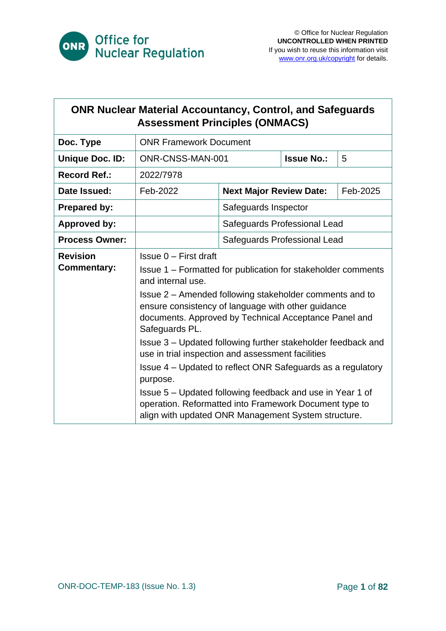

| <b>ONR Nuclear Material Accountancy, Control, and Safeguards</b><br><b>Assessment Principles (ONMACS)</b> |                                                                                                                                                                                                                                                                                                                                                                                                                                                                                                                                                                                                                                                                                         |                                |                   |          |
|-----------------------------------------------------------------------------------------------------------|-----------------------------------------------------------------------------------------------------------------------------------------------------------------------------------------------------------------------------------------------------------------------------------------------------------------------------------------------------------------------------------------------------------------------------------------------------------------------------------------------------------------------------------------------------------------------------------------------------------------------------------------------------------------------------------------|--------------------------------|-------------------|----------|
| Doc. Type                                                                                                 | <b>ONR Framework Document</b>                                                                                                                                                                                                                                                                                                                                                                                                                                                                                                                                                                                                                                                           |                                |                   |          |
| <b>Unique Doc. ID:</b>                                                                                    | ONR-CNSS-MAN-001                                                                                                                                                                                                                                                                                                                                                                                                                                                                                                                                                                                                                                                                        |                                | <b>Issue No.:</b> | 5        |
| <b>Record Ref.:</b>                                                                                       | 2022/7978                                                                                                                                                                                                                                                                                                                                                                                                                                                                                                                                                                                                                                                                               |                                |                   |          |
| Date Issued:                                                                                              | Feb-2022                                                                                                                                                                                                                                                                                                                                                                                                                                                                                                                                                                                                                                                                                | <b>Next Major Review Date:</b> |                   | Feb-2025 |
| <b>Prepared by:</b>                                                                                       |                                                                                                                                                                                                                                                                                                                                                                                                                                                                                                                                                                                                                                                                                         | Safeguards Inspector           |                   |          |
| <b>Approved by:</b>                                                                                       |                                                                                                                                                                                                                                                                                                                                                                                                                                                                                                                                                                                                                                                                                         | Safeguards Professional Lead   |                   |          |
| <b>Process Owner:</b>                                                                                     |                                                                                                                                                                                                                                                                                                                                                                                                                                                                                                                                                                                                                                                                                         | Safeguards Professional Lead   |                   |          |
| <b>Revision</b><br><b>Commentary:</b>                                                                     | $Is sue 0 - First draft$<br>Issue 1 – Formatted for publication for stakeholder comments<br>and internal use.<br>Issue 2 – Amended following stakeholder comments and to<br>ensure consistency of language with other guidance<br>documents. Approved by Technical Acceptance Panel and<br>Safeguards PL.<br>Issue 3 - Updated following further stakeholder feedback and<br>use in trial inspection and assessment facilities<br>Issue 4 – Updated to reflect ONR Safeguards as a regulatory<br>purpose.<br>Issue 5 – Updated following feedback and use in Year 1 of<br>operation. Reformatted into Framework Document type to<br>align with updated ONR Management System structure. |                                |                   |          |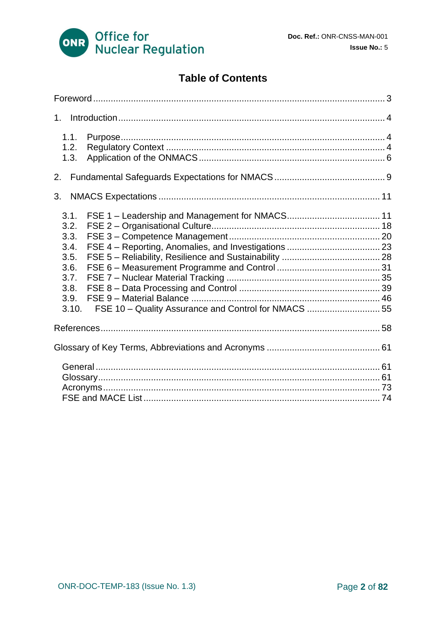

### **Table of Contents**

| 1.1.<br>1.2.<br>1.3.                                                          |                                                      |  |  |
|-------------------------------------------------------------------------------|------------------------------------------------------|--|--|
| 2.                                                                            |                                                      |  |  |
| 3.                                                                            |                                                      |  |  |
| 3.1.<br>3.2.<br>3.3.<br>3.4.<br>3.5.<br>3.6.<br>3.7.<br>3.8.<br>3.9.<br>3.10. | FSE 10 - Quality Assurance and Control for NMACS  55 |  |  |
|                                                                               |                                                      |  |  |
|                                                                               |                                                      |  |  |
|                                                                               |                                                      |  |  |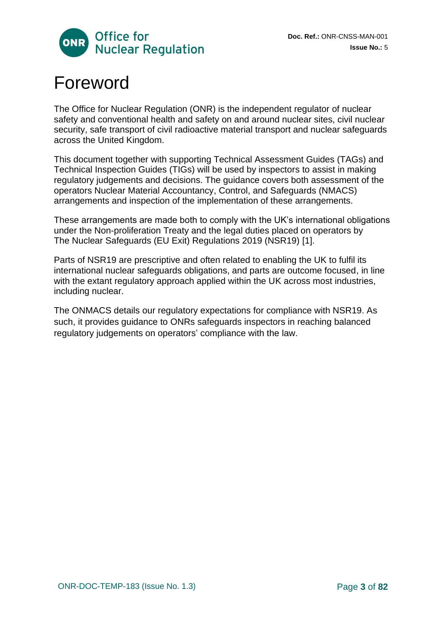

# <span id="page-2-0"></span>Foreword

The Office for Nuclear Regulation (ONR) is the independent regulator of nuclear safety and conventional health and safety on and around nuclear sites, civil nuclear security, safe transport of civil radioactive material transport and nuclear safeguards across the United Kingdom.

This document together with supporting Technical Assessment Guides (TAGs) and Technical Inspection Guides (TIGs) will be used by inspectors to assist in making regulatory judgements and decisions. The guidance covers both assessment of the operators Nuclear Material Accountancy, Control, and Safeguards (NMACS) arrangements and inspection of the implementation of these arrangements.

These arrangements are made both to comply with the UK's international obligations under the Non-proliferation Treaty and the legal duties placed on operators by The Nuclear Safeguards (EU Exit) Regulations 2019 (NSR19) [1].

Parts of NSR19 are prescriptive and often related to enabling the UK to fulfil its international nuclear safeguards obligations, and parts are outcome focused, in line with the extant regulatory approach applied within the UK across most industries, including nuclear.

The ONMACS details our regulatory expectations for compliance with NSR19. As such, it provides guidance to ONRs safeguards inspectors in reaching balanced regulatory judgements on operators' compliance with the law.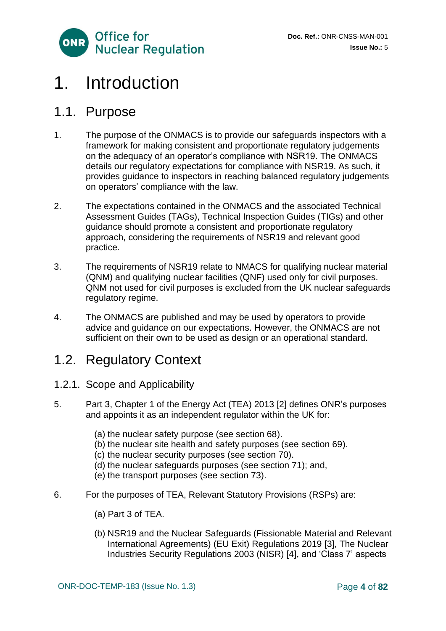

# <span id="page-3-0"></span>1. Introduction

### <span id="page-3-1"></span>1.1. Purpose

- 1. The purpose of the ONMACS is to provide our safeguards inspectors with a framework for making consistent and proportionate regulatory judgements on the adequacy of an operator's compliance with NSR19. The ONMACS details our regulatory expectations for compliance with NSR19. As such, it provides guidance to inspectors in reaching balanced regulatory judgements on operators' compliance with the law.
- 2. The expectations contained in the ONMACS and the associated Technical Assessment Guides (TAGs), Technical Inspection Guides (TIGs) and other guidance should promote a consistent and proportionate regulatory approach, considering the requirements of NSR19 and relevant good practice.
- 3. The requirements of NSR19 relate to NMACS for qualifying nuclear material (QNM) and qualifying nuclear facilities (QNF) used only for civil purposes. QNM not used for civil purposes is excluded from the UK nuclear safeguards regulatory regime.
- 4. The ONMACS are published and may be used by operators to provide advice and guidance on our expectations. However, the ONMACS are not sufficient on their own to be used as design or an operational standard.

### <span id="page-3-2"></span>1.2. Regulatory Context

- 1.2.1. Scope and Applicability
- 5. Part 3, Chapter 1 of the Energy Act (TEA) 2013 [2] defines ONR's purposes and appoints it as an independent regulator within the UK for:
	- (a) the nuclear safety purpose (see section 68).
	- (b) the nuclear site health and safety purposes (see section 69).
	- (c) the nuclear security purposes (see section 70).
	- (d) the nuclear safeguards purposes (see section 71); and,
	- (e) the transport purposes (see section 73).
- 6. For the purposes of TEA, Relevant Statutory Provisions (RSPs) are:
	- (a) Part 3 of TEA.
	- (b) NSR19 and the Nuclear Safeguards (Fissionable Material and Relevant International Agreements) (EU Exit) Regulations 2019 [3], The Nuclear Industries Security Regulations 2003 (NISR) [4], and 'Class 7' aspects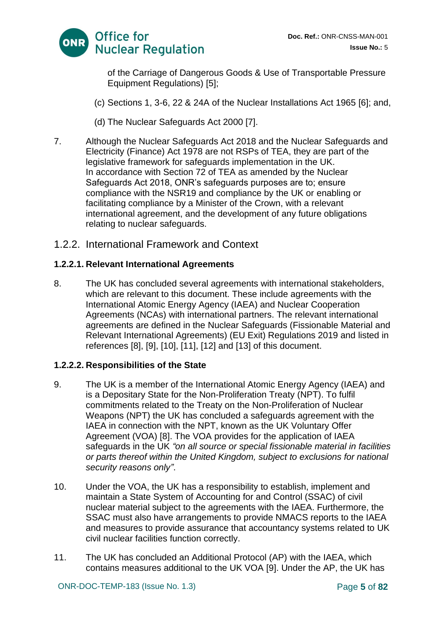

of the Carriage of Dangerous Goods & Use of Transportable Pressure Equipment Regulations) [5];

- (c) Sections 1, 3-6, 22 & 24A of the Nuclear Installations Act 1965 [6]; and,
- (d) The Nuclear Safeguards Act 2000 [7].
- 7. Although the Nuclear Safeguards Act 2018 and the Nuclear Safeguards and Electricity (Finance) Act 1978 are not RSPs of TEA, they are part of the legislative framework for safeguards implementation in the UK. In accordance with Section 72 of TEA as amended by the Nuclear Safeguards Act 2018, ONR's safeguards purposes are to; ensure compliance with the NSR19 and compliance by the UK or enabling or facilitating compliance by a Minister of the Crown, with a relevant international agreement, and the development of any future obligations relating to nuclear safeguards.
- 1.2.2. International Framework and Context

#### **1.2.2.1. Relevant International Agreements**

8. The UK has concluded several agreements with international stakeholders, which are relevant to this document. These include agreements with the International Atomic Energy Agency (IAEA) and Nuclear Cooperation Agreements (NCAs) with international partners. The relevant international agreements are defined in the Nuclear Safeguards (Fissionable Material and Relevant International Agreements) (EU Exit) Regulations 2019 and listed in references [8], [9], [10], [11], [12] and [13] of this document.

#### **1.2.2.2. Responsibilities of the State**

- 9. The UK is a member of the International Atomic Energy Agency (IAEA) and is a Depositary State for the Non-Proliferation Treaty (NPT). To fulfil commitments related to the Treaty on the Non-Proliferation of Nuclear Weapons (NPT) the UK has concluded a safeguards agreement with the IAEA in connection with the NPT, known as the UK Voluntary Offer Agreement (VOA) [8]. The VOA provides for the application of IAEA safeguards in the UK *"on all source or special fissionable material in facilities or parts thereof within the United Kingdom, subject to exclusions for national security reasons only"*.
- 10. Under the VOA, the UK has a responsibility to establish, implement and maintain a State System of Accounting for and Control (SSAC) of civil nuclear material subject to the agreements with the IAEA. Furthermore, the SSAC must also have arrangements to provide NMACS reports to the IAEA and measures to provide assurance that accountancy systems related to UK civil nuclear facilities function correctly.
- 11. The UK has concluded an Additional Protocol (AP) with the IAEA, which contains measures additional to the UK VOA [9]. Under the AP, the UK has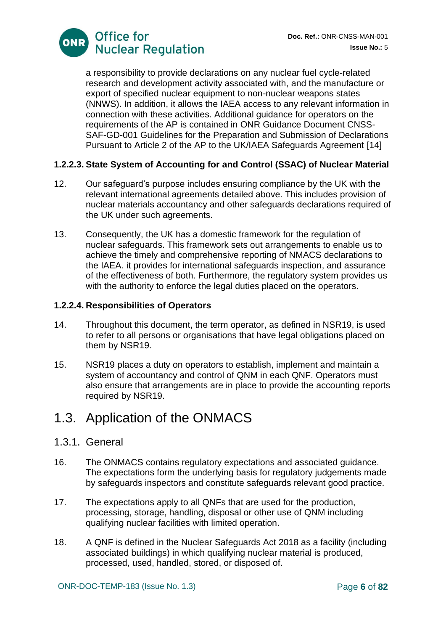

a responsibility to provide declarations on any nuclear fuel cycle-related research and development activity associated with, and the manufacture or export of specified nuclear equipment to non-nuclear weapons states (NNWS). In addition, it allows the IAEA access to any relevant information in connection with these activities. Additional guidance for operators on the requirements of the AP is contained in ONR Guidance Document CNSS-SAF-GD-001 Guidelines for the Preparation and Submission of Declarations Pursuant to Article 2 of the AP to the UK/IAEA Safeguards Agreement [14]

#### **1.2.2.3. State System of Accounting for and Control (SSAC) of Nuclear Material**

- 12. Our safeguard's purpose includes ensuring compliance by the UK with the relevant international agreements detailed above. This includes provision of nuclear materials accountancy and other safeguards declarations required of the UK under such agreements.
- 13. Consequently, the UK has a domestic framework for the regulation of nuclear safeguards. This framework sets out arrangements to enable us to achieve the timely and comprehensive reporting of NMACS declarations to the IAEA. it provides for international safeguards inspection, and assurance of the effectiveness of both. Furthermore, the regulatory system provides us with the authority to enforce the legal duties placed on the operators.

#### **1.2.2.4. Responsibilities of Operators**

- 14. Throughout this document, the term operator, as defined in NSR19, is used to refer to all persons or organisations that have legal obligations placed on them by NSR19.
- 15. NSR19 places a duty on operators to establish, implement and maintain a system of accountancy and control of QNM in each QNF. Operators must also ensure that arrangements are in place to provide the accounting reports required by NSR19.

### <span id="page-5-0"></span>1.3. Application of the ONMACS

#### 1.3.1. General

- 16. The ONMACS contains regulatory expectations and associated guidance. The expectations form the underlying basis for regulatory judgements made by safeguards inspectors and constitute safeguards relevant good practice.
- 17. The expectations apply to all QNFs that are used for the production, processing, storage, handling, disposal or other use of QNM including qualifying nuclear facilities with limited operation.
- 18. A QNF is defined in the Nuclear Safeguards Act 2018 as a facility (including associated buildings) in which qualifying nuclear material is produced, processed, used, handled, stored, or disposed of.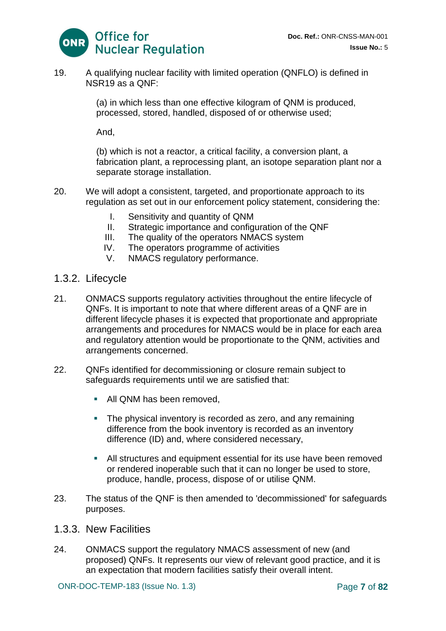

19. A qualifying nuclear facility with limited operation (QNFLO) is defined in NSR19 as a QNF:

> (a) in which less than one effective kilogram of QNM is produced, processed, stored, handled, disposed of or otherwise used;

And,

(b) which is not a reactor, a critical facility, a conversion plant, a fabrication plant, a reprocessing plant, an isotope separation plant nor a separate storage installation.

- 20. We will adopt a consistent, targeted, and proportionate approach to its regulation as set out in our enforcement policy statement, considering the:
	- I. Sensitivity and quantity of QNM
	- II. Strategic importance and configuration of the QNF
	- III. The quality of the operators NMACS system
	- IV. The operators programme of activities
	- V. NMACS regulatory performance.
- 1.3.2. Lifecycle
- 21. ONMACS supports regulatory activities throughout the entire lifecycle of QNFs. It is important to note that where different areas of a QNF are in different lifecycle phases it is expected that proportionate and appropriate arrangements and procedures for NMACS would be in place for each area and regulatory attention would be proportionate to the QNM, activities and arrangements concerned.
- 22. QNFs identified for decommissioning or closure remain subject to safeguards requirements until we are satisfied that:
	- All QNM has been removed.
	- The physical inventory is recorded as zero, and any remaining difference from the book inventory is recorded as an inventory difference (ID) and, where considered necessary,
	- All structures and equipment essential for its use have been removed or rendered inoperable such that it can no longer be used to store, produce, handle, process, dispose of or utilise QNM.
- 23. The status of the QNF is then amended to 'decommissioned' for safeguards purposes.
- 1.3.3. New Facilities
- 24. ONMACS support the regulatory NMACS assessment of new (and proposed) QNFs. It represents our view of relevant good practice, and it is an expectation that modern facilities satisfy their overall intent.

ONR-DOC-TEMP-183 (Issue No. 1.3) Page **7** of **82**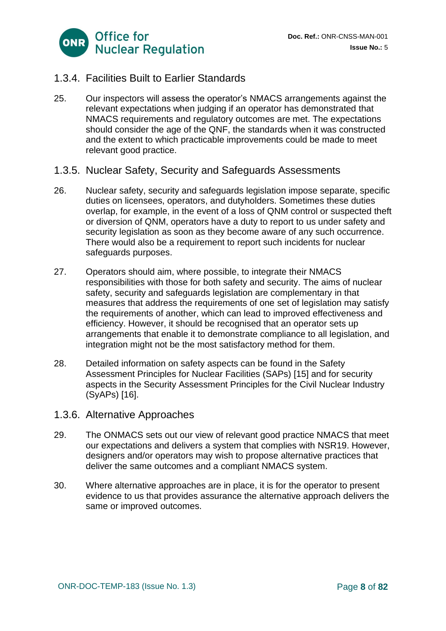

### 1.3.4. Facilities Built to Earlier Standards

- 25. Our inspectors will assess the operator's NMACS arrangements against the relevant expectations when judging if an operator has demonstrated that NMACS requirements and regulatory outcomes are met. The expectations should consider the age of the QNF, the standards when it was constructed and the extent to which practicable improvements could be made to meet relevant good practice.
- 1.3.5. Nuclear Safety, Security and Safeguards Assessments
- 26. Nuclear safety, security and safeguards legislation impose separate, specific duties on licensees, operators, and dutyholders. Sometimes these duties overlap, for example, in the event of a loss of QNM control or suspected theft or diversion of QNM, operators have a duty to report to us under safety and security legislation as soon as they become aware of any such occurrence. There would also be a requirement to report such incidents for nuclear safeguards purposes.
- 27. Operators should aim, where possible, to integrate their NMACS responsibilities with those for both safety and security. The aims of nuclear safety, security and safeguards legislation are complementary in that measures that address the requirements of one set of legislation may satisfy the requirements of another, which can lead to improved effectiveness and efficiency. However, it should be recognised that an operator sets up arrangements that enable it to demonstrate compliance to all legislation, and integration might not be the most satisfactory method for them.
- 28. Detailed information on safety aspects can be found in the Safety Assessment Principles for Nuclear Facilities (SAPs) [15] and for security aspects in the Security Assessment Principles for the Civil Nuclear Industry (SyAPs) [16].
- 1.3.6. Alternative Approaches
- 29. The ONMACS sets out our view of relevant good practice NMACS that meet our expectations and delivers a system that complies with NSR19. However, designers and/or operators may wish to propose alternative practices that deliver the same outcomes and a compliant NMACS system.
- 30. Where alternative approaches are in place, it is for the operator to present evidence to us that provides assurance the alternative approach delivers the same or improved outcomes.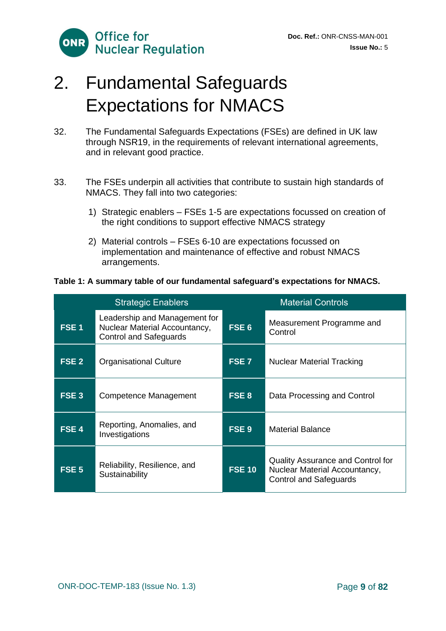

# <span id="page-8-0"></span>2. Fundamental Safeguards Expectations for NMACS

- 32. The Fundamental Safeguards Expectations (FSEs) are defined in UK law through NSR19, in the requirements of relevant international agreements, and in relevant good practice.
- 33. The FSEs underpin all activities that contribute to sustain high standards of NMACS. They fall into two categories:
	- 1) Strategic enablers FSEs 1-5 are expectations focussed on creation of the right conditions to support effective NMACS strategy
	- 2) Material controls FSEs 6-10 are expectations focussed on implementation and maintenance of effective and robust NMACS arrangements.

#### **Table 1: A summary table of our fundamental safeguard's expectations for NMACS.**

| <b>Strategic Enablers</b> |                                                                                                 | <b>Material Controls</b> |                                                                                                            |
|---------------------------|-------------------------------------------------------------------------------------------------|--------------------------|------------------------------------------------------------------------------------------------------------|
| <b>FSE1</b>               | Leadership and Management for<br>Nuclear Material Accountancy,<br><b>Control and Safeguards</b> | FSE <sub>6</sub>         | Measurement Programme and<br>Control                                                                       |
| FSE <sub>2</sub>          | <b>Organisational Culture</b>                                                                   | FSE <sub>7</sub>         | <b>Nuclear Material Tracking</b>                                                                           |
| FSE <sub>3</sub>          | Competence Management                                                                           | FSE 8                    | Data Processing and Control                                                                                |
| FSE <sub>4</sub>          | Reporting, Anomalies, and<br>Investigations                                                     | FSE <sub>9</sub>         | <b>Material Balance</b>                                                                                    |
| FSE <sub>5</sub>          | Reliability, Resilience, and<br>Sustainability                                                  | <b>FSE 10</b>            | <b>Quality Assurance and Control for</b><br>Nuclear Material Accountancy,<br><b>Control and Safeguards</b> |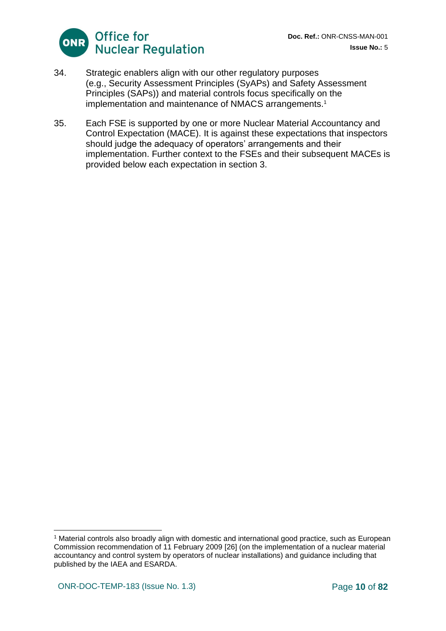

- 34. Strategic enablers align with our other regulatory purposes (e.g., Security Assessment Principles (SyAPs) and Safety Assessment Principles (SAPs)) and material controls focus specifically on the implementation and maintenance of NMACS arrangements.<sup>1</sup>
- 35. Each FSE is supported by one or more Nuclear Material Accountancy and Control Expectation (MACE). It is against these expectations that inspectors should judge the adequacy of operators' arrangements and their implementation. Further context to the FSEs and their subsequent MACEs is provided below each expectation in section 3.

<sup>1</sup> Material controls also broadly align with domestic and international good practice, such as European Commission recommendation of 11 February 2009 [26] (on the implementation of a nuclear material accountancy and control system by operators of nuclear installations) and guidance including that published by the IAEA and ESARDA.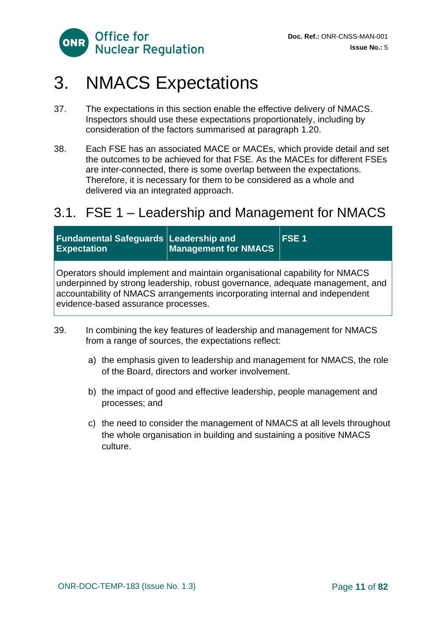

# <span id="page-10-0"></span>3. NMACS Expectations

- 37. The expectations in this section enable the effective delivery of NMACS. Inspectors should use these expectations proportionately, including by consideration of the factors summarised at paragraph 1.20.
- 38. Each FSE has an associated MACE or MACEs, which provide detail and set the outcomes to be achieved for that FSE. As the MACEs for different FSEs are inter-connected, there is some overlap between the expectations. Therefore, it is necessary for them to be considered as a whole and delivered via an integrated approach.

## <span id="page-10-1"></span>3.1. FSE 1 – Leadership and Management for NMACS

| <b>Fundamental Safeguards Leadership and</b><br><b>Expectation</b>                                                                                                                                                                                                                 | Management for NMACS | <b>FSE1</b> |
|------------------------------------------------------------------------------------------------------------------------------------------------------------------------------------------------------------------------------------------------------------------------------------|----------------------|-------------|
| Operators should implement and maintain organisational capability for NMACS<br>underpinned by strong leadership, robust governance, adequate management, and<br>accountability of NMACS arrangements incorporating internal and independent<br>evidence-based assurance processes. |                      |             |

- 39. In combining the key features of leadership and management for NMACS from a range of sources, the expectations reflect:
	- a) the emphasis given to leadership and management for NMACS, the role of the Board, directors and worker involvement.
	- b) the impact of good and effective leadership, people management and processes; and
	- c) the need to consider the management of NMACS at all levels throughout the whole organisation in building and sustaining a positive NMACS culture.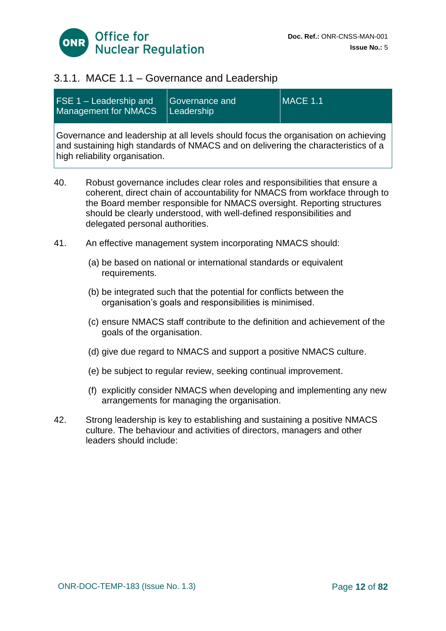

### 3.1.1. MACE 1.1 – Governance and Leadership

| FSE 1 – Leadership and<br>Management for NMACS | Governance and<br>l Leadership' | $MACE$ 1.1 |
|------------------------------------------------|---------------------------------|------------|
|------------------------------------------------|---------------------------------|------------|

Governance and leadership at all levels should focus the organisation on achieving and sustaining high standards of NMACS and on delivering the characteristics of a high reliability organisation.

- 40. Robust governance includes clear roles and responsibilities that ensure a coherent, direct chain of accountability for NMACS from workface through to the Board member responsible for NMACS oversight. Reporting structures should be clearly understood, with well-defined responsibilities and delegated personal authorities.
- 41. An effective management system incorporating NMACS should:
	- (a) be based on national or international standards or equivalent requirements.
	- (b) be integrated such that the potential for conflicts between the organisation's goals and responsibilities is minimised.
	- (c) ensure NMACS staff contribute to the definition and achievement of the goals of the organisation.
	- (d) give due regard to NMACS and support a positive NMACS culture.
	- (e) be subject to regular review, seeking continual improvement.
	- (f) explicitly consider NMACS when developing and implementing any new arrangements for managing the organisation.
- 42. Strong leadership is key to establishing and sustaining a positive NMACS culture. The behaviour and activities of directors, managers and other leaders should include: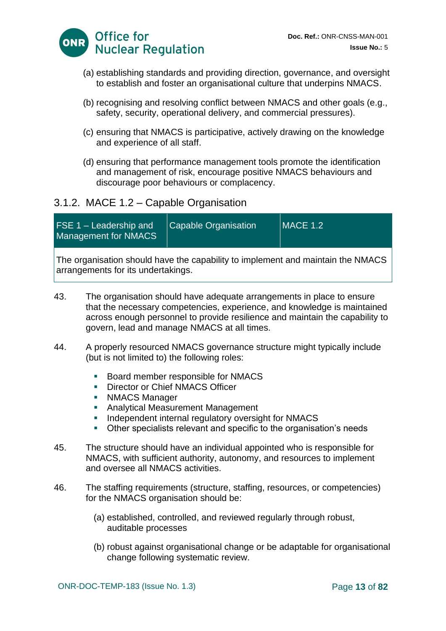

- (a) establishing standards and providing direction, governance, and oversight to establish and foster an organisational culture that underpins NMACS.
- (b) recognising and resolving conflict between NMACS and other goals (e.g., safety, security, operational delivery, and commercial pressures).
- (c) ensuring that NMACS is participative, actively drawing on the knowledge and experience of all staff.
- (d) ensuring that performance management tools promote the identification and management of risk, encourage positive NMACS behaviours and discourage poor behaviours or complacency.

### 3.1.2. MACE 1.2 – Capable Organisation

| <b>FSE 1 – Leadership and</b><br><b>Management for NMACS</b>                           | <b>Capable Organisation</b> | $MACE$ 1.2 |
|----------------------------------------------------------------------------------------|-----------------------------|------------|
| $\Box$ The erganization should have the canability to implement and maintain the NMACS |                             |            |

The organisation should have the capability to implement and maintain the NMACS arrangements for its undertakings.

- 43. The organisation should have adequate arrangements in place to ensure that the necessary competencies, experience, and knowledge is maintained across enough personnel to provide resilience and maintain the capability to govern, lead and manage NMACS at all times.
- 44. A properly resourced NMACS governance structure might typically include (but is not limited to) the following roles:
	- Board member responsible for NMACS
	- **Director or Chief NMACS Officer**
	- **E** NMACS Manager
	- Analytical Measurement Management
	- **Independent internal regulatory oversight for NMACS**
	- Other specialists relevant and specific to the organisation's needs
- 45. The structure should have an individual appointed who is responsible for NMACS, with sufficient authority, autonomy, and resources to implement and oversee all NMACS activities.
- 46. The staffing requirements (structure, staffing, resources, or competencies) for the NMACS organisation should be:
	- (a) established, controlled, and reviewed regularly through robust, auditable processes
	- (b) robust against organisational change or be adaptable for organisational change following systematic review.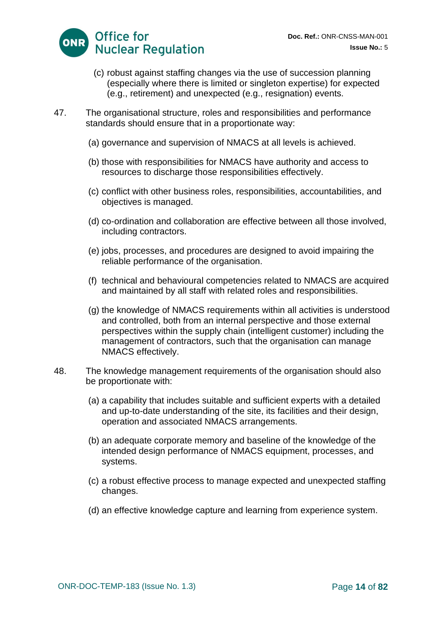

- (c) robust against staffing changes via the use of succession planning (especially where there is limited or singleton expertise) for expected (e.g., retirement) and unexpected (e.g., resignation) events.
- 47. The organisational structure, roles and responsibilities and performance standards should ensure that in a proportionate way:
	- (a) governance and supervision of NMACS at all levels is achieved.
	- (b) those with responsibilities for NMACS have authority and access to resources to discharge those responsibilities effectively.
	- (c) conflict with other business roles, responsibilities, accountabilities, and objectives is managed.
	- (d) co-ordination and collaboration are effective between all those involved, including contractors.
	- (e) jobs, processes, and procedures are designed to avoid impairing the reliable performance of the organisation.
	- (f) technical and behavioural competencies related to NMACS are acquired and maintained by all staff with related roles and responsibilities.
	- (g) the knowledge of NMACS requirements within all activities is understood and controlled, both from an internal perspective and those external perspectives within the supply chain (intelligent customer) including the management of contractors, such that the organisation can manage NMACS effectively.
- 48. The knowledge management requirements of the organisation should also be proportionate with:
	- (a) a capability that includes suitable and sufficient experts with a detailed and up-to-date understanding of the site, its facilities and their design, operation and associated NMACS arrangements.
	- (b) an adequate corporate memory and baseline of the knowledge of the intended design performance of NMACS equipment, processes, and systems.
	- (c) a robust effective process to manage expected and unexpected staffing changes.
	- (d) an effective knowledge capture and learning from experience system.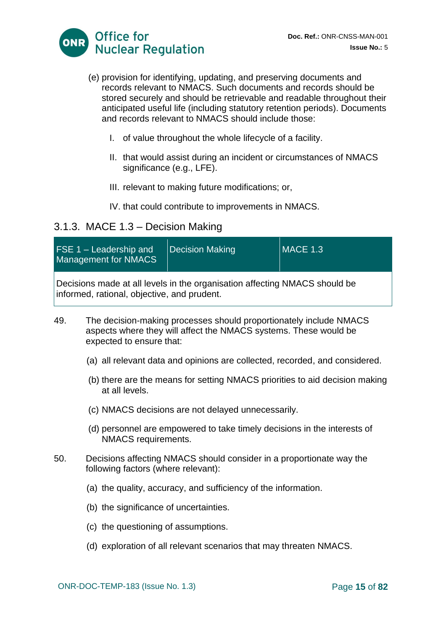

- (e) provision for identifying, updating, and preserving documents and records relevant to NMACS. Such documents and records should be stored securely and should be retrievable and readable throughout their anticipated useful life (including statutory retention periods). Documents and records relevant to NMACS should include those:
	- I. of value throughout the whole lifecycle of a facility.
	- II. that would assist during an incident or circumstances of NMACS significance (e.g., LFE).
	- III. relevant to making future modifications; or,
	- IV. that could contribute to improvements in NMACS.

### 3.1.3. MACE 1.3 – Decision Making

| $FSE 1 - Leadership and$<br><b>Management for NMACS</b>                                                                   | Decision Making | $MACE$ 1.3 |  |
|---------------------------------------------------------------------------------------------------------------------------|-----------------|------------|--|
| Decisions made at all levels in the organisation affecting NMACS should be<br>informed, rational, objective, and prudent. |                 |            |  |

- 49. The decision-making processes should proportionately include NMACS aspects where they will affect the NMACS systems. These would be expected to ensure that:
	- (a) all relevant data and opinions are collected, recorded, and considered.
	- (b) there are the means for setting NMACS priorities to aid decision making at all levels.
	- (c) NMACS decisions are not delayed unnecessarily.
	- (d) personnel are empowered to take timely decisions in the interests of NMACS requirements.
- 50. Decisions affecting NMACS should consider in a proportionate way the following factors (where relevant):
	- (a) the quality, accuracy, and sufficiency of the information.
	- (b) the significance of uncertainties.
	- (c) the questioning of assumptions.
	- (d) exploration of all relevant scenarios that may threaten NMACS.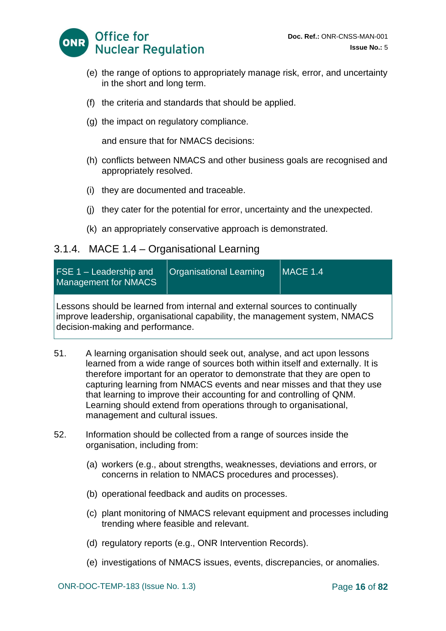

- (e) the range of options to appropriately manage risk, error, and uncertainty in the short and long term.
- (f) the criteria and standards that should be applied.
- (g) the impact on regulatory compliance.

and ensure that for NMACS decisions:

- (h) conflicts between NMACS and other business goals are recognised and appropriately resolved.
- (i) they are documented and traceable.
- (j) they cater for the potential for error, uncertainty and the unexpected.
- (k) an appropriately conservative approach is demonstrated.

### 3.1.4. MACE 1.4 – Organisational Learning

| $FSE 1 - Leadership and$<br><b>Management for NMACS</b> | <b>Organisational Learning</b>                                                                                                                             | MACE 1.4 |
|---------------------------------------------------------|------------------------------------------------------------------------------------------------------------------------------------------------------------|----------|
| decision-making and performance.                        | Lessons should be learned from internal and external sources to continually<br>improve leadership, organisational capability, the management system, NMACS |          |

- 51. A learning organisation should seek out, analyse, and act upon lessons learned from a wide range of sources both within itself and externally. It is therefore important for an operator to demonstrate that they are open to capturing learning from NMACS events and near misses and that they use that learning to improve their accounting for and controlling of QNM. Learning should extend from operations through to organisational, management and cultural issues.
- 52. Information should be collected from a range of sources inside the organisation, including from:
	- (a) workers (e.g., about strengths, weaknesses, deviations and errors, or concerns in relation to NMACS procedures and processes).
	- (b) operational feedback and audits on processes.
	- (c) plant monitoring of NMACS relevant equipment and processes including trending where feasible and relevant.
	- (d) regulatory reports (e.g., ONR Intervention Records).
	- (e) investigations of NMACS issues, events, discrepancies, or anomalies.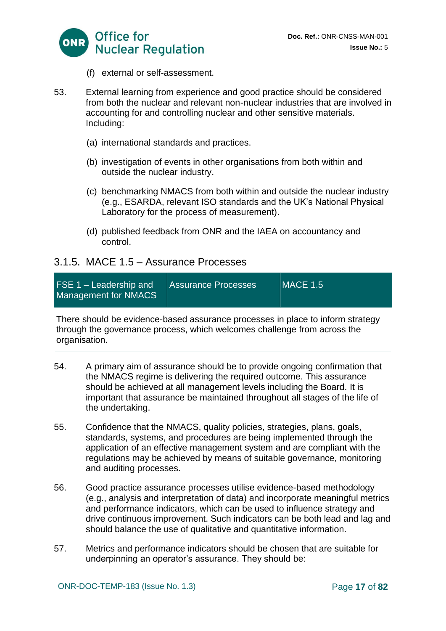

- (f) external or self-assessment.
- 53. External learning from experience and good practice should be considered from both the nuclear and relevant non-nuclear industries that are involved in accounting for and controlling nuclear and other sensitive materials. Including:
	- (a) international standards and practices.
	- (b) investigation of events in other organisations from both within and outside the nuclear industry.
	- (c) benchmarking NMACS from both within and outside the nuclear industry (e.g., ESARDA, relevant ISO standards and the UK's National Physical Laboratory for the process of measurement).
	- (d) published feedback from ONR and the IAEA on accountancy and control.

#### 3.1.5. MACE 1.5 – Assurance Processes

| <b>FSE 1 – Leadership and</b><br>Management for NMACS                                                                                                                       | Assurance Processes | <b>MACE 1.5</b> |
|-----------------------------------------------------------------------------------------------------------------------------------------------------------------------------|---------------------|-----------------|
| There should be evidence-based assurance processes in place to inform strategy<br>through the governance process, which welcomes challenge from across the<br>organisation. |                     |                 |

- 54. A primary aim of assurance should be to provide ongoing confirmation that the NMACS regime is delivering the required outcome. This assurance should be achieved at all management levels including the Board. It is important that assurance be maintained throughout all stages of the life of the undertaking.
- 55. Confidence that the NMACS, quality policies, strategies, plans, goals, standards, systems, and procedures are being implemented through the application of an effective management system and are compliant with the regulations may be achieved by means of suitable governance, monitoring and auditing processes.
- 56. Good practice assurance processes utilise evidence-based methodology (e.g., analysis and interpretation of data) and incorporate meaningful metrics and performance indicators, which can be used to influence strategy and drive continuous improvement. Such indicators can be both lead and lag and should balance the use of qualitative and quantitative information.
- 57. Metrics and performance indicators should be chosen that are suitable for underpinning an operator's assurance. They should be: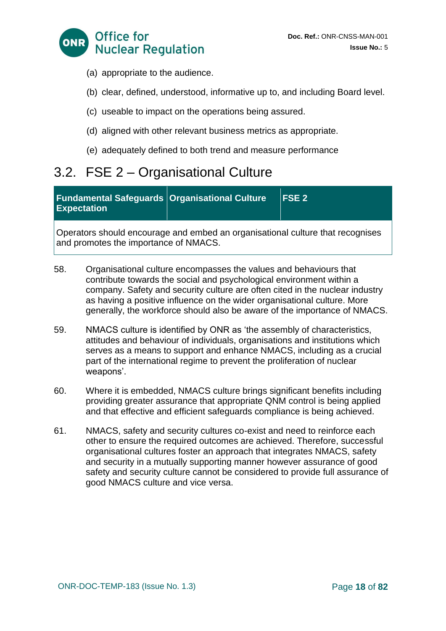

- (a) appropriate to the audience.
- (b) clear, defined, understood, informative up to, and including Board level.
- (c) useable to impact on the operations being assured.
- (d) aligned with other relevant business metrics as appropriate.
- (e) adequately defined to both trend and measure performance

# <span id="page-17-0"></span>3.2. FSE 2 – Organisational Culture

| Fundamental Safeguards Organisational Culture | $\sqrt{5}$ FSE 2 |
|-----------------------------------------------|------------------|
| <b>Expectation</b>                            |                  |

Operators should encourage and embed an organisational culture that recognises and promotes the importance of NMACS.

- 58. Organisational culture encompasses the values and behaviours that contribute towards the social and psychological environment within a company. Safety and security culture are often cited in the nuclear industry as having a positive influence on the wider organisational culture. More generally, the workforce should also be aware of the importance of NMACS.
- 59. NMACS culture is identified by ONR as 'the assembly of characteristics, attitudes and behaviour of individuals, organisations and institutions which serves as a means to support and enhance NMACS, including as a crucial part of the international regime to prevent the proliferation of nuclear weapons'.
- 60. Where it is embedded, NMACS culture brings significant benefits including providing greater assurance that appropriate QNM control is being applied and that effective and efficient safeguards compliance is being achieved.
- 61. NMACS, safety and security cultures co-exist and need to reinforce each other to ensure the required outcomes are achieved. Therefore, successful organisational cultures foster an approach that integrates NMACS, safety and security in a mutually supporting manner however assurance of good safety and security culture cannot be considered to provide full assurance of good NMACS culture and vice versa.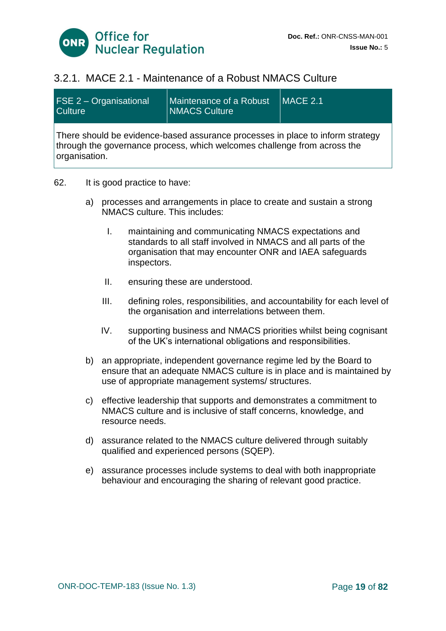

### 3.2.1. MACE 2.1 - Maintenance of a Robust NMACS Culture

| <b>FSE 2 – Organisational</b><br><b>Culture</b>                                                                                                                             | Maintenance of a Robust<br><b>NMACS Culture</b> | $MACE$ 2.1 |  |  |
|-----------------------------------------------------------------------------------------------------------------------------------------------------------------------------|-------------------------------------------------|------------|--|--|
| There should be evidence-based assurance processes in place to inform strategy<br>through the governance process, which welcomes challenge from across the<br>organisation. |                                                 |            |  |  |

- 62. It is good practice to have:
	- a) processes and arrangements in place to create and sustain a strong NMACS culture. This includes:
		- I. maintaining and communicating NMACS expectations and standards to all staff involved in NMACS and all parts of the organisation that may encounter ONR and IAEA safeguards inspectors.
		- II. ensuring these are understood.
		- III. defining roles, responsibilities, and accountability for each level of the organisation and interrelations between them.
		- IV. supporting business and NMACS priorities whilst being cognisant of the UK's international obligations and responsibilities.
	- b) an appropriate, independent governance regime led by the Board to ensure that an adequate NMACS culture is in place and is maintained by use of appropriate management systems/ structures.
	- c) effective leadership that supports and demonstrates a commitment to NMACS culture and is inclusive of staff concerns, knowledge, and resource needs.
	- d) assurance related to the NMACS culture delivered through suitably qualified and experienced persons (SQEP).
	- e) assurance processes include systems to deal with both inappropriate behaviour and encouraging the sharing of relevant good practice.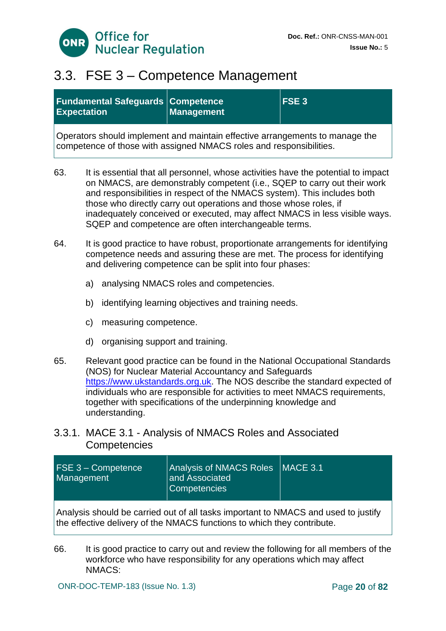

## <span id="page-19-0"></span>3.3. FSE 3 – Competence Management

| <b>Fundamental Safeguards Competence</b><br><b>Expectation</b>                                                                                      | <b>Management</b> | <b>FSE3</b> |  |
|-----------------------------------------------------------------------------------------------------------------------------------------------------|-------------------|-------------|--|
| Operators should implement and maintain effective arrangements to manage the<br>competence of those with assigned NMACS roles and responsibilities. |                   |             |  |

63. It is essential that all personnel, whose activities have the potential to impact on NMACS, are demonstrably competent (i.e., SQEP to carry out their work and responsibilities in respect of the NMACS system). This includes both those who directly carry out operations and those whose roles, if inadequately conceived or executed, may affect NMACS in less visible ways. SQEP and competence are often interchangeable terms.

- 64. It is good practice to have robust, proportionate arrangements for identifying competence needs and assuring these are met. The process for identifying and delivering competence can be split into four phases:
	- a) analysing NMACS roles and competencies.
	- b) identifying learning objectives and training needs.
	- c) measuring competence.
	- d) organising support and training.
- 65. Relevant good practice can be found in the National Occupational Standards (NOS) for Nuclear Material Accountancy and Safeguards [https://www.ukstandards.org.uk.](https://www.ukstandards.org.uk/) The NOS describe the standard expected of individuals who are responsible for activities to meet NMACS requirements, together with specifications of the underpinning knowledge and understanding.

### 3.3.1. MACE 3.1 - Analysis of NMACS Roles and Associated **Competencies**

| <b>FSE 3 - Competence</b><br>Management | Analysis of NMACS Roles   MACE 3.1<br>and Associated <sup>1</sup><br>Competencies |  |
|-----------------------------------------|-----------------------------------------------------------------------------------|--|
|-----------------------------------------|-----------------------------------------------------------------------------------|--|

Analysis should be carried out of all tasks important to NMACS and used to justify the effective delivery of the NMACS functions to which they contribute.

66. It is good practice to carry out and review the following for all members of the workforce who have responsibility for any operations which may affect NMACS: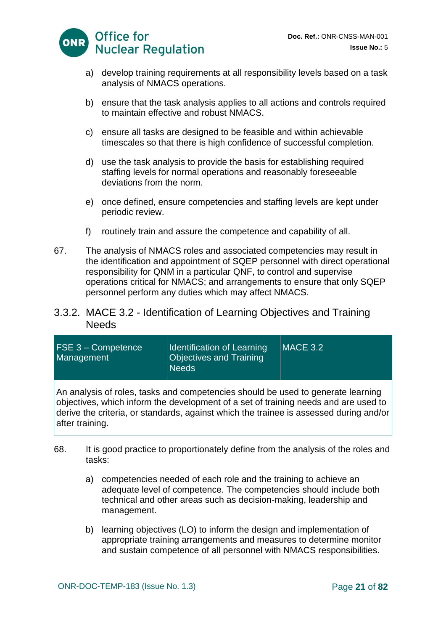

- a) develop training requirements at all responsibility levels based on a task analysis of NMACS operations.
- b) ensure that the task analysis applies to all actions and controls required to maintain effective and robust NMACS.
- c) ensure all tasks are designed to be feasible and within achievable timescales so that there is high confidence of successful completion.
- d) use the task analysis to provide the basis for establishing required staffing levels for normal operations and reasonably foreseeable deviations from the norm.
- e) once defined, ensure competencies and staffing levels are kept under periodic review.
- f) routinely train and assure the competence and capability of all.
- 67. The analysis of NMACS roles and associated competencies may result in the identification and appointment of SQEP personnel with direct operational responsibility for QNM in a particular QNF, to control and supervise operations critical for NMACS; and arrangements to ensure that only SQEP personnel perform any duties which may affect NMACS.

#### 3.3.2. MACE 3.2 - Identification of Learning Objectives and Training **Needs**

| <b>FSE 3 - Competence</b><br>Management | Identification of Learning<br><b>Objectives and Training</b><br><b>Needs</b> | $MACE$ 3.2 |
|-----------------------------------------|------------------------------------------------------------------------------|------------|
|                                         |                                                                              |            |

An analysis of roles, tasks and competencies should be used to generate learning objectives, which inform the development of a set of training needs and are used to derive the criteria, or standards, against which the trainee is assessed during and/or after training.

- 68. It is good practice to proportionately define from the analysis of the roles and tasks:
	- a) competencies needed of each role and the training to achieve an adequate level of competence. The competencies should include both technical and other areas such as decision-making, leadership and management.
	- b) learning objectives (LO) to inform the design and implementation of appropriate training arrangements and measures to determine monitor and sustain competence of all personnel with NMACS responsibilities.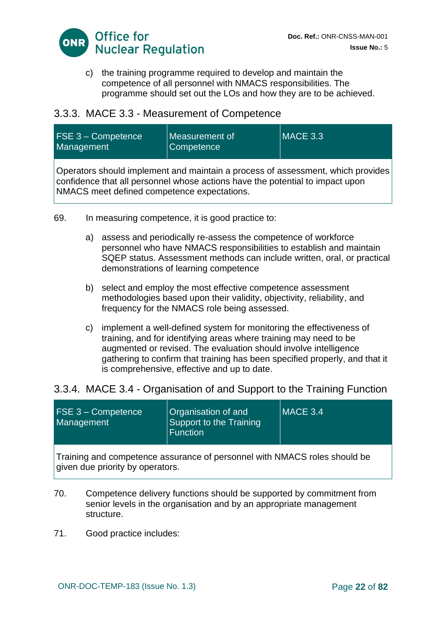

c) the training programme required to develop and maintain the competence of all personnel with NMACS responsibilities. The programme should set out the LOs and how they are to be achieved.

### 3.3.3. MACE 3.3 - Measurement of Competence

| <b>FSE 3 - Competence</b><br>Management | llMeasurement of<br> Competence | $\vert\vert$ MACE 3.3 $\vert$ |
|-----------------------------------------|---------------------------------|-------------------------------|
|-----------------------------------------|---------------------------------|-------------------------------|

Operators should implement and maintain a process of assessment, which provides confidence that all personnel whose actions have the potential to impact upon NMACS meet defined competence expectations.

- 69. In measuring competence, it is good practice to:
	- a) assess and periodically re-assess the competence of workforce personnel who have NMACS responsibilities to establish and maintain SQEP status. Assessment methods can include written, oral, or practical demonstrations of learning competence
	- b) select and employ the most effective competence assessment methodologies based upon their validity, objectivity, reliability, and frequency for the NMACS role being assessed.
	- c) implement a well-defined system for monitoring the effectiveness of training, and for identifying areas where training may need to be augmented or revised. The evaluation should involve intelligence gathering to confirm that training has been specified properly, and that it is comprehensive, effective and up to date.

### 3.3.4. MACE 3.4 - Organisation of and Support to the Training Function

| <b>FSE 3 - Competence</b><br>Management                                                                       | Organisation of and<br>Support to the Training<br><b>Function</b> | $MACE$ 3.4 |
|---------------------------------------------------------------------------------------------------------------|-------------------------------------------------------------------|------------|
| Training and competence assurance of personnel with NMACS roles should be<br>given due priority by operators. |                                                                   |            |

- 70. Competence delivery functions should be supported by commitment from senior levels in the organisation and by an appropriate management structure.
- 71. Good practice includes: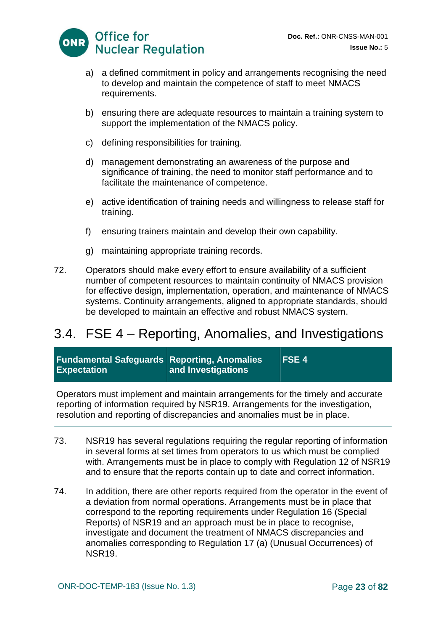

- a) a defined commitment in policy and arrangements recognising the need to develop and maintain the competence of staff to meet NMACS requirements.
- b) ensuring there are adequate resources to maintain a training system to support the implementation of the NMACS policy.
- c) defining responsibilities for training.
- d) management demonstrating an awareness of the purpose and significance of training, the need to monitor staff performance and to facilitate the maintenance of competence.
- e) active identification of training needs and willingness to release staff for training.
- f) ensuring trainers maintain and develop their own capability.
- g) maintaining appropriate training records.
- 72. Operators should make every effort to ensure availability of a sufficient number of competent resources to maintain continuity of NMACS provision for effective design, implementation, operation, and maintenance of NMACS systems. Continuity arrangements, aligned to appropriate standards, should be developed to maintain an effective and robust NMACS system.

## <span id="page-22-0"></span>3.4. FSE 4 – Reporting, Anomalies, and Investigations

| <b>Fundamental Safeguards Reporting, Anomalies</b><br><b>Expectation</b>                                                                                                                                                                       | and Investigations | <b>IFSE4</b> |
|------------------------------------------------------------------------------------------------------------------------------------------------------------------------------------------------------------------------------------------------|--------------------|--------------|
| Operators must implement and maintain arrangements for the timely and accurate<br>reporting of information required by NSR19. Arrangements for the investigation,<br>resolution and reporting of discrepancies and anomalies must be in place. |                    |              |

- 73. NSR19 has several regulations requiring the regular reporting of information in several forms at set times from operators to us which must be complied with. Arrangements must be in place to comply with Regulation 12 of NSR19 and to ensure that the reports contain up to date and correct information.
- 74. In addition, there are other reports required from the operator in the event of a deviation from normal operations. Arrangements must be in place that correspond to the reporting requirements under Regulation 16 (Special Reports) of NSR19 and an approach must be in place to recognise, investigate and document the treatment of NMACS discrepancies and anomalies corresponding to Regulation 17 (a) (Unusual Occurrences) of NSR19.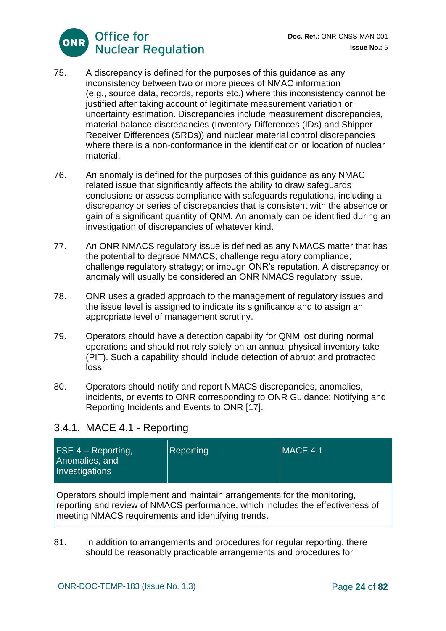

- 75. A discrepancy is defined for the purposes of this guidance as any inconsistency between two or more pieces of NMAC information (e.g., source data, records, reports etc.) where this inconsistency cannot be justified after taking account of legitimate measurement variation or uncertainty estimation. Discrepancies include measurement discrepancies, material balance discrepancies (Inventory Differences (IDs) and Shipper Receiver Differences (SRDs)) and nuclear material control discrepancies where there is a non-conformance in the identification or location of nuclear material.
- 76. An anomaly is defined for the purposes of this guidance as any NMAC related issue that significantly affects the ability to draw safeguards conclusions or assess compliance with safeguards regulations, including a discrepancy or series of discrepancies that is consistent with the absence or gain of a significant quantity of QNM. An anomaly can be identified during an investigation of discrepancies of whatever kind.
- 77. An ONR NMACS regulatory issue is defined as any NMACS matter that has the potential to degrade NMACS; challenge regulatory compliance; challenge regulatory strategy; or impugn ONR's reputation. A discrepancy or anomaly will usually be considered an ONR NMACS regulatory issue.
- 78. ONR uses a graded approach to the management of regulatory issues and the issue level is assigned to indicate its significance and to assign an appropriate level of management scrutiny.
- 79. Operators should have a detection capability for QNM lost during normal operations and should not rely solely on an annual physical inventory take (PIT). Such a capability should include detection of abrupt and protracted loss.
- 80. Operators should notify and report NMACS discrepancies, anomalies, incidents, or events to ONR corresponding to ONR Guidance: Notifying and Reporting Incidents and Events to ONR [17].

### 3.4.1. MACE 4.1 - Reporting

| $\mathsf{FSE}$ 4 – Reporting,<br>Anomalies, and<br>Investigations | <b>Reporting</b> | $MACE$ 4.1 |
|-------------------------------------------------------------------|------------------|------------|
|                                                                   |                  |            |

Operators should implement and maintain arrangements for the monitoring, reporting and review of NMACS performance, which includes the effectiveness of meeting NMACS requirements and identifying trends.

81. In addition to arrangements and procedures for regular reporting, there should be reasonably practicable arrangements and procedures for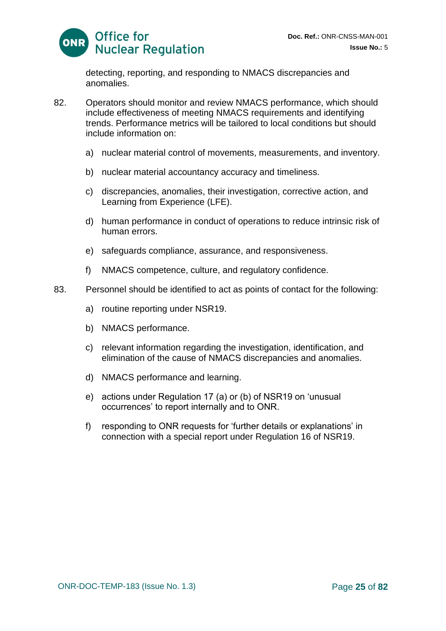

detecting, reporting, and responding to NMACS discrepancies and anomalies.

- 82. Operators should monitor and review NMACS performance, which should include effectiveness of meeting NMACS requirements and identifying trends. Performance metrics will be tailored to local conditions but should include information on:
	- a) nuclear material control of movements, measurements, and inventory.
	- b) nuclear material accountancy accuracy and timeliness.
	- c) discrepancies, anomalies, their investigation, corrective action, and Learning from Experience (LFE).
	- d) human performance in conduct of operations to reduce intrinsic risk of human errors.
	- e) safeguards compliance, assurance, and responsiveness.
	- f) NMACS competence, culture, and regulatory confidence.
- 83. Personnel should be identified to act as points of contact for the following:
	- a) routine reporting under NSR19.
	- b) NMACS performance.
	- c) relevant information regarding the investigation, identification, and elimination of the cause of NMACS discrepancies and anomalies.
	- d) NMACS performance and learning.
	- e) actions under Regulation 17 (a) or (b) of NSR19 on 'unusual occurrences' to report internally and to ONR.
	- f) responding to ONR requests for 'further details or explanations' in connection with a special report under Regulation 16 of NSR19.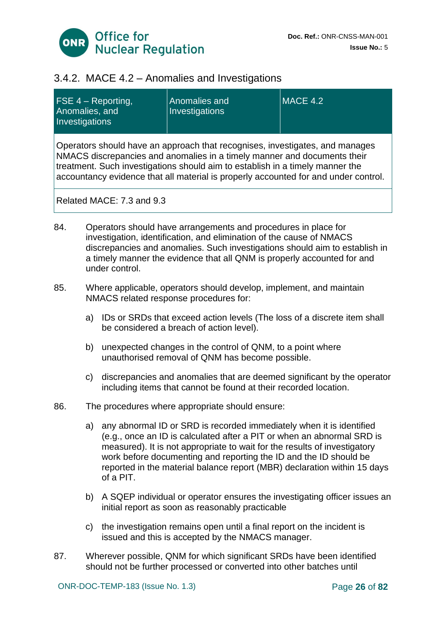

### 3.4.2. MACE 4.2 – Anomalies and Investigations

| $FSE$ 4 – Reporting,<br>Anomalies, and<br>Investigations                                                                                                                                                                                                                                                                         | Anomalies and<br>Investigations | MACE 4.2 |
|----------------------------------------------------------------------------------------------------------------------------------------------------------------------------------------------------------------------------------------------------------------------------------------------------------------------------------|---------------------------------|----------|
| Operators should have an approach that recognises, investigates, and manages<br>NMACS discrepancies and anomalies in a timely manner and documents their<br>treatment. Such investigations should aim to establish in a timely manner the<br>accountancy evidence that all material is properly accounted for and under control. |                                 |          |
| Related MACE: 7.3 and 9.3                                                                                                                                                                                                                                                                                                        |                                 |          |

- 84. Operators should have arrangements and procedures in place for investigation, identification, and elimination of the cause of NMACS discrepancies and anomalies. Such investigations should aim to establish in a timely manner the evidence that all QNM is properly accounted for and under control.
- 85. Where applicable, operators should develop, implement, and maintain NMACS related response procedures for:
	- a) IDs or SRDs that exceed action levels (The loss of a discrete item shall be considered a breach of action level).
	- b) unexpected changes in the control of QNM, to a point where unauthorised removal of QNM has become possible.
	- c) discrepancies and anomalies that are deemed significant by the operator including items that cannot be found at their recorded location.
- 86. The procedures where appropriate should ensure:
	- a) any abnormal ID or SRD is recorded immediately when it is identified (e.g., once an ID is calculated after a PIT or when an abnormal SRD is measured). It is not appropriate to wait for the results of investigatory work before documenting and reporting the ID and the ID should be reported in the material balance report (MBR) declaration within 15 days of a PIT.
	- b) A SQEP individual or operator ensures the investigating officer issues an initial report as soon as reasonably practicable
	- c) the investigation remains open until a final report on the incident is issued and this is accepted by the NMACS manager.
- 87. Wherever possible, QNM for which significant SRDs have been identified should not be further processed or converted into other batches until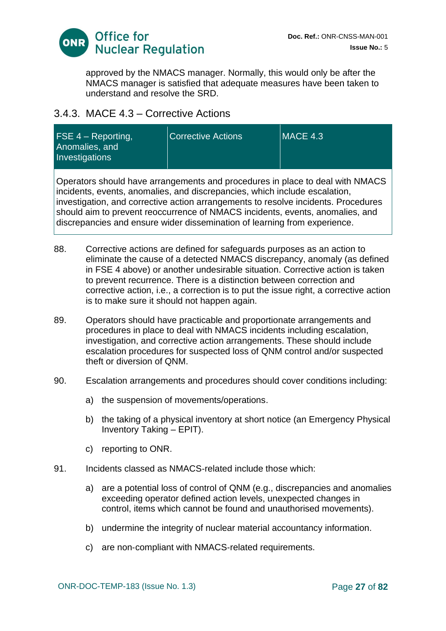

approved by the NMACS manager. Normally, this would only be after the NMACS manager is satisfied that adequate measures have been taken to understand and resolve the SRD.

### 3.4.3. MACE 4.3 – Corrective Actions

| $FSE 4 - Reporting,$<br>Anomalies, and<br>Investigations | <b>Corrective Actions</b> | $MACE$ 4.3 |
|----------------------------------------------------------|---------------------------|------------|
|                                                          |                           |            |

Operators should have arrangements and procedures in place to deal with NMACS incidents, events, anomalies, and discrepancies, which include escalation, investigation, and corrective action arrangements to resolve incidents. Procedures should aim to prevent reoccurrence of NMACS incidents, events, anomalies, and discrepancies and ensure wider dissemination of learning from experience.

- 88. Corrective actions are defined for safeguards purposes as an action to eliminate the cause of a detected NMACS discrepancy, anomaly (as defined in FSE 4 above) or another undesirable situation. Corrective action is taken to prevent recurrence. There is a distinction between correction and corrective action, i.e., a correction is to put the issue right, a corrective action is to make sure it should not happen again.
- 89. Operators should have practicable and proportionate arrangements and procedures in place to deal with NMACS incidents including escalation, investigation, and corrective action arrangements. These should include escalation procedures for suspected loss of QNM control and/or suspected theft or diversion of QNM.
- 90. Escalation arrangements and procedures should cover conditions including:
	- a) the suspension of movements/operations.
	- b) the taking of a physical inventory at short notice (an Emergency Physical Inventory Taking – EPIT).
	- c) reporting to ONR.
- 91. Incidents classed as NMACS-related include those which:
	- a) are a potential loss of control of QNM (e.g., discrepancies and anomalies exceeding operator defined action levels, unexpected changes in control, items which cannot be found and unauthorised movements).
	- b) undermine the integrity of nuclear material accountancy information.
	- c) are non-compliant with NMACS-related requirements.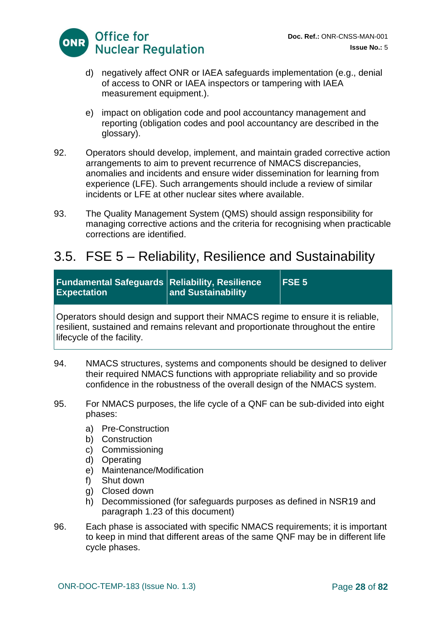

- d) negatively affect ONR or IAEA safeguards implementation (e.g., denial of access to ONR or IAEA inspectors or tampering with IAEA measurement equipment.).
- e) impact on obligation code and pool accountancy management and reporting (obligation codes and pool accountancy are described in the glossary).
- 92. Operators should develop, implement, and maintain graded corrective action arrangements to aim to prevent recurrence of NMACS discrepancies, anomalies and incidents and ensure wider dissemination for learning from experience (LFE). Such arrangements should include a review of similar incidents or LFE at other nuclear sites where available.
- 93. The Quality Management System (QMS) should assign responsibility for managing corrective actions and the criteria for recognising when practicable corrections are identified.

## <span id="page-27-0"></span>3.5. FSE 5 – Reliability, Resilience and Sustainability

| <b>Fundamental Safeguards Reliability, Resilience</b><br><b>Expectation</b>                                                                                           | and Sustainability | FSE <sub>5</sub> |
|-----------------------------------------------------------------------------------------------------------------------------------------------------------------------|--------------------|------------------|
| Operators should design and support their NMACS regime to ensure it is reliable,<br>resilient, sustained and remains relevant and proportionate throughout the entire |                    |                  |

 $\mathop{\text{and}}$  remains relevant and proportionate throughout the entire lifecycle of the facility.

- 94. NMACS structures, systems and components should be designed to deliver their required NMACS functions with appropriate reliability and so provide confidence in the robustness of the overall design of the NMACS system.
- 95. For NMACS purposes, the life cycle of a QNF can be sub-divided into eight phases:
	- a) Pre-Construction
	- b) Construction
	- c) Commissioning
	- d) Operating
	- e) Maintenance/Modification
	- f) Shut down
	- g) Closed down
	- h) Decommissioned (for safeguards purposes as defined in NSR19 and paragraph 1.23 of this document)
- 96. Each phase is associated with specific NMACS requirements; it is important to keep in mind that different areas of the same QNF may be in different life cycle phases.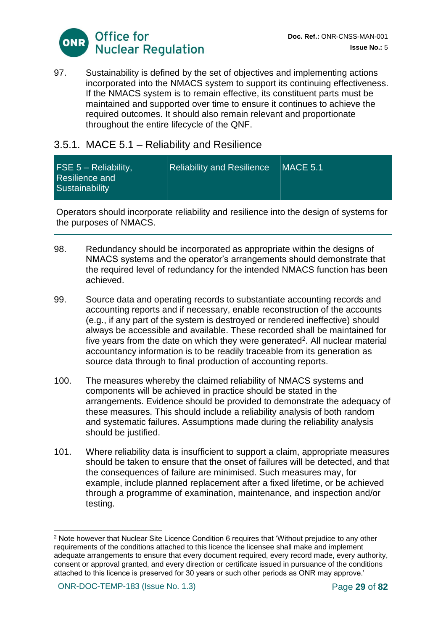

97. Sustainability is defined by the set of objectives and implementing actions incorporated into the NMACS system to support its continuing effectiveness. If the NMACS system is to remain effective, its constituent parts must be maintained and supported over time to ensure it continues to achieve the required outcomes. It should also remain relevant and proportionate throughout the entire lifecycle of the QNF.

### 3.5.1. MACE 5.1 – Reliability and Resilience

Operators should incorporate reliability and resilience into the design of systems for the purposes of NMACS.

- 98. Redundancy should be incorporated as appropriate within the designs of NMACS systems and the operator's arrangements should demonstrate that the required level of redundancy for the intended NMACS function has been achieved.
- 99. Source data and operating records to substantiate accounting records and accounting reports and if necessary, enable reconstruction of the accounts (e.g., if any part of the system is destroyed or rendered ineffective) should always be accessible and available. These recorded shall be maintained for five years from the date on which they were generated<sup>2</sup>. All nuclear material accountancy information is to be readily traceable from its generation as source data through to final production of accounting reports.
- 100. The measures whereby the claimed reliability of NMACS systems and components will be achieved in practice should be stated in the arrangements. Evidence should be provided to demonstrate the adequacy of these measures. This should include a reliability analysis of both random and systematic failures. Assumptions made during the reliability analysis should be justified.
- 101. Where reliability data is insufficient to support a claim, appropriate measures should be taken to ensure that the onset of failures will be detected, and that the consequences of failure are minimised. Such measures may, for example, include planned replacement after a fixed lifetime, or be achieved through a programme of examination, maintenance, and inspection and/or testing.

<sup>2</sup> Note however that Nuclear Site Licence Condition 6 requires that 'Without prejudice to any other requirements of the conditions attached to this licence the licensee shall make and implement adequate arrangements to ensure that every document required, every record made, every authority, consent or approval granted, and every direction or certificate issued in pursuance of the conditions attached to this licence is preserved for 30 years or such other periods as ONR may approve.'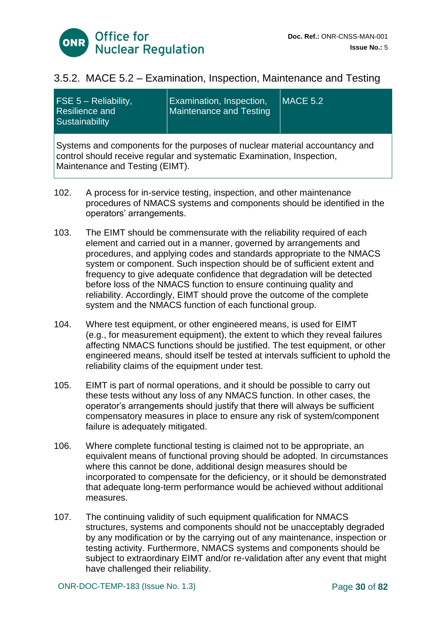

### 3.5.2. MACE 5.2 – Examination, Inspection, Maintenance and Testing

| FSE $5 -$ Reliability,<br><b>Resilience and</b><br>Sustainability                                                                                                                        | Examination, Inspection,<br>Maintenance and Testing | $MACE$ 5.2 |
|------------------------------------------------------------------------------------------------------------------------------------------------------------------------------------------|-----------------------------------------------------|------------|
| Systems and components for the purposes of nuclear material accountancy and<br>control should receive regular and systematic Examination, Inspection,<br>Maintenance and Testing (EIMT). |                                                     |            |

- 102. A process for in-service testing, inspection, and other maintenance procedures of NMACS systems and components should be identified in the operators' arrangements.
- 103. The EIMT should be commensurate with the reliability required of each element and carried out in a manner, governed by arrangements and procedures, and applying codes and standards appropriate to the NMACS system or component. Such inspection should be of sufficient extent and frequency to give adequate confidence that degradation will be detected before loss of the NMACS function to ensure continuing quality and reliability. Accordingly, EIMT should prove the outcome of the complete system and the NMACS function of each functional group.
- 104. Where test equipment, or other engineered means, is used for EIMT (e.g., for measurement equipment), the extent to which they reveal failures affecting NMACS functions should be justified. The test equipment, or other engineered means, should itself be tested at intervals sufficient to uphold the reliability claims of the equipment under test.
- 105. EIMT is part of normal operations, and it should be possible to carry out these tests without any loss of any NMACS function. In other cases, the operator's arrangements should justify that there will always be sufficient compensatory measures in place to ensure any risk of system/component failure is adequately mitigated.
- 106. Where complete functional testing is claimed not to be appropriate, an equivalent means of functional proving should be adopted. In circumstances where this cannot be done, additional design measures should be incorporated to compensate for the deficiency, or it should be demonstrated that adequate long-term performance would be achieved without additional measures.
- 107. The continuing validity of such equipment qualification for NMACS structures, systems and components should not be unacceptably degraded by any modification or by the carrying out of any maintenance, inspection or testing activity. Furthermore, NMACS systems and components should be subject to extraordinary EIMT and/or re-validation after any event that might have challenged their reliability.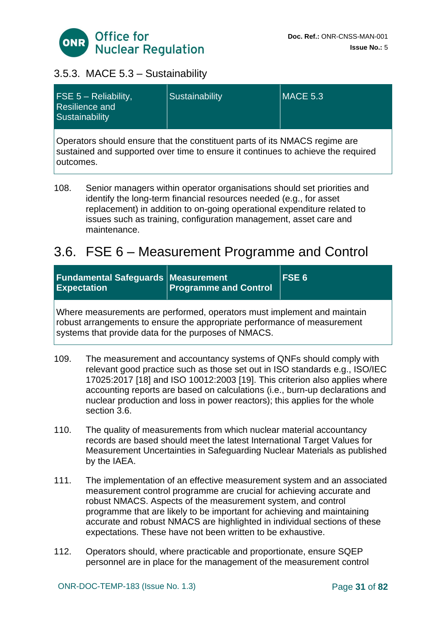

### 3.5.3. MACE 5.3 – Sustainability

| $FSE 5 - Reliability,$<br><b>Resilience and</b><br>Sustainability                                                                                              | Sustainability | <b>MACE 5.3</b> |
|----------------------------------------------------------------------------------------------------------------------------------------------------------------|----------------|-----------------|
| Operators should ensure that the constituent parts of its NMACS regime are<br>sustained and supported over time to ensure it continues to achieve the required |                |                 |

outcomes.

108. Senior managers within operator organisations should set priorities and identify the long-term financial resources needed (e.g., for asset replacement) in addition to on-going operational expenditure related to issues such as training, configuration management, asset care and maintenance.

# <span id="page-30-0"></span>3.6. FSE 6 – Measurement Programme and Control

| <b>Fundamental Safeguards Measurement</b><br><b>Expectation</b>                                                                                                                                             | <b>Programme and Control</b> | $ $ FSE 6 |
|-------------------------------------------------------------------------------------------------------------------------------------------------------------------------------------------------------------|------------------------------|-----------|
| Where measurements are performed, operators must implement and maintain<br>robust arrangements to ensure the appropriate performance of measurement<br>systems that provide data for the purposes of NMACS. |                              |           |

- 109. The measurement and accountancy systems of QNFs should comply with relevant good practice such as those set out in ISO standards e.g., ISO/IEC 17025:2017 [18] and ISO 10012:2003 [19]. This criterion also applies where accounting reports are based on calculations (i.e., burn-up declarations and nuclear production and loss in power reactors); this applies for the whole section 3.6.
- 110. The quality of measurements from which nuclear material accountancy records are based should meet the latest International Target Values for Measurement Uncertainties in Safeguarding Nuclear Materials as published by the IAEA.
- 111. The implementation of an effective measurement system and an associated measurement control programme are crucial for achieving accurate and robust NMACS. Aspects of the measurement system, and control programme that are likely to be important for achieving and maintaining accurate and robust NMACS are highlighted in individual sections of these expectations. These have not been written to be exhaustive.
- 112. Operators should, where practicable and proportionate, ensure SQEP personnel are in place for the management of the measurement control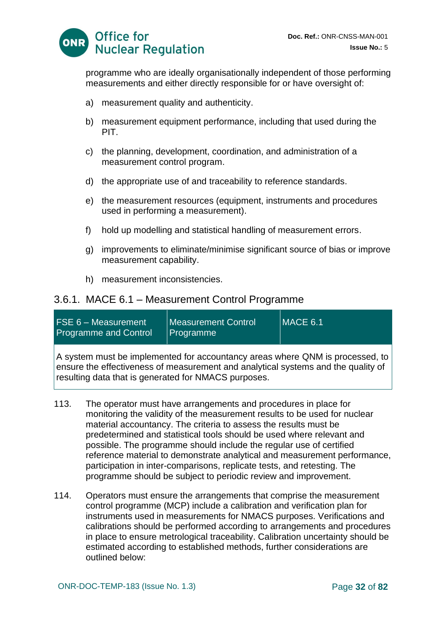

programme who are ideally organisationally independent of those performing measurements and either directly responsible for or have oversight of:

- a) measurement quality and authenticity.
- b) measurement equipment performance, including that used during the PIT.
- c) the planning, development, coordination, and administration of a measurement control program.
- d) the appropriate use of and traceability to reference standards.
- e) the measurement resources (equipment, instruments and procedures used in performing a measurement).
- f) hold up modelling and statistical handling of measurement errors.
- g) improvements to eliminate/minimise significant source of bias or improve measurement capability.
- h) measurement inconsistencies.

#### 3.6.1. MACE 6.1 – Measurement Control Programme

| $FSE 6 - Measurement$<br><b>Programme and Control</b>                         | Measurement Control<br>Programme | MACE 6.1 |
|-------------------------------------------------------------------------------|----------------------------------|----------|
| A system must be implemented for accountancy areas where QNM is processed, to |                                  |          |

ensure the effectiveness of measurement and analytical systems and the quality of resulting data that is generated for NMACS purposes.

- 113. The operator must have arrangements and procedures in place for monitoring the validity of the measurement results to be used for nuclear material accountancy. The criteria to assess the results must be predetermined and statistical tools should be used where relevant and possible. The programme should include the regular use of certified reference material to demonstrate analytical and measurement performance, participation in inter-comparisons, replicate tests, and retesting. The programme should be subject to periodic review and improvement.
- 114. Operators must ensure the arrangements that comprise the measurement control programme (MCP) include a calibration and verification plan for instruments used in measurements for NMACS purposes. Verifications and calibrations should be performed according to arrangements and procedures in place to ensure metrological traceability. Calibration uncertainty should be estimated according to established methods, further considerations are outlined below: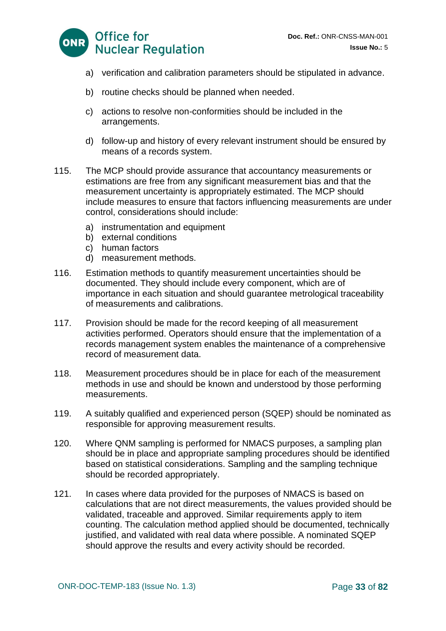

- a) verification and calibration parameters should be stipulated in advance.
- b) routine checks should be planned when needed.
- c) actions to resolve non-conformities should be included in the arrangements.
- d) follow-up and history of every relevant instrument should be ensured by means of a records system.
- 115. The MCP should provide assurance that accountancy measurements or estimations are free from any significant measurement bias and that the measurement uncertainty is appropriately estimated. The MCP should include measures to ensure that factors influencing measurements are under control, considerations should include:
	- a) instrumentation and equipment
	- b) external conditions
	- c) human factors
	- d) measurement methods.
- 116. Estimation methods to quantify measurement uncertainties should be documented. They should include every component, which are of importance in each situation and should guarantee metrological traceability of measurements and calibrations.
- 117. Provision should be made for the record keeping of all measurement activities performed. Operators should ensure that the implementation of a records management system enables the maintenance of a comprehensive record of measurement data.
- 118. Measurement procedures should be in place for each of the measurement methods in use and should be known and understood by those performing measurements.
- 119. A suitably qualified and experienced person (SQEP) should be nominated as responsible for approving measurement results.
- 120. Where QNM sampling is performed for NMACS purposes, a sampling plan should be in place and appropriate sampling procedures should be identified based on statistical considerations. Sampling and the sampling technique should be recorded appropriately.
- 121. In cases where data provided for the purposes of NMACS is based on calculations that are not direct measurements, the values provided should be validated, traceable and approved. Similar requirements apply to item counting. The calculation method applied should be documented, technically justified, and validated with real data where possible. A nominated SQEP should approve the results and every activity should be recorded.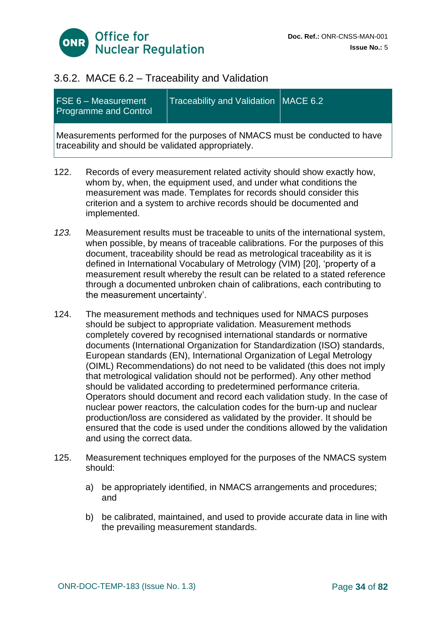

### 3.6.2. MACE 6.2 – Traceability and Validation

| FSE 6 - Measurement<br><b>Programme and Control</b>                                                                               | Traceability and Validation   MACE 6.2 |  |
|-----------------------------------------------------------------------------------------------------------------------------------|----------------------------------------|--|
| Measurements performed for the purposes of NMACS must be conducted to have<br>traceability and should be validated appropriately. |                                        |  |

- 122. Records of every measurement related activity should show exactly how, whom by, when, the equipment used, and under what conditions the measurement was made. Templates for records should consider this criterion and a system to archive records should be documented and implemented.
- *123.* Measurement results must be traceable to units of the international system, when possible, by means of traceable calibrations. For the purposes of this document, traceability should be read as metrological traceability as it is defined in International Vocabulary of Metrology (VIM) [20], 'property of a measurement result whereby the result can be related to a stated reference through a documented unbroken chain of calibrations, each contributing to the measurement uncertainty'.
- 124. The measurement methods and techniques used for NMACS purposes should be subject to appropriate validation. Measurement methods completely covered by recognised international standards or normative documents (International Organization for Standardization (ISO) standards, European standards (EN), International Organization of Legal Metrology (OIML) Recommendations) do not need to be validated (this does not imply that metrological validation should not be performed). Any other method should be validated according to predetermined performance criteria. Operators should document and record each validation study. In the case of nuclear power reactors, the calculation codes for the burn-up and nuclear production/loss are considered as validated by the provider. It should be ensured that the code is used under the conditions allowed by the validation and using the correct data.
- 125. Measurement techniques employed for the purposes of the NMACS system should:
	- a) be appropriately identified, in NMACS arrangements and procedures; and
	- b) be calibrated, maintained, and used to provide accurate data in line with the prevailing measurement standards.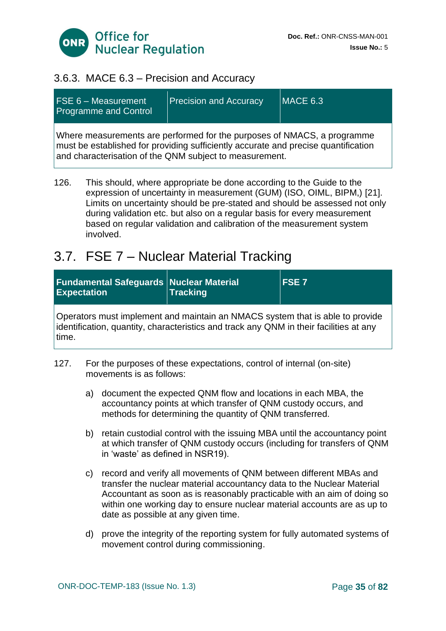

### 3.6.3. MACE 6.3 – Precision and Accuracy

| <b>FSE 6 - Measurement</b><br><b>Programme and Control</b>                                                                                                                                                               | <b>Precision and Accuracy</b> | $MACE$ 6.3 |
|--------------------------------------------------------------------------------------------------------------------------------------------------------------------------------------------------------------------------|-------------------------------|------------|
| Where measurements are performed for the purposes of NMACS, a programme<br>must be established for providing sufficiently accurate and precise quantification<br>and characterisation of the QNM subject to measurement. |                               |            |

126. This should, where appropriate be done according to the Guide to the expression of uncertainty in measurement (GUM) (ISO, OIML, BIPM,) [21]. Limits on uncertainty should be pre-stated and should be assessed not only during validation etc. but also on a regular basis for every measurement based on regular validation and calibration of the measurement system involved.

### <span id="page-34-0"></span>3.7. FSE 7 – Nuclear Material Tracking

| <b>Fundamental Safeguards Nuclear Material</b><br><b>Expectation</b> | <b>Tracking</b> | <b>IFSE7</b> |
|----------------------------------------------------------------------|-----------------|--------------|
|                                                                      |                 |              |

Operators must implement and maintain an NMACS system that is able to provide identification, quantity, characteristics and track any QNM in their facilities at any time.

- 127. For the purposes of these expectations, control of internal (on-site) movements is as follows:
	- a) document the expected QNM flow and locations in each MBA, the accountancy points at which transfer of QNM custody occurs, and methods for determining the quantity of QNM transferred.
	- b) retain custodial control with the issuing MBA until the accountancy point at which transfer of QNM custody occurs (including for transfers of QNM in 'waste' as defined in NSR19).
	- c) record and verify all movements of QNM between different MBAs and transfer the nuclear material accountancy data to the Nuclear Material Accountant as soon as is reasonably practicable with an aim of doing so within one working day to ensure nuclear material accounts are as up to date as possible at any given time.
	- d) prove the integrity of the reporting system for fully automated systems of movement control during commissioning.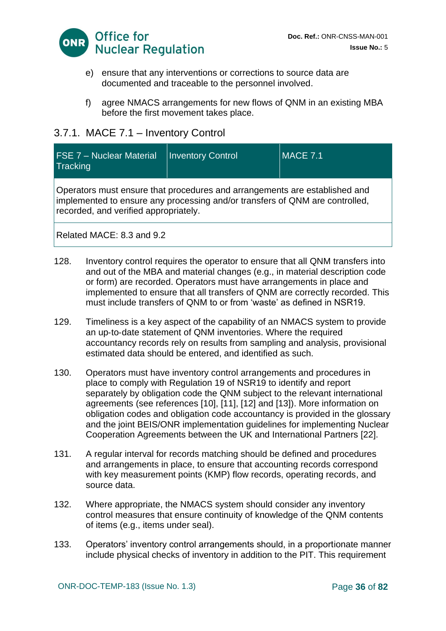

- e) ensure that any interventions or corrections to source data are documented and traceable to the personnel involved.
- f) agree NMACS arrangements for new flows of QNM in an existing MBA before the first movement takes place.

### 3.7.1. MACE 7.1 – Inventory Control

| <b>FSE 7 - Nuclear Material</b><br>Tracking                                                                                                                                                         | <b>Inventory Control</b> | <b>IMACE 7.1</b> |
|-----------------------------------------------------------------------------------------------------------------------------------------------------------------------------------------------------|--------------------------|------------------|
| Operators must ensure that procedures and arrangements are established and<br>implemented to ensure any processing and/or transfers of QNM are controlled,<br>recorded, and verified appropriately. |                          |                  |
| Related MACE: 8.3 and 9.2                                                                                                                                                                           |                          |                  |

128. Inventory control requires the operator to ensure that all QNM transfers into and out of the MBA and material changes (e.g., in material description code or form) are recorded. Operators must have arrangements in place and implemented to ensure that all transfers of QNM are correctly recorded. This must include transfers of QNM to or from 'waste' as defined in NSR19.

- 129. Timeliness is a key aspect of the capability of an NMACS system to provide an up-to-date statement of QNM inventories. Where the required accountancy records rely on results from sampling and analysis, provisional estimated data should be entered, and identified as such.
- 130. Operators must have inventory control arrangements and procedures in place to comply with Regulation 19 of NSR19 to identify and report separately by obligation code the QNM subject to the relevant international agreements (see references [10], [11], [12] and [13]). More information on obligation codes and obligation code accountancy is provided in the glossary and the joint BEIS/ONR implementation quidelines for implementing Nuclear Cooperation Agreements between the UK and International Partners [22].
- 131. A regular interval for records matching should be defined and procedures and arrangements in place, to ensure that accounting records correspond with key measurement points (KMP) flow records, operating records, and source data.
- 132. Where appropriate, the NMACS system should consider any inventory control measures that ensure continuity of knowledge of the QNM contents of items (e.g., items under seal).
- 133. Operators' inventory control arrangements should, in a proportionate manner include physical checks of inventory in addition to the PIT. This requirement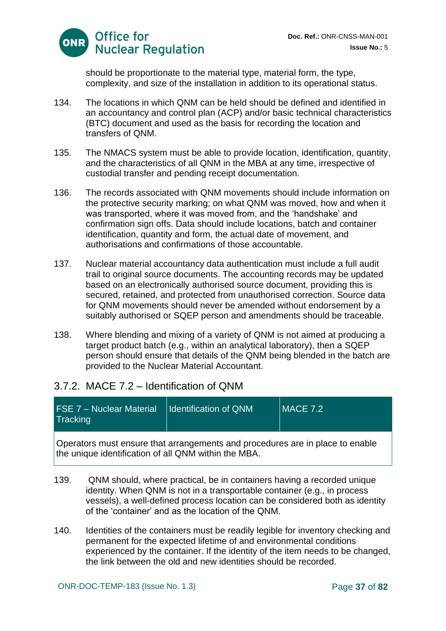

should be proportionate to the material type, material form, the type, complexity, and size of the installation in addition to its operational status.

- 134. The locations in which QNM can be held should be defined and identified in an accountancy and control plan (ACP) and/or basic technical characteristics (BTC) document and used as the basis for recording the location and transfers of QNM.
- 135. The NMACS system must be able to provide location, identification, quantity, and the characteristics of all QNM in the MBA at any time, irrespective of custodial transfer and pending receipt documentation.
- 136. The records associated with QNM movements should include information on the protective security marking; on what QNM was moved, how and when it was transported, where it was moved from, and the 'handshake' and confirmation sign offs. Data should include locations, batch and container identification, quantity and form, the actual date of movement, and authorisations and confirmations of those accountable.
- 137. Nuclear material accountancy data authentication must include a full audit trail to original source documents. The accounting records may be updated based on an electronically authorised source document, providing this is secured, retained, and protected from unauthorised correction. Source data for QNM movements should never be amended without endorsement by a suitably authorised or SQEP person and amendments should be traceable.
- 138. Where blending and mixing of a variety of QNM is not aimed at producing a target product batch (e.g., within an analytical laboratory), then a SQEP person should ensure that details of the QNM being blended in the batch are provided to the Nuclear Material Accountant.

## 3.7.2. MACE 7.2 – Identification of QNM

| <b>FSE 7 - Nuclear Material</b><br>$MACE$ 7.2<br><b>Identification of QNM</b><br>Tracking |
|-------------------------------------------------------------------------------------------|
|-------------------------------------------------------------------------------------------|

Operators must ensure that arrangements and procedures are in place to enable the unique identification of all QNM within the MBA.

- 139. QNM should, where practical, be in containers having a recorded unique identity. When QNM is not in a transportable container (e.g., in process vessels), a well-defined process location can be considered both as identity of the 'container' and as the location of the QNM.
- 140. Identities of the containers must be readily legible for inventory checking and permanent for the expected lifetime of and environmental conditions experienced by the container. If the identity of the item needs to be changed, the link between the old and new identities should be recorded.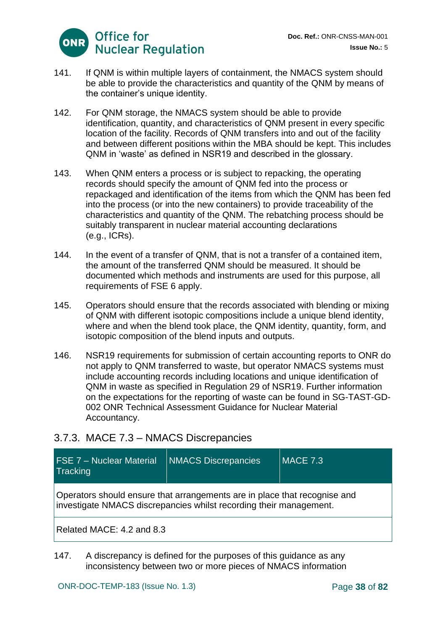

- 141. If QNM is within multiple layers of containment, the NMACS system should be able to provide the characteristics and quantity of the QNM by means of the container's unique identity.
- 142. For QNM storage, the NMACS system should be able to provide identification, quantity, and characteristics of QNM present in every specific location of the facility. Records of QNM transfers into and out of the facility and between different positions within the MBA should be kept. This includes QNM in 'waste' as defined in NSR19 and described in the glossary.
- 143. When QNM enters a process or is subject to repacking, the operating records should specify the amount of QNM fed into the process or repackaged and identification of the items from which the QNM has been fed into the process (or into the new containers) to provide traceability of the characteristics and quantity of the QNM. The rebatching process should be suitably transparent in nuclear material accounting declarations (e.g., ICRs).
- 144. In the event of a transfer of QNM, that is not a transfer of a contained item, the amount of the transferred QNM should be measured. It should be documented which methods and instruments are used for this purpose, all requirements of FSE 6 apply.
- 145. Operators should ensure that the records associated with blending or mixing of QNM with different isotopic compositions include a unique blend identity, where and when the blend took place, the QNM identity, quantity, form, and isotopic composition of the blend inputs and outputs.
- 146. NSR19 requirements for submission of certain accounting reports to ONR do not apply to QNM transferred to waste, but operator NMACS systems must include accounting records including locations and unique identification of QNM in waste as specified in Regulation 29 of NSR19. Further information on the expectations for the reporting of waste can be found in SG-TAST-GD-002 ONR Technical Assessment Guidance for Nuclear Material Accountancy.

## 3.7.3. MACE 7.3 – NMACS Discrepancies

| <b>FSE 7 - Nuclear Material</b><br>Tracking | <b>NMACS Discrepancies</b>                                                                                                                      | $MACE$ 7.3 |
|---------------------------------------------|-------------------------------------------------------------------------------------------------------------------------------------------------|------------|
|                                             | Operators should ensure that arrangements are in place that recognise and<br>investigate NMACS discrepancies whilst recording their management. |            |
| Related MACE: 4.2 and 8.3                   |                                                                                                                                                 |            |

147. A discrepancy is defined for the purposes of this guidance as any inconsistency between two or more pieces of NMACS information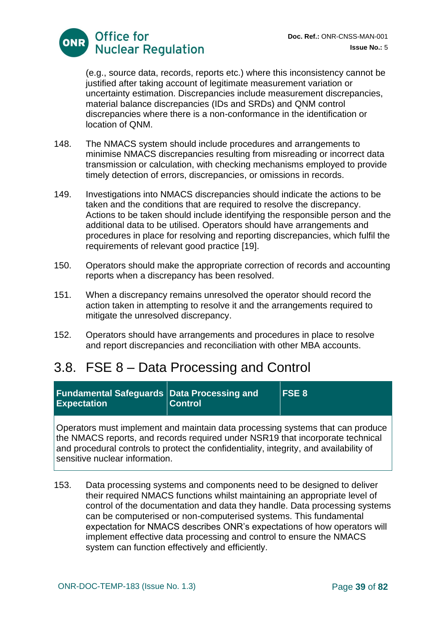

(e.g., source data, records, reports etc.) where this inconsistency cannot be justified after taking account of legitimate measurement variation or uncertainty estimation. Discrepancies include measurement discrepancies, material balance discrepancies (IDs and SRDs) and QNM control discrepancies where there is a non-conformance in the identification or location of QNM.

- 148. The NMACS system should include procedures and arrangements to minimise NMACS discrepancies resulting from misreading or incorrect data transmission or calculation, with checking mechanisms employed to provide timely detection of errors, discrepancies, or omissions in records.
- 149. Investigations into NMACS discrepancies should indicate the actions to be taken and the conditions that are required to resolve the discrepancy. Actions to be taken should include identifying the responsible person and the additional data to be utilised. Operators should have arrangements and procedures in place for resolving and reporting discrepancies, which fulfil the requirements of relevant good practice [19].
- 150. Operators should make the appropriate correction of records and accounting reports when a discrepancy has been resolved.
- 151. When a discrepancy remains unresolved the operator should record the action taken in attempting to resolve it and the arrangements required to mitigate the unresolved discrepancy.
- 152. Operators should have arrangements and procedures in place to resolve and report discrepancies and reconciliation with other MBA accounts.

# 3.8. FSE 8 – Data Processing and Control

| <b>Fundamental Safeguards Data Processing and</b><br><b>Expectation</b>                                                                                          | <b>Control</b> | <b>FSE 8</b> |
|------------------------------------------------------------------------------------------------------------------------------------------------------------------|----------------|--------------|
| Operators must implement and maintain data processing systems that can produce<br>the NMACS reports, and records required under NSR19 that incorporate technical |                |              |

NMACS reports, and records required under NSR19 that incorporate technical and procedural controls to protect the confidentiality, integrity, and availability of sensitive nuclear information.

153. Data processing systems and components need to be designed to deliver their required NMACS functions whilst maintaining an appropriate level of control of the documentation and data they handle. Data processing systems can be computerised or non-computerised systems. This fundamental expectation for NMACS describes ONR's expectations of how operators will implement effective data processing and control to ensure the NMACS system can function effectively and efficiently.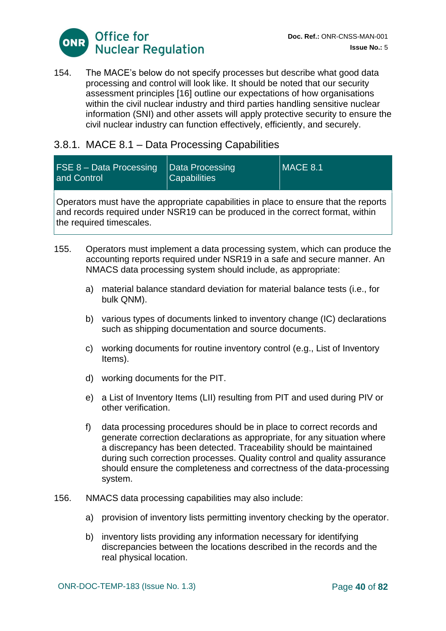

154. The MACE's below do not specify processes but describe what good data processing and control will look like. It should be noted that our security assessment principles [16] outline our expectations of how organisations within the civil nuclear industry and third parties handling sensitive nuclear information (SNI) and other assets will apply protective security to ensure the civil nuclear industry can function effectively, efficiently, and securely.

## 3.8.1. MACE 8.1 – Data Processing Capabilities

| FSE 8 - Data Processing<br>and Control                                                       | Data Processing<br><b>Capabilities</b> | $MACE$ 8.1 |
|----------------------------------------------------------------------------------------------|----------------------------------------|------------|
| $\Omega$ porotore must bous the conveniente conobilities in place to encure that the reports |                                        |            |

Operators must have the appropriate capabilities in place to ensure that the reports and records required under NSR19 can be produced in the correct format, within the required timescales.

- 155. Operators must implement a data processing system, which can produce the accounting reports required under NSR19 in a safe and secure manner. An NMACS data processing system should include, as appropriate:
	- a) material balance standard deviation for material balance tests (i.e., for bulk QNM).
	- b) various types of documents linked to inventory change (IC) declarations such as shipping documentation and source documents.
	- c) working documents for routine inventory control (e.g., List of Inventory Items).
	- d) working documents for the PIT.
	- e) a List of Inventory Items (LII) resulting from PIT and used during PIV or other verification.
	- f) data processing procedures should be in place to correct records and generate correction declarations as appropriate, for any situation where a discrepancy has been detected. Traceability should be maintained during such correction processes. Quality control and quality assurance should ensure the completeness and correctness of the data-processing system.
- 156. NMACS data processing capabilities may also include:
	- a) provision of inventory lists permitting inventory checking by the operator.
	- b) inventory lists providing any information necessary for identifying discrepancies between the locations described in the records and the real physical location.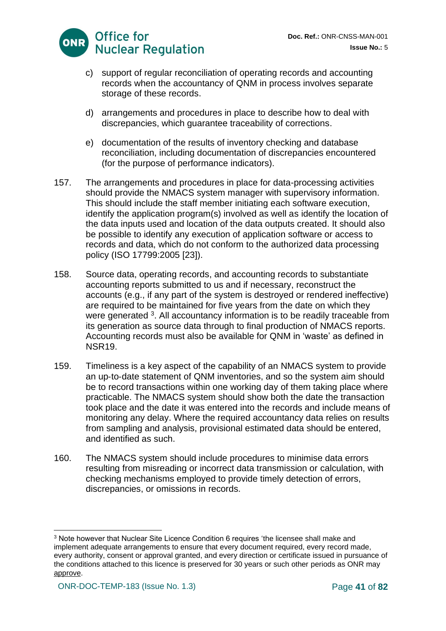

- c) support of regular reconciliation of operating records and accounting records when the accountancy of QNM in process involves separate storage of these records.
- d) arrangements and procedures in place to describe how to deal with discrepancies, which guarantee traceability of corrections.
- e) documentation of the results of inventory checking and database reconciliation, including documentation of discrepancies encountered (for the purpose of performance indicators).
- 157. The arrangements and procedures in place for data-processing activities should provide the NMACS system manager with supervisory information. This should include the staff member initiating each software execution, identify the application program(s) involved as well as identify the location of the data inputs used and location of the data outputs created. It should also be possible to identify any execution of application software or access to records and data, which do not conform to the authorized data processing policy (ISO 17799:2005 [23]).
- 158. Source data, operating records, and accounting records to substantiate accounting reports submitted to us and if necessary, reconstruct the accounts (e.g., if any part of the system is destroyed or rendered ineffective) are required to be maintained for five years from the date on which they were generated <sup>3</sup>. All accountancy information is to be readily traceable from its generation as source data through to final production of NMACS reports. Accounting records must also be available for QNM in 'waste' as defined in NSR19.
- 159. Timeliness is a key aspect of the capability of an NMACS system to provide an up-to-date statement of QNM inventories, and so the system aim should be to record transactions within one working day of them taking place where practicable. The NMACS system should show both the date the transaction took place and the date it was entered into the records and include means of monitoring any delay. Where the required accountancy data relies on results from sampling and analysis, provisional estimated data should be entered, and identified as such.
- 160. The NMACS system should include procedures to minimise data errors resulting from misreading or incorrect data transmission or calculation, with checking mechanisms employed to provide timely detection of errors, discrepancies, or omissions in records.

<sup>3</sup> Note however that Nuclear Site Licence Condition 6 requires 'the licensee shall make and implement adequate arrangements to ensure that every document required, every record made, every authority, consent or approval granted, and every direction or certificate issued in pursuance of the conditions attached to this licence is preserved for 30 years or such other periods as ONR may approve.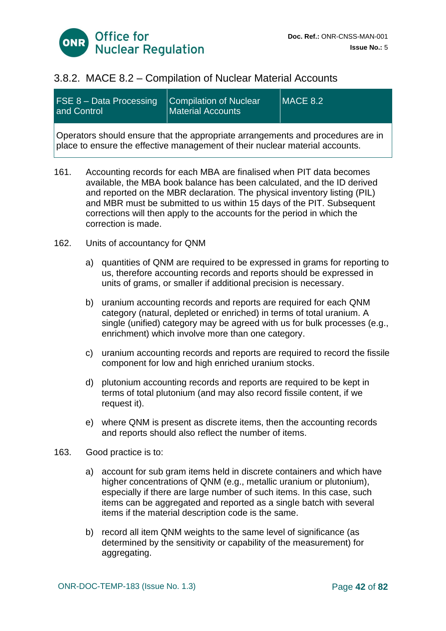

### 3.8.2. MACE 8.2 – Compilation of Nuclear Material Accounts

| <b>FSE 8 - Data Processing</b><br>and Control | Compilation of Nuclear<br><b>Material Accounts</b>                              | MACE 8.2 |
|-----------------------------------------------|---------------------------------------------------------------------------------|----------|
|                                               | Operators should ensure that the appropriate arrangements and procedures are in |          |

161. Accounting records for each MBA are finalised when PIT data becomes available, the MBA book balance has been calculated, and the ID derived and reported on the MBR declaration. The physical inventory listing (PIL) and MBR must be submitted to us within 15 days of the PIT. Subsequent corrections will then apply to the accounts for the period in which the correction is made.

place to ensure the effective management of their nuclear material accounts.

- 162. Units of accountancy for QNM
	- a) quantities of QNM are required to be expressed in grams for reporting to us, therefore accounting records and reports should be expressed in units of grams, or smaller if additional precision is necessary.
	- b) uranium accounting records and reports are required for each QNM category (natural, depleted or enriched) in terms of total uranium. A single (unified) category may be agreed with us for bulk processes (e.g., enrichment) which involve more than one category.
	- c) uranium accounting records and reports are required to record the fissile component for low and high enriched uranium stocks.
	- d) plutonium accounting records and reports are required to be kept in terms of total plutonium (and may also record fissile content, if we request it).
	- e) where QNM is present as discrete items, then the accounting records and reports should also reflect the number of items.
- 163. Good practice is to:
	- a) account for sub gram items held in discrete containers and which have higher concentrations of QNM (e.g., metallic uranium or plutonium), especially if there are large number of such items. In this case, such items can be aggregated and reported as a single batch with several items if the material description code is the same.
	- b) record all item QNM weights to the same level of significance (as determined by the sensitivity or capability of the measurement) for aggregating.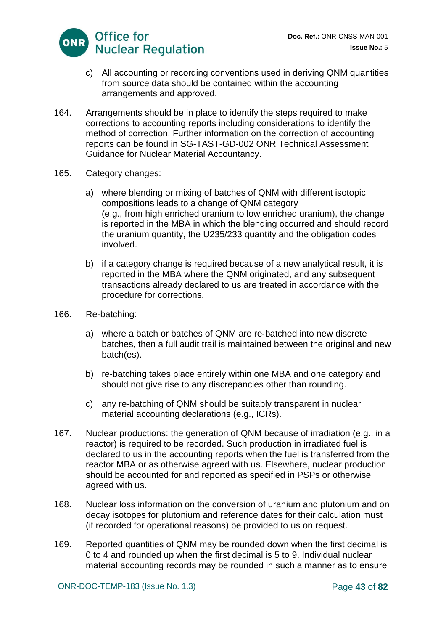

- c) All accounting or recording conventions used in deriving QNM quantities from source data should be contained within the accounting arrangements and approved.
- 164. Arrangements should be in place to identify the steps required to make corrections to accounting reports including considerations to identify the method of correction. Further information on the correction of accounting reports can be found in SG-TAST-GD-002 ONR Technical Assessment Guidance for Nuclear Material Accountancy.
- 165. Category changes:
	- a) where blending or mixing of batches of QNM with different isotopic compositions leads to a change of QNM category (e.g., from high enriched uranium to low enriched uranium), the change is reported in the MBA in which the blending occurred and should record the uranium quantity, the U235/233 quantity and the obligation codes involved.
	- b) if a category change is required because of a new analytical result, it is reported in the MBA where the QNM originated, and any subsequent transactions already declared to us are treated in accordance with the procedure for corrections.
- 166. Re-batching:
	- a) where a batch or batches of QNM are re‐batched into new discrete batches, then a full audit trail is maintained between the original and new batch(es).
	- b) re-batching takes place entirely within one MBA and one category and should not give rise to any discrepancies other than rounding.
	- c) any re-batching of QNM should be suitably transparent in nuclear material accounting declarations (e.g., ICRs).
- 167. Nuclear productions: the generation of QNM because of irradiation (e.g., in a reactor) is required to be recorded. Such production in irradiated fuel is declared to us in the accounting reports when the fuel is transferred from the reactor MBA or as otherwise agreed with us. Elsewhere, nuclear production should be accounted for and reported as specified in PSPs or otherwise agreed with us.
- 168. Nuclear loss information on the conversion of uranium and plutonium and on decay isotopes for plutonium and reference dates for their calculation must (if recorded for operational reasons) be provided to us on request.
- 169. Reported quantities of QNM may be rounded down when the first decimal is 0 to 4 and rounded up when the first decimal is 5 to 9. Individual nuclear material accounting records may be rounded in such a manner as to ensure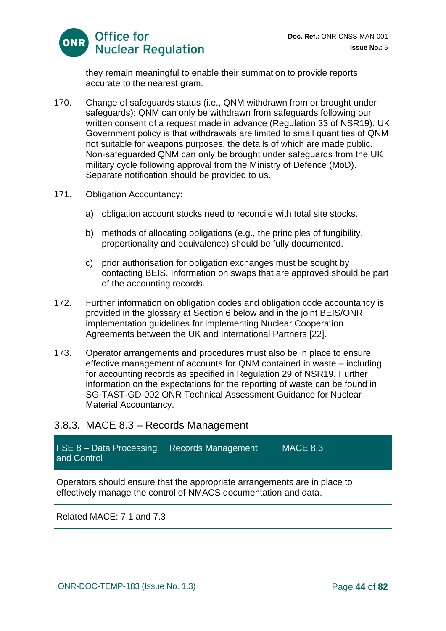

they remain meaningful to enable their summation to provide reports accurate to the nearest gram.

- 170. Change of safeguards status (i.e., QNM withdrawn from or brought under safeguards): QNM can only be withdrawn from safeguards following our written consent of a request made in advance (Regulation 33 of NSR19). UK Government policy is that withdrawals are limited to small quantities of QNM not suitable for weapons purposes, the details of which are made public. Non‐safeguarded QNM can only be brought under safeguards from the UK military cycle following approval from the Ministry of Defence (MoD). Separate notification should be provided to us.
- 171. Obligation Accountancy:
	- a) obligation account stocks need to reconcile with total site stocks.
	- b) methods of allocating obligations (e.g., the principles of fungibility, proportionality and equivalence) should be fully documented.
	- c) prior authorisation for obligation exchanges must be sought by contacting BEIS. Information on swaps that are approved should be part of the accounting records.
- 172. Further information on obligation codes and obligation code accountancy is provided in the glossary at Section 6 below and in the joint BEIS/ONR implementation guidelines for implementing Nuclear Cooperation Agreements between the UK and International Partners [22].
- 173. Operator arrangements and procedures must also be in place to ensure effective management of accounts for QNM contained in waste – including for accounting records as specified in Regulation 29 of NSR19. Further information on the expectations for the reporting of waste can be found in SG-TAST-GD-002 ONR Technical Assessment Guidance for Nuclear Material Accountancy.

#### 3.8.3. MACE 8.3 – Records Management

| <b>FSE 8 - Data Processing</b><br>and Control | <b>Records Management</b>                                                                                                                    | <b>MACE 8.3</b> |
|-----------------------------------------------|----------------------------------------------------------------------------------------------------------------------------------------------|-----------------|
|                                               | Operators should ensure that the appropriate arrangements are in place to<br>effectively manage the control of NMACS documentation and data. |                 |
| Related MACE: 7.1 and 7.3                     |                                                                                                                                              |                 |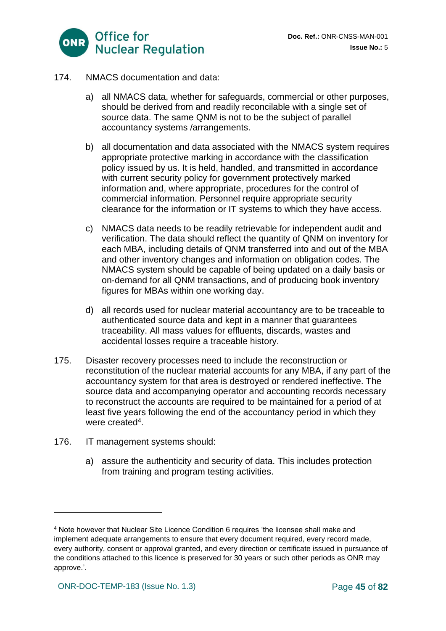

- 174. NMACS documentation and data:
	- a) all NMACS data, whether for safeguards, commercial or other purposes, should be derived from and readily reconcilable with a single set of source data. The same QNM is not to be the subject of parallel accountancy systems /arrangements.
	- b) all documentation and data associated with the NMACS system requires appropriate protective marking in accordance with the classification policy issued by us. It is held, handled, and transmitted in accordance with current security policy for government protectively marked information and, where appropriate, procedures for the control of commercial information. Personnel require appropriate security clearance for the information or IT systems to which they have access.
	- c) NMACS data needs to be readily retrievable for independent audit and verification. The data should reflect the quantity of QNM on inventory for each MBA, including details of QNM transferred into and out of the MBA and other inventory changes and information on obligation codes. The NMACS system should be capable of being updated on a daily basis or on‐demand for all QNM transactions, and of producing book inventory figures for MBAs within one working day.
	- d) all records used for nuclear material accountancy are to be traceable to authenticated source data and kept in a manner that guarantees traceability. All mass values for effluents, discards, wastes and accidental losses require a traceable history.
- 175. Disaster recovery processes need to include the reconstruction or reconstitution of the nuclear material accounts for any MBA, if any part of the accountancy system for that area is destroyed or rendered ineffective. The source data and accompanying operator and accounting records necessary to reconstruct the accounts are required to be maintained for a period of at least five years following the end of the accountancy period in which they were created<sup>4</sup>.
- 176. IT management systems should:
	- a) assure the authenticity and security of data. This includes protection from training and program testing activities.

<sup>4</sup> Note however that Nuclear Site Licence Condition 6 requires 'the licensee shall make and implement adequate arrangements to ensure that every document required, every record made, every authority, consent or approval granted, and every direction or certificate issued in pursuance of the conditions attached to this licence is preserved for 30 years or such other periods as ONR may approve.'.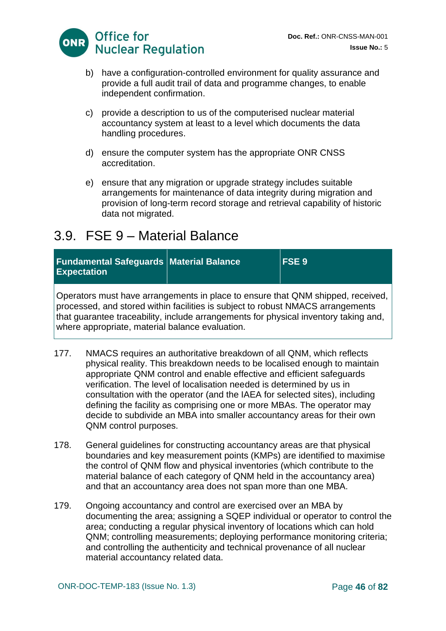

- b) have a configuration-controlled environment for quality assurance and provide a full audit trail of data and programme changes, to enable independent confirmation.
- c) provide a description to us of the computerised nuclear material accountancy system at least to a level which documents the data handling procedures.
- d) ensure the computer system has the appropriate ONR CNSS accreditation.
- e) ensure that any migration or upgrade strategy includes suitable arrangements for maintenance of data integrity during migration and provision of long-term record storage and retrieval capability of historic data not migrated.

# 3.9. FSE 9 – Material Balance

| <b>Fundamental Safeguards Material Balance</b><br><b>Expectation</b>                                                                                                                                                                                       | <b>FSE 9</b> |
|------------------------------------------------------------------------------------------------------------------------------------------------------------------------------------------------------------------------------------------------------------|--------------|
| Operators must have arrangements in place to ensure that QNM shipped, received,<br>processed, and stored within facilities is subject to robust NMACS arrangements<br>that guarantee traceability, include arrangements for physical inventory taking and, |              |

where appropriate, material balance evaluation.

- 177. NMACS requires an authoritative breakdown of all QNM, which reflects physical reality. This breakdown needs to be localised enough to maintain appropriate QNM control and enable effective and efficient safeguards verification. The level of localisation needed is determined by us in consultation with the operator (and the IAEA for selected sites), including defining the facility as comprising one or more MBAs. The operator may decide to subdivide an MBA into smaller accountancy areas for their own QNM control purposes.
- 178. General guidelines for constructing accountancy areas are that physical boundaries and key measurement points (KMPs) are identified to maximise the control of QNM flow and physical inventories (which contribute to the material balance of each category of QNM held in the accountancy area) and that an accountancy area does not span more than one MBA.
- 179. Ongoing accountancy and control are exercised over an MBA by documenting the area; assigning a SQEP individual or operator to control the area; conducting a regular physical inventory of locations which can hold QNM; controlling measurements; deploying performance monitoring criteria; and controlling the authenticity and technical provenance of all nuclear material accountancy related data.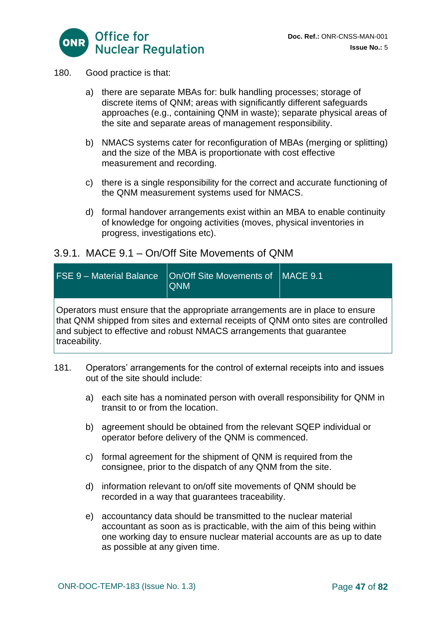

#### 180. Good practice is that:

- a) there are separate MBAs for: bulk handling processes; storage of discrete items of QNM; areas with significantly different safeguards approaches (e.g., containing QNM in waste); separate physical areas of the site and separate areas of management responsibility.
- b) NMACS systems cater for reconfiguration of MBAs (merging or splitting) and the size of the MBA is proportionate with cost effective measurement and recording.
- c) there is a single responsibility for the correct and accurate functioning of the QNM measurement systems used for NMACS.
- d) formal handover arrangements exist within an MBA to enable continuity of knowledge for ongoing activities (moves, physical inventories in progress, investigations etc).

#### 3.9.1. MACE 9.1 – On/Off Site Movements of QNM

| <b>FSE 9 - Material Balance</b>                                                                                                                                              | On/Off Site Movements of   MACE 9.1<br><b>QNM</b>                              |  |
|------------------------------------------------------------------------------------------------------------------------------------------------------------------------------|--------------------------------------------------------------------------------|--|
| that QNM shipped from sites and external receipts of QNM onto sites are controlled<br>and subject to effective and robust NMACS arrangements that quarantee<br>traceability. | Operators must ensure that the appropriate arrangements are in place to ensure |  |

- 181. Operators' arrangements for the control of external receipts into and issues out of the site should include:
	- a) each site has a nominated person with overall responsibility for QNM in transit to or from the location.
	- b) agreement should be obtained from the relevant SQEP individual or operator before delivery of the QNM is commenced.
	- c) formal agreement for the shipment of QNM is required from the consignee, prior to the dispatch of any QNM from the site.
	- d) information relevant to on/off site movements of QNM should be recorded in a way that guarantees traceability.
	- e) accountancy data should be transmitted to the nuclear material accountant as soon as is practicable, with the aim of this being within one working day to ensure nuclear material accounts are as up to date as possible at any given time.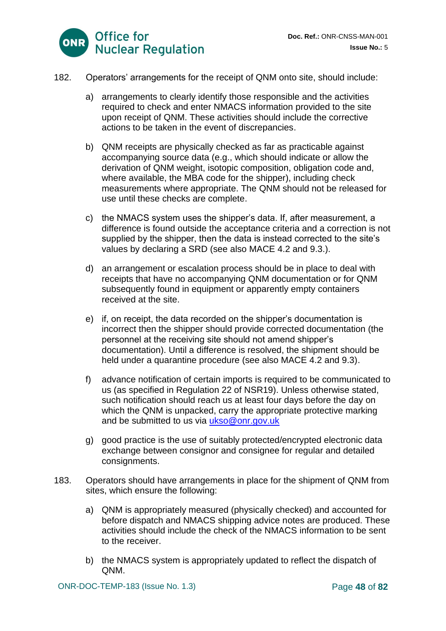

- 182. Operators' arrangements for the receipt of QNM onto site, should include:
	- a) arrangements to clearly identify those responsible and the activities required to check and enter NMACS information provided to the site upon receipt of QNM. These activities should include the corrective actions to be taken in the event of discrepancies.
	- b) QNM receipts are physically checked as far as practicable against accompanying source data (e.g., which should indicate or allow the derivation of QNM weight, isotopic composition, obligation code and, where available, the MBA code for the shipper), including check measurements where appropriate. The QNM should not be released for use until these checks are complete.
	- c) the NMACS system uses the shipper's data. If, after measurement, a difference is found outside the acceptance criteria and a correction is not supplied by the shipper, then the data is instead corrected to the site's values by declaring a SRD (see also MACE 4.2 and 9.3.).
	- d) an arrangement or escalation process should be in place to deal with receipts that have no accompanying QNM documentation or for QNM subsequently found in equipment or apparently empty containers received at the site.
	- e) if, on receipt, the data recorded on the shipper's documentation is incorrect then the shipper should provide corrected documentation (the personnel at the receiving site should not amend shipper's documentation). Until a difference is resolved, the shipment should be held under a quarantine procedure (see also MACE 4.2 and 9.3).
	- f) advance notification of certain imports is required to be communicated to us (as specified in Regulation 22 of NSR19). Unless otherwise stated, such notification should reach us at least four days before the day on which the QNM is unpacked, carry the appropriate protective marking and be submitted to us via [ukso@onr.gov.uk](mailto:ukso@onr.gov.uk)
	- g) good practice is the use of suitably protected/encrypted electronic data exchange between consignor and consignee for regular and detailed consignments.
- 183. Operators should have arrangements in place for the shipment of QNM from sites, which ensure the following:
	- a) QNM is appropriately measured (physically checked) and accounted for before dispatch and NMACS shipping advice notes are produced. These activities should include the check of the NMACS information to be sent to the receiver.
	- b) the NMACS system is appropriately updated to reflect the dispatch of QNM.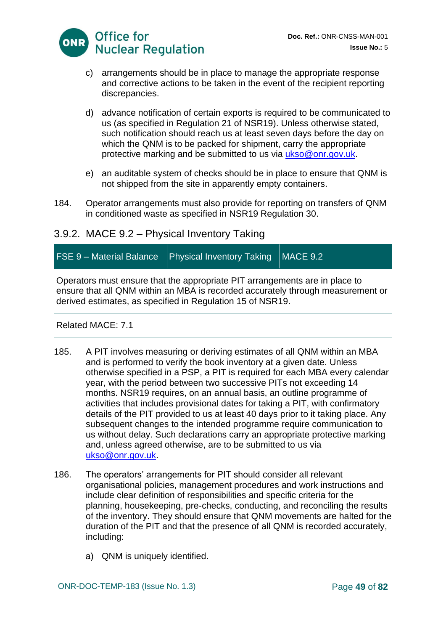

- c) arrangements should be in place to manage the appropriate response and corrective actions to be taken in the event of the recipient reporting discrepancies.
- d) advance notification of certain exports is required to be communicated to us (as specified in Regulation 21 of NSR19). Unless otherwise stated, such notification should reach us at least seven days before the day on which the QNM is to be packed for shipment, carry the appropriate protective marking and be submitted to us via [ukso@onr.gov.uk.](mailto:ukso@onr.gov.uk)
- e) an auditable system of checks should be in place to ensure that QNM is not shipped from the site in apparently empty containers.
- 184. Operator arrangements must also provide for reporting on transfers of QNM in conditioned waste as specified in NSR19 Regulation 30.

## 3.9.2. MACE 9.2 – Physical Inventory Taking

# FSE  $9$  – Material Balance | Physical Inventory Taking | MACE 9.2

Operators must ensure that the appropriate PIT arrangements are in place to ensure that all QNM within an MBA is recorded accurately through measurement or derived estimates, as specified in Regulation 15 of NSR19.

#### Related MACE: 7.1

- 185. A PIT involves measuring or deriving estimates of all QNM within an MBA and is performed to verify the book inventory at a given date. Unless otherwise specified in a PSP, a PIT is required for each MBA every calendar year, with the period between two successive PITs not exceeding 14 months. NSR19 requires, on an annual basis, an outline programme of activities that includes provisional dates for taking a PIT, with confirmatory details of the PIT provided to us at least 40 days prior to it taking place. Any subsequent changes to the intended programme require communication to us without delay. Such declarations carry an appropriate protective marking and, unless agreed otherwise, are to be submitted to us via [ukso@onr.gov.uk.](mailto:ukso@onr.gov.uk)
- 186. The operators' arrangements for PIT should consider all relevant organisational policies, management procedures and work instructions and include clear definition of responsibilities and specific criteria for the planning, housekeeping, pre‐checks, conducting, and reconciling the results of the inventory. They should ensure that QNM movements are halted for the duration of the PIT and that the presence of all QNM is recorded accurately, including:
	- a) QNM is uniquely identified.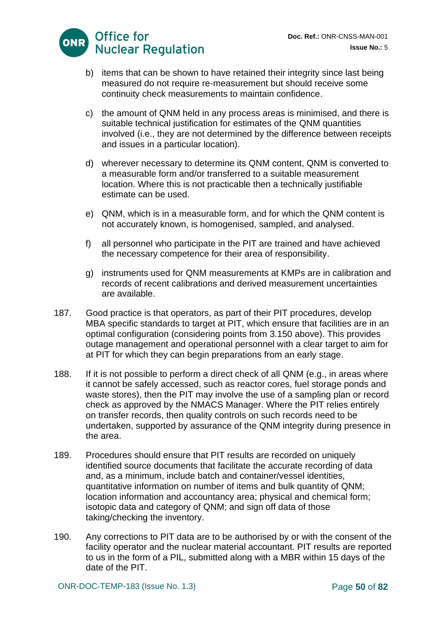

- b) items that can be shown to have retained their integrity since last being measured do not require re‐measurement but should receive some continuity check measurements to maintain confidence.
- c) the amount of QNM held in any process areas is minimised, and there is suitable technical justification for estimates of the QNM quantities involved (i.e., they are not determined by the difference between receipts and issues in a particular location).
- d) wherever necessary to determine its QNM content, QNM is converted to a measurable form and/or transferred to a suitable measurement location. Where this is not practicable then a technically justifiable estimate can be used.
- e) QNM, which is in a measurable form, and for which the QNM content is not accurately known, is homogenised, sampled, and analysed.
- f) all personnel who participate in the PIT are trained and have achieved the necessary competence for their area of responsibility.
- g) instruments used for QNM measurements at KMPs are in calibration and records of recent calibrations and derived measurement uncertainties are available.
- 187. Good practice is that operators, as part of their PIT procedures, develop MBA specific standards to target at PIT, which ensure that facilities are in an optimal configuration (considering points from 3.150 above). This provides outage management and operational personnel with a clear target to aim for at PIT for which they can begin preparations from an early stage.
- 188. If it is not possible to perform a direct check of all QNM (e.g., in areas where it cannot be safely accessed, such as reactor cores, fuel storage ponds and waste stores), then the PIT may involve the use of a sampling plan or record check as approved by the NMACS Manager. Where the PIT relies entirely on transfer records, then quality controls on such records need to be undertaken, supported by assurance of the QNM integrity during presence in the area.
- 189. Procedures should ensure that PIT results are recorded on uniquely identified source documents that facilitate the accurate recording of data and, as a minimum, include batch and container/vessel identities, quantitative information on number of items and bulk quantity of QNM; location information and accountancy area; physical and chemical form; isotopic data and category of QNM; and sign off data of those taking/checking the inventory.
- 190. Any corrections to PIT data are to be authorised by or with the consent of the facility operator and the nuclear material accountant. PIT results are reported to us in the form of a PIL, submitted along with a MBR within 15 days of the date of the PIT.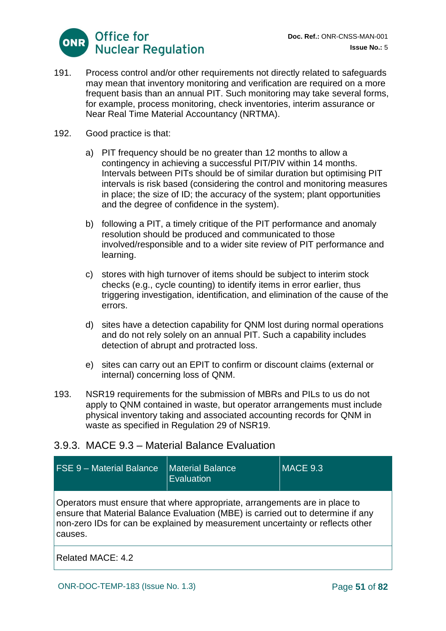

- 191. Process control and/or other requirements not directly related to safeguards may mean that inventory monitoring and verification are required on a more frequent basis than an annual PIT. Such monitoring may take several forms, for example, process monitoring, check inventories, interim assurance or Near Real Time Material Accountancy (NRTMA).
- 192. Good practice is that:
	- a) PIT frequency should be no greater than 12 months to allow a contingency in achieving a successful PIT/PIV within 14 months. Intervals between PITs should be of similar duration but optimising PIT intervals is risk based (considering the control and monitoring measures in place; the size of ID; the accuracy of the system; plant opportunities and the degree of confidence in the system).
	- b) following a PIT, a timely critique of the PIT performance and anomaly resolution should be produced and communicated to those involved/responsible and to a wider site review of PIT performance and learning.
	- c) stores with high turnover of items should be subject to interim stock checks (e.g., cycle counting) to identify items in error earlier, thus triggering investigation, identification, and elimination of the cause of the errors.
	- d) sites have a detection capability for QNM lost during normal operations and do not rely solely on an annual PIT. Such a capability includes detection of abrupt and protracted loss.
	- e) sites can carry out an EPIT to confirm or discount claims (external or internal) concerning loss of QNM.
- 193. NSR19 requirements for the submission of MBRs and PILs to us do not apply to QNM contained in waste, but operator arrangements must include physical inventory taking and associated accounting records for QNM in waste as specified in Regulation 29 of NSR19.

## 3.9.3. MACE 9.3 – Material Balance Evaluation

| <b>FSE 9 - Material Balance</b> | <b>Material Balance</b><br>Evaluation                                                                                                                                                                                                            | MACE 9.3 |
|---------------------------------|--------------------------------------------------------------------------------------------------------------------------------------------------------------------------------------------------------------------------------------------------|----------|
| causes.                         | Operators must ensure that where appropriate, arrangements are in place to<br>ensure that Material Balance Evaluation (MBE) is carried out to determine if any<br>non-zero IDs for can be explained by measurement uncertainty or reflects other |          |
| Related MACE: 4.2               |                                                                                                                                                                                                                                                  |          |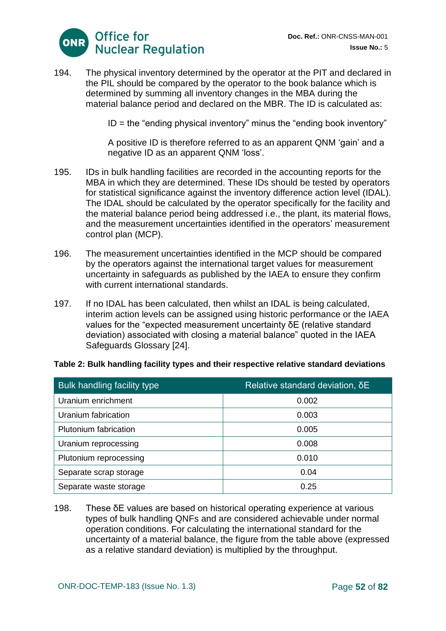

194. The physical inventory determined by the operator at the PIT and declared in the PIL should be compared by the operator to the book balance which is determined by summing all inventory changes in the MBA during the material balance period and declared on the MBR. The ID is calculated as:

 $ID =$  the "ending physical inventory" minus the "ending book inventory"

A positive ID is therefore referred to as an apparent QNM 'gain' and a negative ID as an apparent QNM 'loss'.

- 195. IDs in bulk handling facilities are recorded in the accounting reports for the MBA in which they are determined. These IDs should be tested by operators for statistical significance against the inventory difference action level (IDAL). The IDAL should be calculated by the operator specifically for the facility and the material balance period being addressed i.e., the plant, its material flows, and the measurement uncertainties identified in the operators' measurement control plan (MCP).
- 196. The measurement uncertainties identified in the MCP should be compared by the operators against the international target values for measurement uncertainty in safeguards as published by the IAEA to ensure they confirm with current international standards.
- 197. If no IDAL has been calculated, then whilst an IDAL is being calculated, interim action levels can be assigned using historic performance or the IAEA values for the "expected measurement uncertainty δE (relative standard deviation) associated with closing a material balance" quoted in the IAEA Safeguards Glossary [24].

| <b>Bulk handling facility type</b> | Relative standard deviation, δE |
|------------------------------------|---------------------------------|
| Uranium enrichment                 | 0.002                           |
| Uranium fabrication                | 0.003                           |
| Plutonium fabrication              | 0.005                           |
| Uranium reprocessing               | 0.008                           |
| Plutonium reprocessing             | 0.010                           |
| Separate scrap storage             | 0.04                            |
| Separate waste storage             | 0.25                            |

#### **Table 2: Bulk handling facility types and their respective relative standard deviations**

198. These δE values are based on historical operating experience at various types of bulk handling QNFs and are considered achievable under normal operation conditions. For calculating the international standard for the uncertainty of a material balance, the figure from the table above (expressed as a relative standard deviation) is multiplied by the throughput.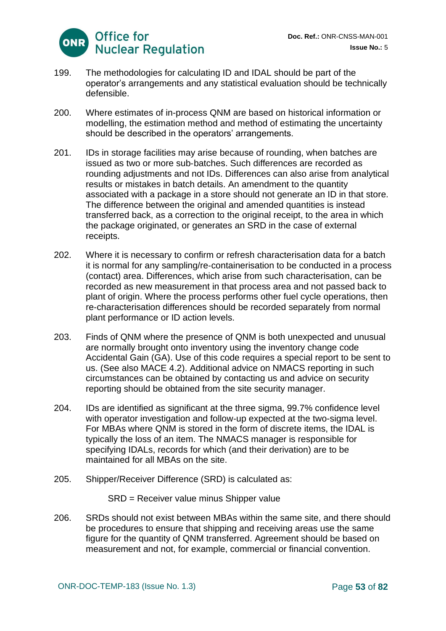

- 199. The methodologies for calculating ID and IDAL should be part of the operator's arrangements and any statistical evaluation should be technically defensible.
- 200. Where estimates of in-process QNM are based on historical information or modelling, the estimation method and method of estimating the uncertainty should be described in the operators' arrangements.
- 201. IDs in storage facilities may arise because of rounding, when batches are issued as two or more sub‐batches. Such differences are recorded as rounding adjustments and not IDs. Differences can also arise from analytical results or mistakes in batch details. An amendment to the quantity associated with a package in a store should not generate an ID in that store. The difference between the original and amended quantities is instead transferred back, as a correction to the original receipt, to the area in which the package originated, or generates an SRD in the case of external receipts.
- 202. Where it is necessary to confirm or refresh characterisation data for a batch it is normal for any sampling/re‐containerisation to be conducted in a process (contact) area. Differences, which arise from such characterisation, can be recorded as new measurement in that process area and not passed back to plant of origin. Where the process performs other fuel cycle operations, then re-characterisation differences should be recorded separately from normal plant performance or ID action levels.
- 203. Finds of QNM where the presence of QNM is both unexpected and unusual are normally brought onto inventory using the inventory change code Accidental Gain (GA). Use of this code requires a special report to be sent to us. (See also MACE 4.2). Additional advice on NMACS reporting in such circumstances can be obtained by contacting us and advice on security reporting should be obtained from the site security manager.
- 204. IDs are identified as significant at the three sigma, 99.7% confidence level with operator investigation and follow-up expected at the two-sigma level. For MBAs where QNM is stored in the form of discrete items, the IDAL is typically the loss of an item. The NMACS manager is responsible for specifying IDALs, records for which (and their derivation) are to be maintained for all MBAs on the site.
- 205. Shipper/Receiver Difference (SRD) is calculated as:

SRD = Receiver value minus Shipper value

206. SRDs should not exist between MBAs within the same site, and there should be procedures to ensure that shipping and receiving areas use the same figure for the quantity of QNM transferred. Agreement should be based on measurement and not, for example, commercial or financial convention.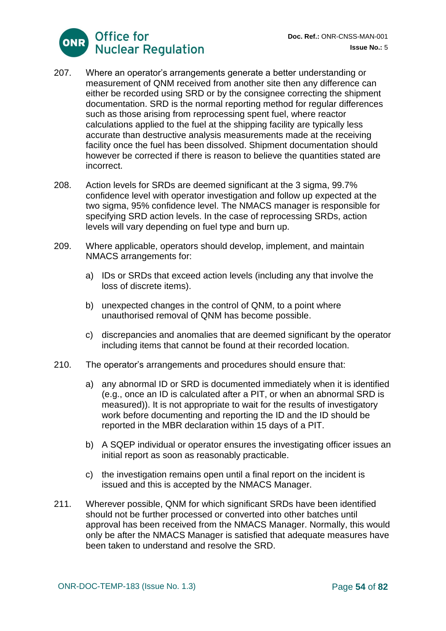

- 207. Where an operator's arrangements generate a better understanding or measurement of QNM received from another site then any difference can either be recorded using SRD or by the consignee correcting the shipment documentation. SRD is the normal reporting method for regular differences such as those arising from reprocessing spent fuel, where reactor calculations applied to the fuel at the shipping facility are typically less accurate than destructive analysis measurements made at the receiving facility once the fuel has been dissolved. Shipment documentation should however be corrected if there is reason to believe the quantities stated are incorrect.
- 208. Action levels for SRDs are deemed significant at the 3 sigma, 99.7% confidence level with operator investigation and follow up expected at the two sigma, 95% confidence level. The NMACS manager is responsible for specifying SRD action levels. In the case of reprocessing SRDs, action levels will vary depending on fuel type and burn up.
- 209. Where applicable, operators should develop, implement, and maintain NMACS arrangements for:
	- a) IDs or SRDs that exceed action levels (including any that involve the loss of discrete items).
	- b) unexpected changes in the control of QNM, to a point where unauthorised removal of QNM has become possible.
	- c) discrepancies and anomalies that are deemed significant by the operator including items that cannot be found at their recorded location.
- 210. The operator's arrangements and procedures should ensure that:
	- a) any abnormal ID or SRD is documented immediately when it is identified (e.g., once an ID is calculated after a PIT, or when an abnormal SRD is measured)). It is not appropriate to wait for the results of investigatory work before documenting and reporting the ID and the ID should be reported in the MBR declaration within 15 days of a PIT.
	- b) A SQEP individual or operator ensures the investigating officer issues an initial report as soon as reasonably practicable.
	- c) the investigation remains open until a final report on the incident is issued and this is accepted by the NMACS Manager.
- 211. Wherever possible, QNM for which significant SRDs have been identified should not be further processed or converted into other batches until approval has been received from the NMACS Manager. Normally, this would only be after the NMACS Manager is satisfied that adequate measures have been taken to understand and resolve the SRD.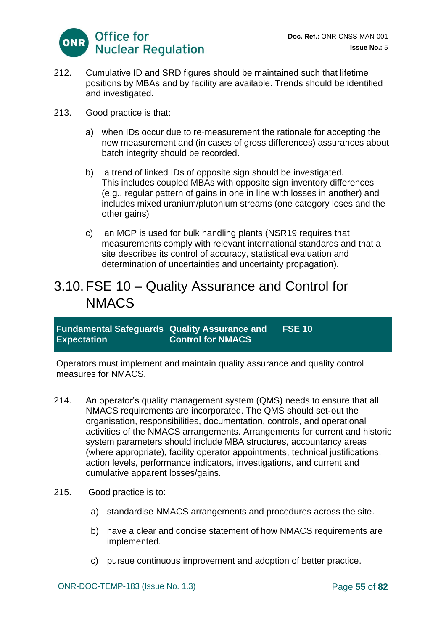

- 212. Cumulative ID and SRD figures should be maintained such that lifetime positions by MBAs and by facility are available. Trends should be identified and investigated.
- 213. Good practice is that:
	- a) when IDs occur due to re‐measurement the rationale for accepting the new measurement and (in cases of gross differences) assurances about batch integrity should be recorded.
	- b) a trend of linked IDs of opposite sign should be investigated. This includes coupled MBAs with opposite sign inventory differences (e.g., regular pattern of gains in one in line with losses in another) and includes mixed uranium/plutonium streams (one category loses and the other gains)
	- c) an MCP is used for bulk handling plants (NSR19 requires that measurements comply with relevant international standards and that a site describes its control of accuracy, statistical evaluation and determination of uncertainties and uncertainty propagation).

# 3.10.FSE 10 – Quality Assurance and Control for NMACS

| <b>Fundamental Safeguards Quality Assurance and</b><br><b>Expectation</b>   | <b>Control for NMACS</b> | $FSE$ 10 |
|-----------------------------------------------------------------------------|--------------------------|----------|
| Operators must implement and maintain quality assurance and quality control |                          |          |

measures for NMACS.

- 214. An operator's quality management system (QMS) needs to ensure that all NMACS requirements are incorporated. The QMS should set‐out the organisation, responsibilities, documentation, controls, and operational activities of the NMACS arrangements. Arrangements for current and historic system parameters should include MBA structures, accountancy areas (where appropriate), facility operator appointments, technical justifications, action levels, performance indicators, investigations, and current and cumulative apparent losses/gains.
- 215. Good practice is to:
	- a) standardise NMACS arrangements and procedures across the site.
	- b) have a clear and concise statement of how NMACS requirements are implemented.
	- c) pursue continuous improvement and adoption of better practice.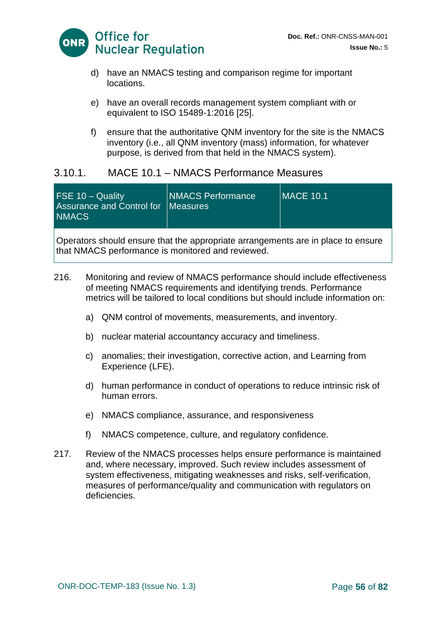

- d) have an NMACS testing and comparison regime for important locations.
- e) have an overall records management system compliant with or equivalent to ISO 15489-1:2016 [25].
- f) ensure that the authoritative QNM inventory for the site is the NMACS inventory (i.e., all QNM inventory (mass) information, for whatever purpose, is derived from that held in the NMACS system).

### 3.10.1. MACE 10.1 – NMACS Performance Measures

| <b>FSE 10 - Quality</b><br>Assurance and Control for   Measures<br><b>NMACS</b> |
|---------------------------------------------------------------------------------|
|---------------------------------------------------------------------------------|

Operators should ensure that the appropriate arrangements are in place to ensure that NMACS performance is monitored and reviewed.

- 216. Monitoring and review of NMACS performance should include effectiveness of meeting NMACS requirements and identifying trends. Performance metrics will be tailored to local conditions but should include information on:
	- a) QNM control of movements, measurements, and inventory.
	- b) nuclear material accountancy accuracy and timeliness.
	- c) anomalies; their investigation, corrective action, and Learning from Experience (LFE).
	- d) human performance in conduct of operations to reduce intrinsic risk of human errors.
	- e) NMACS compliance, assurance, and responsiveness
	- f) NMACS competence, culture, and regulatory confidence.
- 217. Review of the NMACS processes helps ensure performance is maintained and, where necessary, improved. Such review includes assessment of system effectiveness, mitigating weaknesses and risks, self‐verification, measures of performance/quality and communication with regulators on deficiencies.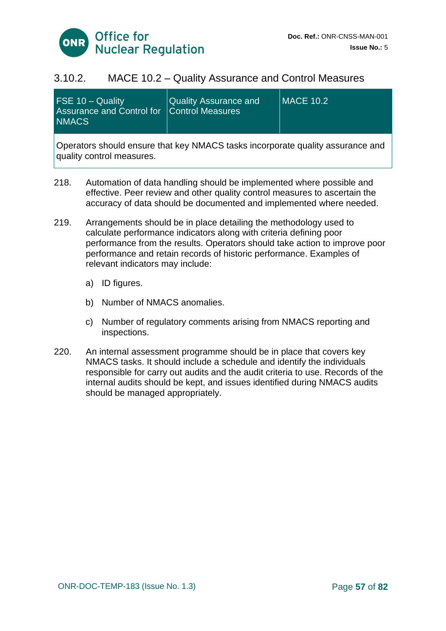

#### 3.10.2. MACE 10.2 – Quality Assurance and Control Measures

| FSE $10 -$ Quality<br>Assurance and Control for   Control Measures<br><b>NMACS</b> | <b>Quality Assurance and</b> | <b>IMACE 10.2</b> |
|------------------------------------------------------------------------------------|------------------------------|-------------------|
| Operators should enoure that key NIMACS tooks incorporate quality assurance and    |                              |                   |

Operators should ensure that key NMACS tasks incorporate quality assurance and quality control measures.

- 218. Automation of data handling should be implemented where possible and effective. Peer review and other quality control measures to ascertain the accuracy of data should be documented and implemented where needed.
- 219. Arrangements should be in place detailing the methodology used to calculate performance indicators along with criteria defining poor performance from the results. Operators should take action to improve poor performance and retain records of historic performance. Examples of relevant indicators may include:
	- a) ID figures.
	- b) Number of NMACS anomalies.
	- c) Number of regulatory comments arising from NMACS reporting and inspections.
- 220. An internal assessment programme should be in place that covers key NMACS tasks. It should include a schedule and identify the individuals responsible for carry out audits and the audit criteria to use. Records of the internal audits should be kept, and issues identified during NMACS audits should be managed appropriately.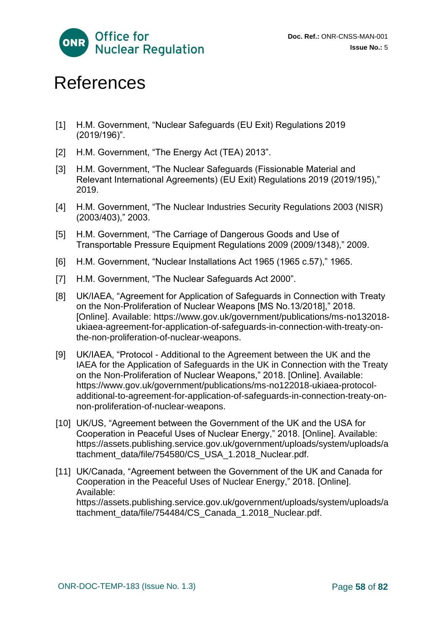

# References

- [1] H.M. Government, "Nuclear Safeguards (EU Exit) Regulations 2019 (2019/196)".
- [2] H.M. Government. "The Energy Act (TEA) 2013".
- [3] H.M. Government, "The Nuclear Safeguards (Fissionable Material and Relevant International Agreements) (EU Exit) Regulations 2019 (2019/195)," 2019.
- [4] H.M. Government, "The Nuclear Industries Security Regulations 2003 (NISR) (2003/403)," 2003.
- [5] H.M. Government, "The Carriage of Dangerous Goods and Use of Transportable Pressure Equipment Regulations 2009 (2009/1348)," 2009.
- [6] H.M. Government, "Nuclear Installations Act 1965 (1965 c.57)," 1965.
- [7] H.M. Government, "The Nuclear Safeguards Act 2000".
- [8] UK/IAEA, "Agreement for Application of Safeguards in Connection with Treaty on the Non-Proliferation of Nuclear Weapons [MS No.13/2018]," 2018. [Online]. Available: https://www.gov.uk/government/publications/ms-no132018 ukiaea-agreement-for-application-of-safeguards-in-connection-with-treaty-onthe-non-proliferation-of-nuclear-weapons.
- [9] UK/IAEA, "Protocol Additional to the Agreement between the UK and the IAEA for the Application of Safeguards in the UK in Connection with the Treaty on the Non-Proliferation of Nuclear Weapons," 2018. [Online]. Available: https://www.gov.uk/government/publications/ms-no122018-ukiaea-protocoladditional-to-agreement-for-application-of-safeguards-in-connection-treaty-onnon-proliferation-of-nuclear-weapons.
- [10] UK/US, "Agreement between the Government of the UK and the USA for Cooperation in Peaceful Uses of Nuclear Energy," 2018. [Online]. Available: https://assets.publishing.service.gov.uk/government/uploads/system/uploads/a ttachment\_data/file/754580/CS\_USA\_1.2018\_Nuclear.pdf.
- [11] UK/Canada, "Agreement between the Government of the UK and Canada for Cooperation in the Peaceful Uses of Nuclear Energy," 2018. [Online]. Available:

https://assets.publishing.service.gov.uk/government/uploads/system/uploads/a ttachment\_data/file/754484/CS\_Canada\_1.2018\_Nuclear.pdf.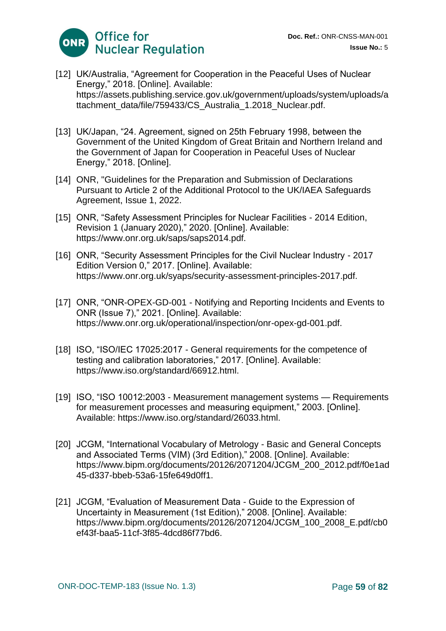

- [12] UK/Australia, "Agreement for Cooperation in the Peaceful Uses of Nuclear Energy," 2018. [Online]. Available: https://assets.publishing.service.gov.uk/government/uploads/system/uploads/a ttachment\_data/file/759433/CS\_Australia\_1.2018\_Nuclear.pdf.
- [13] UK/Japan, "24. Agreement, signed on 25th February 1998, between the Government of the United Kingdom of Great Britain and Northern Ireland and the Government of Japan for Cooperation in Peaceful Uses of Nuclear Energy," 2018. [Online].
- [14] ONR, "Guidelines for the Preparation and Submission of Declarations Pursuant to Article 2 of the Additional Protocol to the UK/IAEA Safeguards Agreement, Issue 1, 2022.
- [15] ONR, "Safety Assessment Principles for Nuclear Facilities 2014 Edition, Revision 1 (January 2020)," 2020. [Online]. Available: https://www.onr.org.uk/saps/saps2014.pdf.
- [16] ONR, "Security Assessment Principles for the Civil Nuclear Industry 2017 Edition Version 0," 2017. [Online]. Available: https://www.onr.org.uk/syaps/security-assessment-principles-2017.pdf.
- [17] ONR, "ONR-OPEX-GD-001 Notifying and Reporting Incidents and Events to ONR (Issue 7)," 2021. [Online]. Available: https://www.onr.org.uk/operational/inspection/onr-opex-gd-001.pdf.
- [18] ISO, "ISO/IEC 17025:2017 General requirements for the competence of testing and calibration laboratories," 2017. [Online]. Available: https://www.iso.org/standard/66912.html.
- [19] ISO, "ISO 10012:2003 Measurement management systems Requirements for measurement processes and measuring equipment," 2003. [Online]. Available: https://www.iso.org/standard/26033.html.
- [20] JCGM, "International Vocabulary of Metrology Basic and General Concepts and Associated Terms (VIM) (3rd Edition)," 2008. [Online]. Available: https://www.bipm.org/documents/20126/2071204/JCGM\_200\_2012.pdf/f0e1ad 45-d337-bbeb-53a6-15fe649d0ff1.
- [21] JCGM, "Evaluation of Measurement Data Guide to the Expression of Uncertainty in Measurement (1st Edition)," 2008. [Online]. Available: https://www.bipm.org/documents/20126/2071204/JCGM\_100\_2008\_E.pdf/cb0 ef43f-baa5-11cf-3f85-4dcd86f77bd6.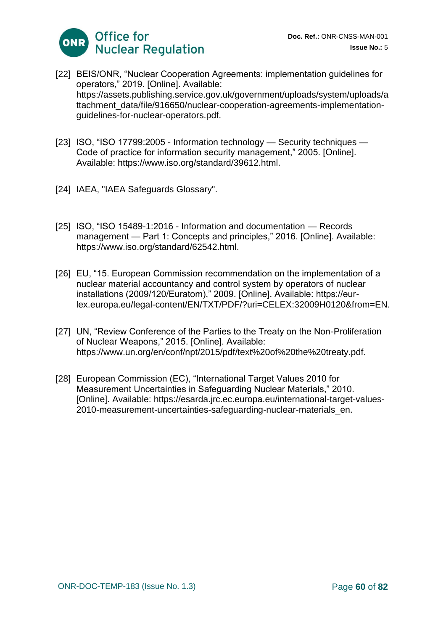

- [22] BEIS/ONR, "Nuclear Cooperation Agreements: implementation guidelines for operators," 2019. [Online]. Available: https://assets.publishing.service.gov.uk/government/uploads/system/uploads/a ttachment\_data/file/916650/nuclear-cooperation-agreements-implementationguidelines-for-nuclear-operators.pdf.
- [23] ISO, "ISO 17799:2005 Information technology Security techniques Code of practice for information security management," 2005. [Online]. Available: https://www.iso.org/standard/39612.html.
- [24] IAEA, "IAEA Safeguards Glossary".
- [25] ISO, "ISO 15489-1:2016 Information and documentation Records management — Part 1: Concepts and principles," 2016. [Online]. Available: https://www.iso.org/standard/62542.html.
- [26] EU, "15. European Commission recommendation on the implementation of a nuclear material accountancy and control system by operators of nuclear installations (2009/120/Euratom)," 2009. [Online]. Available: https://eurlex.europa.eu/legal-content/EN/TXT/PDF/?uri=CELEX:32009H0120&from=EN.
- [27] UN, "Review Conference of the Parties to the Treaty on the Non-Proliferation of Nuclear Weapons," 2015. [Online]. Available: https://www.un.org/en/conf/npt/2015/pdf/text%20of%20the%20treaty.pdf.
- [28] European Commission (EC), "International Target Values 2010 for Measurement Uncertainties in Safeguarding Nuclear Materials," 2010. [Online]. Available: https://esarda.jrc.ec.europa.eu/international-target-values-2010-measurement-uncertainties-safeguarding-nuclear-materials\_en.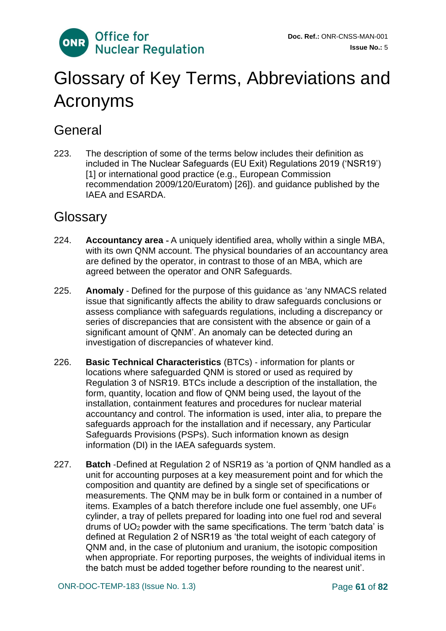

# Glossary of Key Terms, Abbreviations and Acronyms

# **General**

223. The description of some of the terms below includes their definition as included in The Nuclear Safeguards (EU Exit) Regulations 2019 ('NSR19') [1] or international good practice (e.g., European Commission recommendation 2009/120/Euratom) [26]). and guidance published by the IAEA and ESARDA.

# **Glossary**

- 224. **Accountancy area** ‐ A uniquely identified area, wholly within a single MBA, with its own QNM account. The physical boundaries of an accountancy area are defined by the operator, in contrast to those of an MBA, which are agreed between the operator and ONR Safeguards.
- 225. **Anomaly** ‐ Defined for the purpose of this guidance as 'any NMACS related issue that significantly affects the ability to draw safeguards conclusions or assess compliance with safeguards regulations, including a discrepancy or series of discrepancies that are consistent with the absence or gain of a significant amount of QNM'. An anomaly can be detected during an investigation of discrepancies of whatever kind.
- 226. **Basic Technical Characteristics** (BTCs) ‐ information for plants or locations where safeguarded QNM is stored or used as required by Regulation 3 of NSR19. BTCs include a description of the installation, the form, quantity, location and flow of QNM being used, the layout of the installation, containment features and procedures for nuclear material accountancy and control. The information is used, inter alia, to prepare the safeguards approach for the installation and if necessary, any Particular Safeguards Provisions (PSPs). Such information known as design information (DI) in the IAEA safeguards system.
- 227. **Batch** ‐Defined at Regulation 2 of NSR19 as 'a portion of QNM handled as a unit for accounting purposes at a key measurement point and for which the composition and quantity are defined by a single set of specifications or measurements. The QNM may be in bulk form or contained in a number of items. Examples of a batch therefore include one fuel assembly, one  $UF_6$ cylinder, a tray of pellets prepared for loading into one fuel rod and several drums of  $UO<sub>2</sub>$  powder with the same specifications. The term 'batch data' is defined at Regulation 2 of NSR19 as 'the total weight of each category of QNM and, in the case of plutonium and uranium, the isotopic composition when appropriate. For reporting purposes, the weights of individual items in the batch must be added together before rounding to the nearest unit'.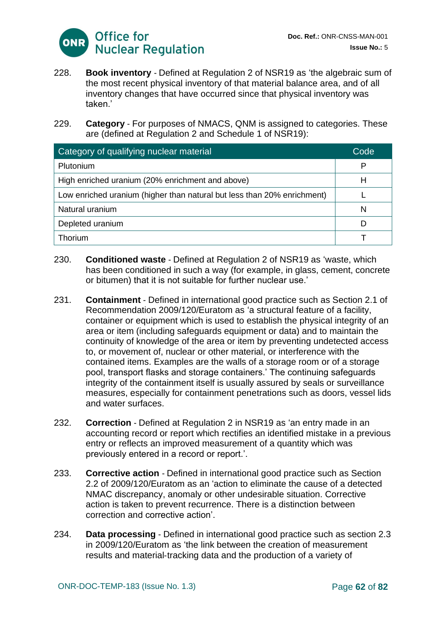

- 228. **Book inventory** ‐ Defined at Regulation 2 of NSR19 as 'the algebraic sum of the most recent physical inventory of that material balance area, and of all inventory changes that have occurred since that physical inventory was taken<sup>'</sup>
- 229. **Category** ‐ For purposes of NMACS, QNM is assigned to categories. These are (defined at Regulation 2 and Schedule 1 of NSR19):

| Category of qualifying nuclear material                                 | Code |
|-------------------------------------------------------------------------|------|
| Plutonium                                                               | P    |
| High enriched uranium (20% enrichment and above)                        | н    |
| Low enriched uranium (higher than natural but less than 20% enrichment) |      |
| Natural uranium                                                         | N    |
| Depleted uranium                                                        | D    |
| Thorium                                                                 |      |

- 230. **Conditioned waste** ‐ Defined at Regulation 2 of NSR19 as 'waste, which has been conditioned in such a way (for example, in glass, cement, concrete or bitumen) that it is not suitable for further nuclear use.'
- 231. **Containment** ‐ Defined in international good practice such as Section 2.1 of Recommendation 2009/120/Euratom as 'a structural feature of a facility, container or equipment which is used to establish the physical integrity of an area or item (including safeguards equipment or data) and to maintain the continuity of knowledge of the area or item by preventing undetected access to, or movement of, nuclear or other material, or interference with the contained items. Examples are the walls of a storage room or of a storage pool, transport flasks and storage containers.' The continuing safeguards integrity of the containment itself is usually assured by seals or surveillance measures, especially for containment penetrations such as doors, vessel lids and water surfaces.
- 232. **Correction** ‐ Defined at Regulation 2 in NSR19 as 'an entry made in an accounting record or report which rectifies an identified mistake in a previous entry or reflects an improved measurement of a quantity which was previously entered in a record or report.'.
- 233. **Corrective action** ‐ Defined in international good practice such as Section 2.2 of 2009/120/Euratom as an 'action to eliminate the cause of a detected NMAC discrepancy, anomaly or other undesirable situation. Corrective action is taken to prevent recurrence. There is a distinction between correction and corrective action'.
- 234. **Data processing** ‐ Defined in international good practice such as section 2.3 in 2009/120/Euratom as 'the link between the creation of measurement results and material‐tracking data and the production of a variety of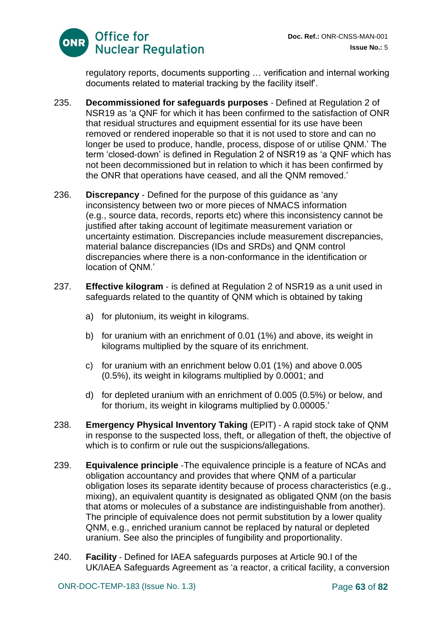

regulatory reports, documents supporting … verification and internal working documents related to material tracking by the facility itself'.

- 235. **Decommissioned for safeguards purposes** ‐ Defined at Regulation 2 of NSR19 as 'a QNF for which it has been confirmed to the satisfaction of ONR that residual structures and equipment essential for its use have been removed or rendered inoperable so that it is not used to store and can no longer be used to produce, handle, process, dispose of or utilise QNM.' The term 'closed‐down' is defined in Regulation 2 of NSR19 as 'a QNF which has not been decommissioned but in relation to which it has been confirmed by the ONR that operations have ceased, and all the QNM removed.'
- 236. **Discrepancy** ‐ Defined for the purpose of this guidance as 'any inconsistency between two or more pieces of NMACS information (e.g., source data, records, reports etc) where this inconsistency cannot be justified after taking account of legitimate measurement variation or uncertainty estimation. Discrepancies include measurement discrepancies, material balance discrepancies (IDs and SRDs) and QNM control discrepancies where there is a non-conformance in the identification or location of QNM.'
- 237. **Effective kilogram** ‐ is defined at Regulation 2 of NSR19 as a unit used in safeguards related to the quantity of QNM which is obtained by taking
	- a) for plutonium, its weight in kilograms.
	- b) for uranium with an enrichment of 0.01 (1%) and above, its weight in kilograms multiplied by the square of its enrichment.
	- c) for uranium with an enrichment below 0.01 (1%) and above 0.005 (0.5%), its weight in kilograms multiplied by 0.0001; and
	- d) for depleted uranium with an enrichment of 0.005 (0.5%) or below, and for thorium, its weight in kilograms multiplied by 0.00005.'
- 238. **Emergency Physical Inventory Taking** (EPIT) ‐ A rapid stock take of QNM in response to the suspected loss, theft, or allegation of theft, the objective of which is to confirm or rule out the suspicions/allegations.
- 239. **Equivalence principle** ‐The equivalence principle is a feature of NCAs and obligation accountancy and provides that where QNM of a particular obligation loses its separate identity because of process characteristics (e.g., mixing), an equivalent quantity is designated as obligated QNM (on the basis that atoms or molecules of a substance are indistinguishable from another). The principle of equivalence does not permit substitution by a lower quality QNM, e.g., enriched uranium cannot be replaced by natural or depleted uranium. See also the principles of fungibility and proportionality.
- 240. **Facility** ‐ Defined for IAEA safeguards purposes at Article 90.I of the UK/IAEA Safeguards Agreement as 'a reactor, a critical facility, a conversion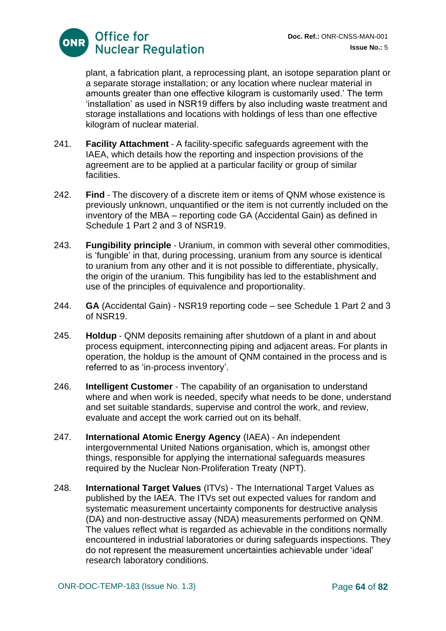

plant, a fabrication plant, a reprocessing plant, an isotope separation plant or a separate storage installation; or any location where nuclear material in amounts greater than one effective kilogram is customarily used.' The term 'installation' as used in NSR19 differs by also including waste treatment and storage installations and locations with holdings of less than one effective kilogram of nuclear material.

- 241. **Facility Attachment** ‐ A facility‐specific safeguards agreement with the IAEA, which details how the reporting and inspection provisions of the agreement are to be applied at a particular facility or group of similar facilities.
- 242. **Find** The discovery of a discrete item or items of QNM whose existence is previously unknown, unquantified or the item is not currently included on the inventory of the MBA – reporting code GA (Accidental Gain) as defined in Schedule 1 Part 2 and 3 of NSR19.
- 243. **Fungibility principle** ‐ Uranium, in common with several other commodities, is 'fungible' in that, during processing, uranium from any source is identical to uranium from any other and it is not possible to differentiate, physically, the origin of the uranium. This fungibility has led to the establishment and use of the principles of equivalence and proportionality.
- 244. **GA** (Accidental Gain) ‐ NSR19 reporting code see Schedule 1 Part 2 and 3 of NSR19.
- 245. **Holdup** ‐ QNM deposits remaining after shutdown of a plant in and about process equipment, interconnecting piping and adjacent areas. For plants in operation, the holdup is the amount of QNM contained in the process and is referred to as 'in‐process inventory'.
- 246. **Intelligent Customer** The capability of an organisation to understand where and when work is needed, specify what needs to be done, understand and set suitable standards, supervise and control the work, and review, evaluate and accept the work carried out on its behalf.
- 247. **International Atomic Energy Agency** (IAEA) ‐ An independent intergovernmental United Nations organisation, which is, amongst other things, responsible for applying the international safeguards measures required by the Nuclear Non‐Proliferation Treaty (NPT).
- 248. **International Target Values** (ITVs) ‐ The International Target Values as published by the IAEA. The ITVs set out expected values for random and systematic measurement uncertainty components for destructive analysis (DA) and non‐destructive assay (NDA) measurements performed on QNM. The values reflect what is regarded as achievable in the conditions normally encountered in industrial laboratories or during safeguards inspections. They do not represent the measurement uncertainties achievable under 'ideal' research laboratory conditions.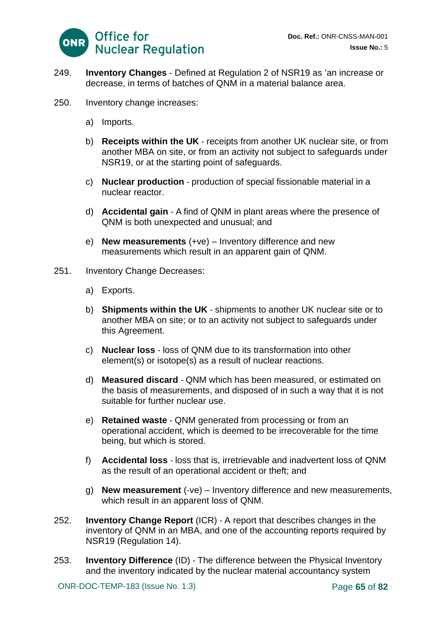

- 249. **Inventory Changes** ‐ Defined at Regulation 2 of NSR19 as 'an increase or decrease, in terms of batches of QNM in a material balance area.
- 250. Inventory change increases:
	- a) Imports.
	- b) **Receipts within the UK** ‐ receipts from another UK nuclear site, or from another MBA on site, or from an activity not subject to safeguards under NSR19, or at the starting point of safeguards.
	- c) **Nuclear production** ‐ production of special fissionable material in a nuclear reactor.
	- d) **Accidental gain** ‐ A find of QNM in plant areas where the presence of QNM is both unexpected and unusual; and
	- e) **New measurements** (+ve) Inventory difference and new measurements which result in an apparent gain of QNM.
- 251. Inventory Change Decreases:
	- a) Exports.
	- b) **Shipments within the UK** ‐ shipments to another UK nuclear site or to another MBA on site; or to an activity not subject to safeguards under this Agreement.
	- c) **Nuclear loss** ‐ loss of QNM due to its transformation into other element(s) or isotope(s) as a result of nuclear reactions.
	- d) **Measured discard** ‐ QNM which has been measured, or estimated on the basis of measurements, and disposed of in such a way that it is not suitable for further nuclear use.
	- e) **Retained waste** ‐ QNM generated from processing or from an operational accident, which is deemed to be irrecoverable for the time being, but which is stored.
	- f) **Accidental loss** ‐ loss that is, irretrievable and inadvertent loss of QNM as the result of an operational accident or theft; and
	- g) **New measurement** (‐ve) Inventory difference and new measurements, which result in an apparent loss of QNM.
- 252. **Inventory Change Report** (ICR) ‐ A report that describes changes in the inventory of QNM in an MBA, and one of the accounting reports required by NSR19 (Regulation 14).
- 253. **Inventory Difference** (ID) ‐ The difference between the Physical Inventory and the inventory indicated by the nuclear material accountancy system

ONR-DOC-TEMP-183 (Issue No. 1.3) Page **65** of **82**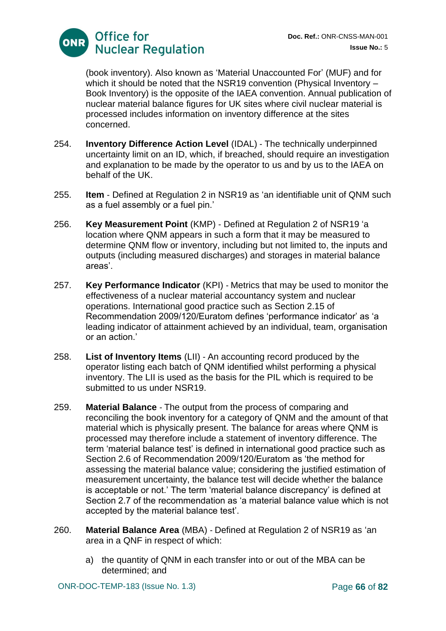(book inventory). Also known as 'Material Unaccounted For' (MUF) and for which it should be noted that the NSR19 convention (Physical Inventory – Book Inventory) is the opposite of the IAEA convention. Annual publication of nuclear material balance figures for UK sites where civil nuclear material is processed includes information on inventory difference at the sites concerned.

- 254. **Inventory Difference Action Level** (IDAL) ‐ The technically underpinned uncertainty limit on an ID, which, if breached, should require an investigation and explanation to be made by the operator to us and by us to the IAEA on behalf of the UK.
- 255. **Item** ‐ Defined at Regulation 2 in NSR19 as 'an identifiable unit of QNM such as a fuel assembly or a fuel pin.'
- 256. **Key Measurement Point** (KMP) ‐ Defined at Regulation 2 of NSR19 'a location where QNM appears in such a form that it may be measured to determine QNM flow or inventory, including but not limited to, the inputs and outputs (including measured discharges) and storages in material balance areas'.
- 257. **Key Performance Indicator** (KPI) ‐ Metrics that may be used to monitor the effectiveness of a nuclear material accountancy system and nuclear operations. International good practice such as Section 2.15 of Recommendation 2009/120/Euratom defines 'performance indicator' as 'a leading indicator of attainment achieved by an individual, team, organisation or an action.'
- 258. **List of Inventory Items** (LII) ‐ An accounting record produced by the operator listing each batch of QNM identified whilst performing a physical inventory. The LII is used as the basis for the PIL which is required to be submitted to us under NSR19.
- 259. **Material Balance** ‐ The output from the process of comparing and reconciling the book inventory for a category of QNM and the amount of that material which is physically present. The balance for areas where QNM is processed may therefore include a statement of inventory difference. The term 'material balance test' is defined in international good practice such as Section 2.6 of Recommendation 2009/120/Euratom as 'the method for assessing the material balance value; considering the justified estimation of measurement uncertainty, the balance test will decide whether the balance is acceptable or not.' The term 'material balance discrepancy' is defined at Section 2.7 of the recommendation as 'a material balance value which is not accepted by the material balance test'.
- 260. **Material Balance Area** (MBA) ‐ Defined at Regulation 2 of NSR19 as 'an area in a QNF in respect of which:
	- a) the quantity of QNM in each transfer into or out of the MBA can be determined; and

ONR-DOC-TEMP-183 (Issue No. 1.3) Page **66** of **82**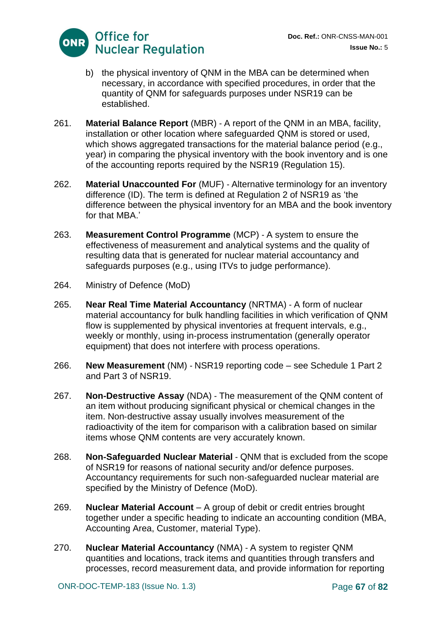

- b) the physical inventory of QNM in the MBA can be determined when necessary, in accordance with specified procedures, in order that the quantity of QNM for safeguards purposes under NSR19 can be established.
- 261. **Material Balance Report** (MBR) ‐ A report of the QNM in an MBA, facility, installation or other location where safeguarded QNM is stored or used, which shows aggregated transactions for the material balance period (e.g., year) in comparing the physical inventory with the book inventory and is one of the accounting reports required by the NSR19 (Regulation 15).
- 262. **Material Unaccounted For** (MUF) ‐ Alternative terminology for an inventory difference (ID). The term is defined at Regulation 2 of NSR19 as 'the difference between the physical inventory for an MBA and the book inventory for that MBA.'
- 263. **Measurement Control Programme** (MCP) ‐ A system to ensure the effectiveness of measurement and analytical systems and the quality of resulting data that is generated for nuclear material accountancy and safeguards purposes (e.g., using ITVs to judge performance).
- 264. Ministry of Defence (MoD)
- 265. **Near Real Time Material Accountancy** (NRTMA) ‐ A form of nuclear material accountancy for bulk handling facilities in which verification of QNM flow is supplemented by physical inventories at frequent intervals, e.g., weekly or monthly, using in-process instrumentation (generally operator equipment) that does not interfere with process operations.
- 266. **New Measurement** (NM) ‐ NSR19 reporting code see Schedule 1 Part 2 and Part 3 of NSR19.
- 267. **Non**‐**Destructive Assay** (NDA) ‐ The measurement of the QNM content of an item without producing significant physical or chemical changes in the item. Non‐destructive assay usually involves measurement of the radioactivity of the item for comparison with a calibration based on similar items whose QNM contents are very accurately known.
- 268. **Non**‐**Safeguarded Nuclear Material** ‐ QNM that is excluded from the scope of NSR19 for reasons of national security and/or defence purposes. Accountancy requirements for such non‐safeguarded nuclear material are specified by the Ministry of Defence (MoD).
- 269. **Nuclear Material Account** A group of debit or credit entries brought together under a specific heading to indicate an accounting condition (MBA, Accounting Area, Customer, material Type).
- 270. **Nuclear Material Accountancy** (NMA) ‐ A system to register QNM quantities and locations, track items and quantities through transfers and processes, record measurement data, and provide information for reporting

ONR-DOC-TEMP-183 (Issue No. 1.3) Page **67** of **82**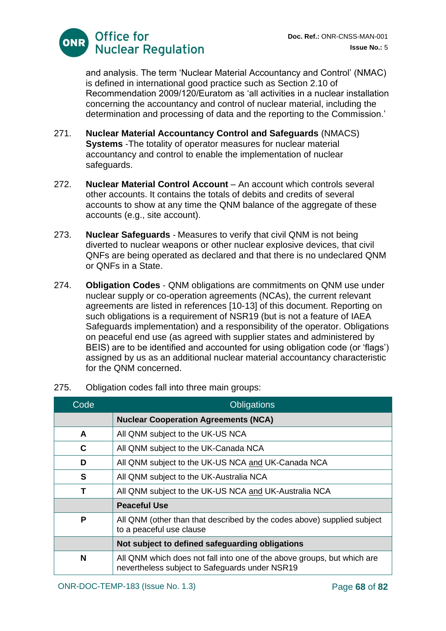and analysis. The term 'Nuclear Material Accountancy and Control' (NMAC) is defined in international good practice such as Section 2.10 of Recommendation 2009/120/Euratom as 'all activities in a nuclear installation concerning the accountancy and control of nuclear material, including the determination and processing of data and the reporting to the Commission.'

- 271. **Nuclear Material Accountancy Control and Safeguards** (NMACS) **Systems** ‐The totality of operator measures for nuclear material accountancy and control to enable the implementation of nuclear safeguards.
- 272. **Nuclear Material Control Account** An account which controls several other accounts. It contains the totals of debits and credits of several accounts to show at any time the QNM balance of the aggregate of these accounts (e.g., site account).
- 273. **Nuclear Safeguards** ‐ Measures to verify that civil QNM is not being diverted to nuclear weapons or other nuclear explosive devices, that civil QNFs are being operated as declared and that there is no undeclared QNM or QNFs in a State.
- 274. **Obligation Codes** ‐ QNM obligations are commitments on QNM use under nuclear supply or co-operation agreements (NCAs), the current relevant agreements are listed in references [10-13] of this document. Reporting on such obligations is a requirement of NSR19 (but is not a feature of IAEA Safeguards implementation) and a responsibility of the operator. Obligations on peaceful end use (as agreed with supplier states and administered by BEIS) are to be identified and accounted for using obligation code (or 'flags') assigned by us as an additional nuclear material accountancy characteristic for the QNM concerned.

| Code | <b>Obligations</b>                                                                                                        |
|------|---------------------------------------------------------------------------------------------------------------------------|
|      | <b>Nuclear Cooperation Agreements (NCA)</b>                                                                               |
| A    | All QNM subject to the UK-US NCA                                                                                          |
| C    | All QNM subject to the UK-Canada NCA                                                                                      |
| D    | All QNM subject to the UK-US NCA and UK-Canada NCA                                                                        |
| S    | All QNM subject to the UK-Australia NCA                                                                                   |
| Т    | All QNM subject to the UK-US NCA and UK-Australia NCA                                                                     |
|      | <b>Peaceful Use</b>                                                                                                       |
| P    | All QNM (other than that described by the codes above) supplied subject<br>to a peaceful use clause                       |
|      | Not subject to defined safeguarding obligations                                                                           |
| N    | All QNM which does not fall into one of the above groups, but which are<br>nevertheless subject to Safeguards under NSR19 |

275. Obligation codes fall into three main groups: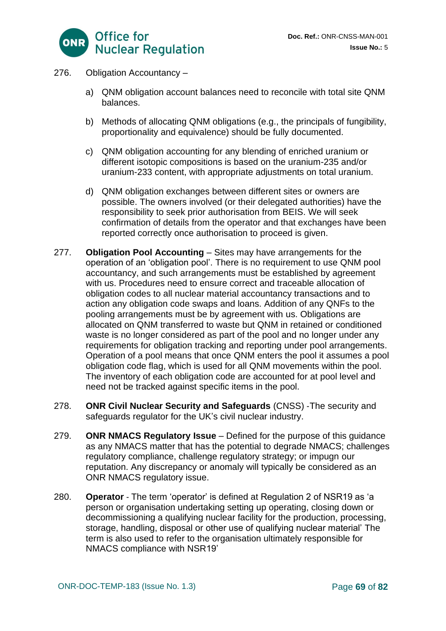

- 276. Obligation Accountancy
	- a) QNM obligation account balances need to reconcile with total site QNM balances.
	- b) Methods of allocating QNM obligations (e.g., the principals of fungibility, proportionality and equivalence) should be fully documented.
	- c) QNM obligation accounting for any blending of enriched uranium or different isotopic compositions is based on the uranium-235 and/or uranium-233 content, with appropriate adjustments on total uranium.
	- d) QNM obligation exchanges between different sites or owners are possible. The owners involved (or their delegated authorities) have the responsibility to seek prior authorisation from BEIS. We will seek confirmation of details from the operator and that exchanges have been reported correctly once authorisation to proceed is given.
- 277. **Obligation Pool Accounting** Sites may have arrangements for the operation of an 'obligation pool'. There is no requirement to use QNM pool accountancy, and such arrangements must be established by agreement with us. Procedures need to ensure correct and traceable allocation of obligation codes to all nuclear material accountancy transactions and to action any obligation code swaps and loans. Addition of any QNFs to the pooling arrangements must be by agreement with us. Obligations are allocated on QNM transferred to waste but QNM in retained or conditioned waste is no longer considered as part of the pool and no longer under any requirements for obligation tracking and reporting under pool arrangements. Operation of a pool means that once QNM enters the pool it assumes a pool obligation code flag, which is used for all QNM movements within the pool. The inventory of each obligation code are accounted for at pool level and need not be tracked against specific items in the pool.
- 278. **ONR Civil Nuclear Security and Safeguards** (CNSS) ‐The security and safeguards regulator for the UK's civil nuclear industry.
- 279. **ONR NMACS Regulatory Issue** Defined for the purpose of this guidance as any NMACS matter that has the potential to degrade NMACS; challenges regulatory compliance, challenge regulatory strategy; or impugn our reputation. Any discrepancy or anomaly will typically be considered as an ONR NMACS regulatory issue.
- 280. **Operator** ‐ The term 'operator' is defined at Regulation 2 of NSR19 as 'a person or organisation undertaking setting up operating, closing down or decommissioning a qualifying nuclear facility for the production, processing, storage, handling, disposal or other use of qualifying nuclear material' The term is also used to refer to the organisation ultimately responsible for NMACS compliance with NSR19'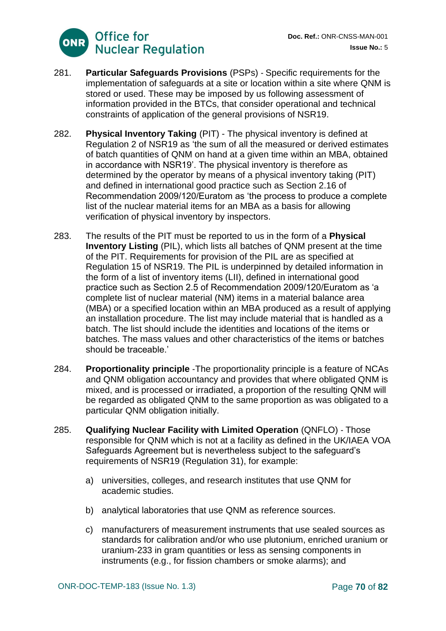

- 281. **Particular Safeguards Provisions** (PSPs) ‐ Specific requirements for the implementation of safeguards at a site or location within a site where QNM is stored or used. These may be imposed by us following assessment of information provided in the BTCs, that consider operational and technical constraints of application of the general provisions of NSR19.
- 282. **Physical Inventory Taking** (PIT) The physical inventory is defined at Regulation 2 of NSR19 as 'the sum of all the measured or derived estimates of batch quantities of QNM on hand at a given time within an MBA, obtained in accordance with NSR19'. The physical inventory is therefore as determined by the operator by means of a physical inventory taking (PIT) and defined in international good practice such as Section 2.16 of Recommendation 2009/120/Euratom as 'the process to produce a complete list of the nuclear material items for an MBA as a basis for allowing verification of physical inventory by inspectors.
- 283. The results of the PIT must be reported to us in the form of a **Physical Inventory Listing** (PIL), which lists all batches of QNM present at the time of the PIT. Requirements for provision of the PIL are as specified at Regulation 15 of NSR19. The PIL is underpinned by detailed information in the form of a list of inventory items (LII), defined in international good practice such as Section 2.5 of Recommendation 2009/120/Euratom as 'a complete list of nuclear material (NM) items in a material balance area (MBA) or a specified location within an MBA produced as a result of applying an installation procedure. The list may include material that is handled as a batch. The list should include the identities and locations of the items or batches. The mass values and other characteristics of the items or batches should be traceable.'
- 284. **Proportionality principle** ‐The proportionality principle is a feature of NCAs and QNM obligation accountancy and provides that where obligated QNM is mixed, and is processed or irradiated, a proportion of the resulting QNM will be regarded as obligated QNM to the same proportion as was obligated to a particular QNM obligation initially.
- 285. **Qualifying Nuclear Facility with Limited Operation** (QNFLO) ‐ Those responsible for QNM which is not at a facility as defined in the UK/IAEA VOA Safeguards Agreement but is nevertheless subject to the safeguard's requirements of NSR19 (Regulation 31), for example:
	- a) universities, colleges, and research institutes that use QNM for academic studies.
	- b) analytical laboratories that use QNM as reference sources.
	- c) manufacturers of measurement instruments that use sealed sources as standards for calibration and/or who use plutonium, enriched uranium or uranium‐233 in gram quantities or less as sensing components in instruments (e.g., for fission chambers or smoke alarms); and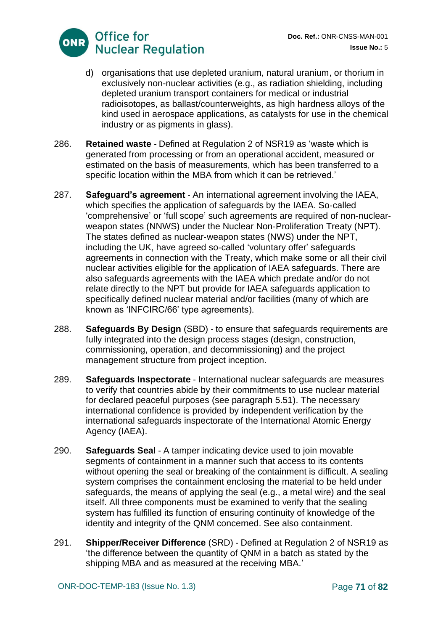

- d) organisations that use depleted uranium, natural uranium, or thorium in exclusively non-nuclear activities (e.g., as radiation shielding, including depleted uranium transport containers for medical or industrial radioisotopes, as ballast/counterweights, as high hardness alloys of the kind used in aerospace applications, as catalysts for use in the chemical industry or as pigments in glass).
- 286. **Retained waste** ‐ Defined at Regulation 2 of NSR19 as 'waste which is generated from processing or from an operational accident, measured or estimated on the basis of measurements, which has been transferred to a specific location within the MBA from which it can be retrieved.'
- 287. **Safeguard's agreement** ‐ An international agreement involving the IAEA, which specifies the application of safeguards by the IAEA. So-called 'comprehensive' or 'full scope' such agreements are required of non‐nuclear‐ weapon states (NNWS) under the Nuclear Non-Proliferation Treaty (NPT). The states defined as nuclear‐weapon states (NWS) under the NPT, including the UK, have agreed so-called 'voluntary offer' safeguards agreements in connection with the Treaty, which make some or all their civil nuclear activities eligible for the application of IAEA safeguards. There are also safeguards agreements with the IAEA which predate and/or do not relate directly to the NPT but provide for IAEA safeguards application to specifically defined nuclear material and/or facilities (many of which are known as 'INFCIRC/66' type agreements).
- 288. **Safeguards By Design** (SBD) ‐ to ensure that safeguards requirements are fully integrated into the design process stages (design, construction, commissioning, operation, and decommissioning) and the project management structure from project inception.
- 289. **Safeguards Inspectorate** ‐ International nuclear safeguards are measures to verify that countries abide by their commitments to use nuclear material for declared peaceful purposes (see paragraph 5.51). The necessary international confidence is provided by independent verification by the international safeguards inspectorate of the International Atomic Energy Agency (IAEA).
- 290. **Safeguards Seal** ‐ A tamper indicating device used to join movable segments of containment in a manner such that access to its contents without opening the seal or breaking of the containment is difficult. A sealing system comprises the containment enclosing the material to be held under safeguards, the means of applying the seal (e.g., a metal wire) and the seal itself. All three components must be examined to verify that the sealing system has fulfilled its function of ensuring continuity of knowledge of the identity and integrity of the QNM concerned. See also containment.
- 291. **Shipper/Receiver Difference** (SRD) ‐ Defined at Regulation 2 of NSR19 as 'the difference between the quantity of QNM in a batch as stated by the shipping MBA and as measured at the receiving MBA.'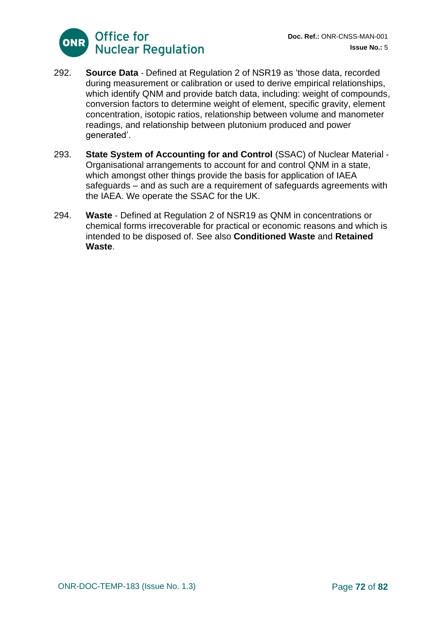

- 292. **Source Data** ‐ Defined at Regulation 2 of NSR19 as 'those data, recorded during measurement or calibration or used to derive empirical relationships, which identify QNM and provide batch data, including: weight of compounds, conversion factors to determine weight of element, specific gravity, element concentration, isotopic ratios, relationship between volume and manometer readings, and relationship between plutonium produced and power generated'.
- 293. **State System of Accounting for and Control** (SSAC) of Nuclear Material ‐ Organisational arrangements to account for and control QNM in a state, which amongst other things provide the basis for application of IAEA safeguards – and as such are a requirement of safeguards agreements with the IAEA. We operate the SSAC for the UK.
- 294. **Waste** ‐ Defined at Regulation 2 of NSR19 as QNM in concentrations or chemical forms irrecoverable for practical or economic reasons and which is intended to be disposed of. See also **Conditioned Waste** and **Retained Waste**.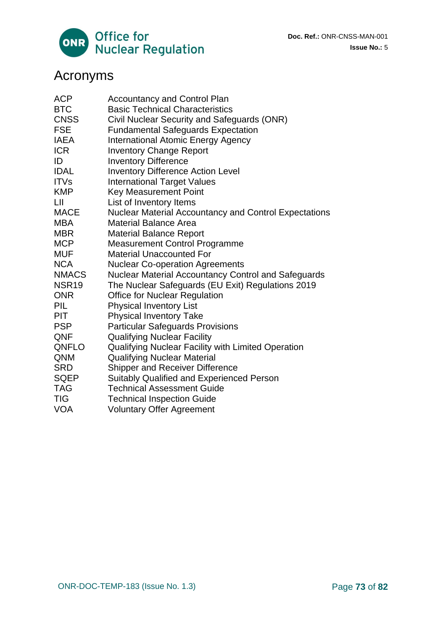

**Doc. Ref.:** ONR-CNSS-MAN-001 **Issue No.:** 5

# Acronyms

| <b>ACP</b>        | <b>Accountancy and Control Plan</b>                   |
|-------------------|-------------------------------------------------------|
| <b>BTC</b>        | <b>Basic Technical Characteristics</b>                |
| <b>CNSS</b>       | Civil Nuclear Security and Safeguards (ONR)           |
| <b>FSE</b>        | <b>Fundamental Safeguards Expectation</b>             |
| <b>IAEA</b>       | <b>International Atomic Energy Agency</b>             |
| <b>ICR</b>        | <b>Inventory Change Report</b>                        |
| ID                | <b>Inventory Difference</b>                           |
| <b>IDAL</b>       | <b>Inventory Difference Action Level</b>              |
| <b>ITVs</b>       | <b>International Target Values</b>                    |
| <b>KMP</b>        | <b>Key Measurement Point</b>                          |
| LШ                | List of Inventory Items                               |
| <b>MACE</b>       | Nuclear Material Accountancy and Control Expectations |
| <b>MBA</b>        | <b>Material Balance Area</b>                          |
| <b>MBR</b>        | <b>Material Balance Report</b>                        |
| <b>MCP</b>        | <b>Measurement Control Programme</b>                  |
| <b>MUF</b>        | <b>Material Unaccounted For</b>                       |
| <b>NCA</b>        | <b>Nuclear Co-operation Agreements</b>                |
| <b>NMACS</b>      | Nuclear Material Accountancy Control and Safeguards   |
| NSR <sub>19</sub> | The Nuclear Safeguards (EU Exit) Regulations 2019     |
| <b>ONR</b>        | Office for Nuclear Regulation                         |
| PIL               | <b>Physical Inventory List</b>                        |
| <b>PIT</b>        | <b>Physical Inventory Take</b>                        |
| <b>PSP</b>        | <b>Particular Safeguards Provisions</b>               |
| QNF               | <b>Qualifying Nuclear Facility</b>                    |
| QNFLO             | Qualifying Nuclear Facility with Limited Operation    |
| <b>QNM</b>        | <b>Qualifying Nuclear Material</b>                    |
| <b>SRD</b>        | <b>Shipper and Receiver Difference</b>                |
| <b>SQEP</b>       | <b>Suitably Qualified and Experienced Person</b>      |
| <b>TAG</b>        | <b>Technical Assessment Guide</b>                     |
| <b>TIG</b>        | <b>Technical Inspection Guide</b>                     |
| <b>VOA</b>        | <b>Voluntary Offer Agreement</b>                      |
|                   |                                                       |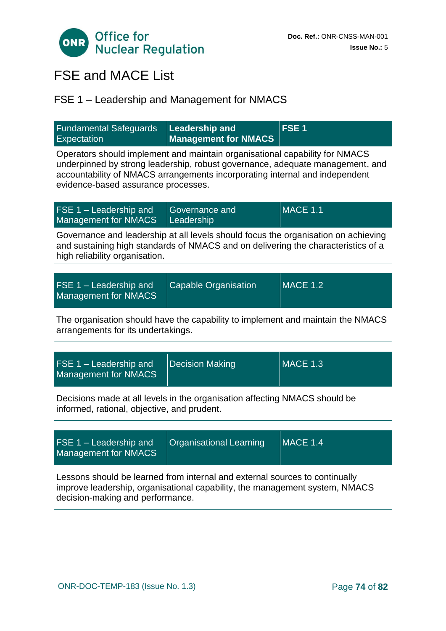

# FSE and MACE List

# FSE 1 – Leadership and Management for NMACS

| <b>Fundamental Safeguards</b><br><b>Expectation</b>                                                                                                                                                                                                                                | <b>Leadership and</b><br><b>Management for NMACS</b> | FSE <sub>1</sub> |  |
|------------------------------------------------------------------------------------------------------------------------------------------------------------------------------------------------------------------------------------------------------------------------------------|------------------------------------------------------|------------------|--|
| Operators should implement and maintain organisational capability for NMACS<br>underpinned by strong leadership, robust governance, adequate management, and<br>accountability of NMACS arrangements incorporating internal and independent<br>evidence-based assurance processes. |                                                      |                  |  |
| FSE 1 - Leadership and                                                                                                                                                                                                                                                             | Governance and                                       | <b>MACE 1.1</b>  |  |
| <b>Management for NMACS</b>                                                                                                                                                                                                                                                        | Leadership                                           |                  |  |
| Governance and leadership at all levels should focus the organisation on achieving<br>and sustaining high standards of NMACS and on delivering the characteristics of a<br>high reliability organisation.                                                                          |                                                      |                  |  |
|                                                                                                                                                                                                                                                                                    |                                                      |                  |  |
| FSE 1 - Leadership and<br><b>Management for NMACS</b>                                                                                                                                                                                                                              | <b>Capable Organisation</b>                          | <b>MACE 1.2</b>  |  |
| The organisation should have the capability to implement and maintain the NMACS<br>arrangements for its undertakings.                                                                                                                                                              |                                                      |                  |  |
|                                                                                                                                                                                                                                                                                    |                                                      |                  |  |
| FSE 1 - Leadership and<br><b>Management for NMACS</b>                                                                                                                                                                                                                              | <b>Decision Making</b>                               | <b>MACE 1.3</b>  |  |
| Decisions made at all levels in the organisation affecting NMACS should be<br>informed, rational, objective, and prudent.                                                                                                                                                          |                                                      |                  |  |
|                                                                                                                                                                                                                                                                                    |                                                      |                  |  |
| FSE 1 - Leadership and<br><b>Management for NMACS</b>                                                                                                                                                                                                                              | <b>Organisational Learning</b>                       | <b>MACE 1.4</b>  |  |
| Lessons should be learned from internal and external sources to continually<br>improve leadership, organisational capability, the management system, NMACS<br>decision-making and performance.                                                                                     |                                                      |                  |  |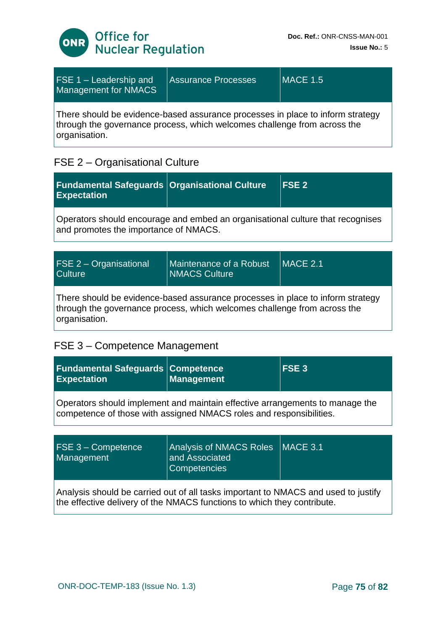

| <b>FSE 1 – Leadership and</b><br>Management for NMACS                                                                                                                       | <b>Assurance Processes</b> | <b>MACE 1.5</b> |
|-----------------------------------------------------------------------------------------------------------------------------------------------------------------------------|----------------------------|-----------------|
| There should be evidence-based assurance processes in place to inform strategy<br>through the governance process, which welcomes challenge from across the<br>organisation. |                            |                 |

### FSE 2 – Organisational Culture

| <b>Fundamental Safeguards Organisational Culture</b><br><b>Expectation</b>                                              | FSE <sub>2</sub> |
|-------------------------------------------------------------------------------------------------------------------------|------------------|
| Operators should encourage and embed an organisational culture that recognises<br>and promotes the importance of NMACS. |                  |

| <b>FSE 2 - Organisational</b><br><b>Culture</b> | Maintenance of a Robust<br><b>NMACS Culture</b> | $MACE$ 2.1 |
|-------------------------------------------------|-------------------------------------------------|------------|
|                                                 |                                                 |            |

There should be evidence-based assurance processes in place to inform strategy through the governance process, which welcomes challenge from across the organisation.

#### FSE 3 – Competence Management

| <b>Fundamental Safeguards Competence</b><br><b>Expectation</b> | Management | FSE <sub>3</sub> |
|----------------------------------------------------------------|------------|------------------|
|                                                                |            |                  |

Operators should implement and maintain effective arrangements to manage the competence of those with assigned NMACS roles and responsibilities.

| $FSE 3 - Competence$<br>Management                                                                                                                            | Analysis of NMACS Roles   MACE 3.1<br>and Associated<br><b>Competencies</b> |  |
|---------------------------------------------------------------------------------------------------------------------------------------------------------------|-----------------------------------------------------------------------------|--|
| Analysis should be carried out of all tasks important to NMACS and used to justify<br>the effective delivery of the NMACS functions to which they contribute. |                                                                             |  |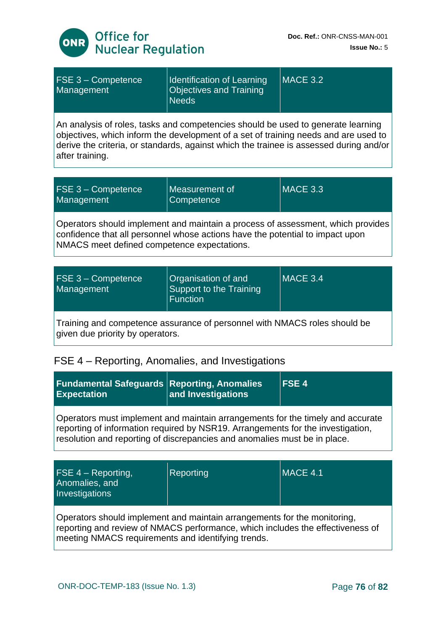

| FSE 3 - Competence<br>Management                                                                                                                                                                                                                                                     | <b>Identification of Learning</b><br><b>Objectives and Training</b><br><b>Needs</b> | <b>MACE 3.2</b> |  |
|--------------------------------------------------------------------------------------------------------------------------------------------------------------------------------------------------------------------------------------------------------------------------------------|-------------------------------------------------------------------------------------|-----------------|--|
| An analysis of roles, tasks and competencies should be used to generate learning<br>objectives, which inform the development of a set of training needs and are used to<br>derive the criteria, or standards, against which the trainee is assessed during and/or<br>after training. |                                                                                     |                 |  |
| FSE 3 - Competence<br>Management                                                                                                                                                                                                                                                     | Measurement of<br>Competence                                                        | <b>MACE 3.3</b> |  |
| Operators should implement and maintain a process of assessment, which provides<br>confidence that all personnel whose actions have the potential to impact upon<br>NMACS meet defined competence expectations.                                                                      |                                                                                     |                 |  |
|                                                                                                                                                                                                                                                                                      |                                                                                     |                 |  |
| FSE 3 - Competence<br>Management                                                                                                                                                                                                                                                     | Organisation of and<br><b>Support to the Training</b><br><b>Function</b>            | <b>MACE 3.4</b> |  |
| Training and competence assurance of personnel with NMACS roles should be<br>given due priority by operators.                                                                                                                                                                        |                                                                                     |                 |  |

# FSE 4 – Reporting, Anomalies, and Investigations

| <b>Fundamental Safeguards Reporting, Anomalies</b><br><b>Expectation</b>                                                                                                                                                                       | and Investigations | <b>IFSE4</b> |
|------------------------------------------------------------------------------------------------------------------------------------------------------------------------------------------------------------------------------------------------|--------------------|--------------|
| Operators must implement and maintain arrangements for the timely and accurate<br>reporting of information required by NSR19. Arrangements for the investigation,<br>resolution and reporting of discrepancies and anomalies must be in place. |                    |              |

| <b>FSE 4 – Reporting,</b><br>Anomalies, and<br>Investigations                                                                                              | Reporting | MACE 4.1 |
|------------------------------------------------------------------------------------------------------------------------------------------------------------|-----------|----------|
| Operators should implement and maintain arrangements for the monitoring,<br>reporting and review of NMACS performance, which includes the effectiveness of |           |          |

meeting NMACS requirements and identifying trends.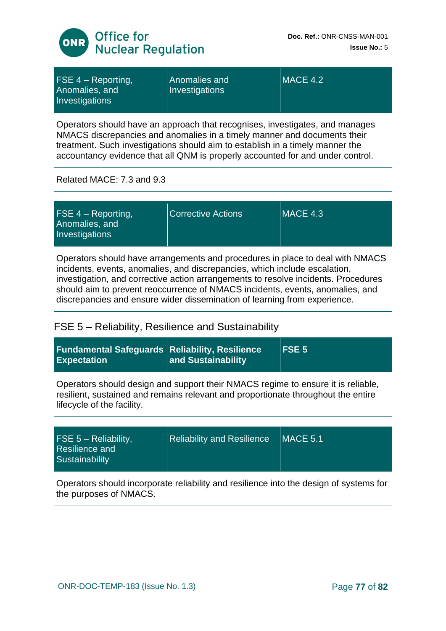

| $FSE 4 - Reporting,$<br>Anomalies, and<br>Investigations | Anomalies and<br>Investigations | MACE 4.2 |
|----------------------------------------------------------|---------------------------------|----------|
|                                                          |                                 |          |

Operators should have an approach that recognises, investigates, and manages NMACS discrepancies and anomalies in a timely manner and documents their treatment. Such investigations should aim to establish in a timely manner the accountancy evidence that all QNM is properly accounted for and under control.

Related MACE: 7.3 and 9.3

Operators should have arrangements and procedures in place to deal with NMACS incidents, events, anomalies, and discrepancies, which include escalation, investigation, and corrective action arrangements to resolve incidents. Procedures should aim to prevent reoccurrence of NMACS incidents, events, anomalies, and discrepancies and ensure wider dissemination of learning from experience.

#### FSE 5 – Reliability, Resilience and Sustainability

| <b>Fundamental Safeguards</b><br><b>Expectation</b>                                                                                                                                                 | <b>Reliability, Resilience</b><br>and Sustainability | FSE <sub>5</sub> |
|-----------------------------------------------------------------------------------------------------------------------------------------------------------------------------------------------------|------------------------------------------------------|------------------|
| Operators should design and support their NMACS regime to ensure it is reliable,<br>resilient, sustained and remains relevant and proportionate throughout the entire<br>lifecycle of the facility. |                                                      |                  |
| FSE $5 -$ Reliability,                                                                                                                                                                              | <b>Reliability and Resilience</b>                    | <b>MACE 5.1</b>  |
| Resilience and<br>Sustainability                                                                                                                                                                    |                                                      |                  |

Operators should incorporate reliability and resilience into the design of systems for the purposes of NMACS.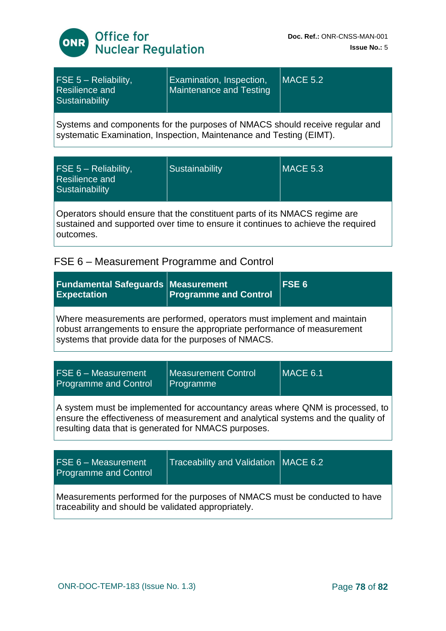

| FSE $5 -$ Reliability,<br>Resilience and<br>Sustainability | <b>Examination, Inspection,</b><br>Maintenance and Testing | $MACE$ 5.2 |
|------------------------------------------------------------|------------------------------------------------------------|------------|
|                                                            |                                                            |            |

Systems and components for the purposes of NMACS should receive regular and systematic Examination, Inspection, Maintenance and Testing (EIMT).

| $FSE 5 - Reliability,$<br>Resilience and<br>Sustainability                 | Sustainability | <b>MACE 5.3</b> |
|----------------------------------------------------------------------------|----------------|-----------------|
| Operators should ensure that the constituent parts of its NMACS regime are |                |                 |

sustained and supported over time to ensure it continues to achieve the required outcomes.

## FSE 6 – Measurement Programme and Control

| <b>Fundamental Safeguards   Measurement</b><br><b>Expectation</b>                                                                                                                                                          | <b>Programme and Control</b>            | FSE <sub>6</sub> |
|----------------------------------------------------------------------------------------------------------------------------------------------------------------------------------------------------------------------------|-----------------------------------------|------------------|
| Where measurements are performed, operators must implement and maintain<br>robust arrangements to ensure the appropriate performance of measurement<br>systems that provide data for the purposes of NMACS.                |                                         |                  |
|                                                                                                                                                                                                                            |                                         |                  |
| FSE 6 - Measurement<br><b>Programme and Control</b>                                                                                                                                                                        | <b>Measurement Control</b><br>Programme | <b>MACE 6.1</b>  |
| A system must be implemented for accountancy areas where QNM is processed, to<br>ensure the effectiveness of measurement and analytical systems and the quality of<br>resulting data that is generated for NMACS purposes. |                                         |                  |
|                                                                                                                                                                                                                            |                                         |                  |
| $FSE 6 - Measurement$<br><b>Programme and Control</b>                                                                                                                                                                      | Traceability and Validation MACE 6.2    |                  |
| Measurements performed for the purposes of NMACS must be conducted to have<br>traceability and should be validated appropriately.                                                                                          |                                         |                  |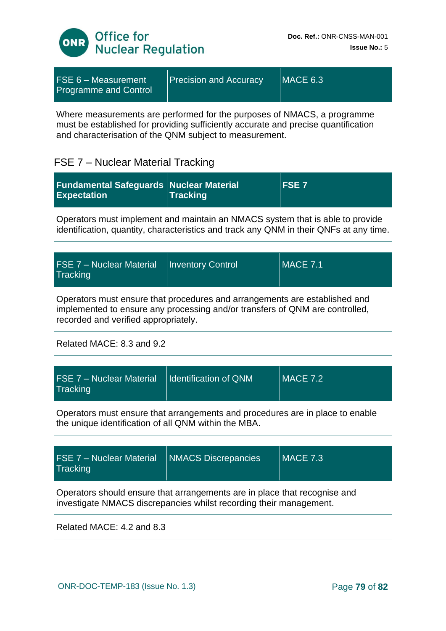

| $FSE 6 - Measurement$<br><b>Programme and Control</b>                                                                                                                                                                    | <b>Precision and Accuracy</b> | MACE 6.3 |
|--------------------------------------------------------------------------------------------------------------------------------------------------------------------------------------------------------------------------|-------------------------------|----------|
| Where measurements are performed for the purposes of NMACS, a programme<br>must be established for providing sufficiently accurate and precise quantification<br>and characterisation of the QNM subject to measurement. |                               |          |

## FSE 7 – Nuclear Material Tracking

| <b>Fundamental Safeguards Nuclear Material</b><br><b>Expectation</b> | <b>Tracking</b> | <b>IFSE7</b> |
|----------------------------------------------------------------------|-----------------|--------------|
|                                                                      |                 |              |

Operators must implement and maintain an NMACS system that is able to provide identification, quantity, characteristics and track any QNM in their QNFs at any time.

| <b>IFSE 7 - Nuclear Material</b><br>Tracking                                                                                                                                                       | <b>Inventory Control</b> | <b>MACE 7.1</b> |
|----------------------------------------------------------------------------------------------------------------------------------------------------------------------------------------------------|--------------------------|-----------------|
| Operators must ensure that procedures and arrangements are established and<br>implemented to ensure any processing and/or transfers of QNM are controlled,<br>recorded and verified appropriately. |                          |                 |
| Related MACE: 8.3 and 9.2                                                                                                                                                                          |                          |                 |

| <b>FSE 7 - Nuclear Material</b><br>Tracking                                                                                           | <b>Identification of QNM</b> | $MACE$ 7.2 |
|---------------------------------------------------------------------------------------------------------------------------------------|------------------------------|------------|
| Operators must ensure that arrangements and procedures are in place to enable<br>the unique identification of all QNM within the MBA. |                              |            |

| <b>FSE 7 - Nuclear Material</b><br>Tracking                                                                                                     | <b>NMACS Discrepancies</b> | <b>MACE 7.3</b> |
|-------------------------------------------------------------------------------------------------------------------------------------------------|----------------------------|-----------------|
| Operators should ensure that arrangements are in place that recognise and<br>investigate NMACS discrepancies whilst recording their management. |                            |                 |
| Related MACE: 4.2 and 8.3                                                                                                                       |                            |                 |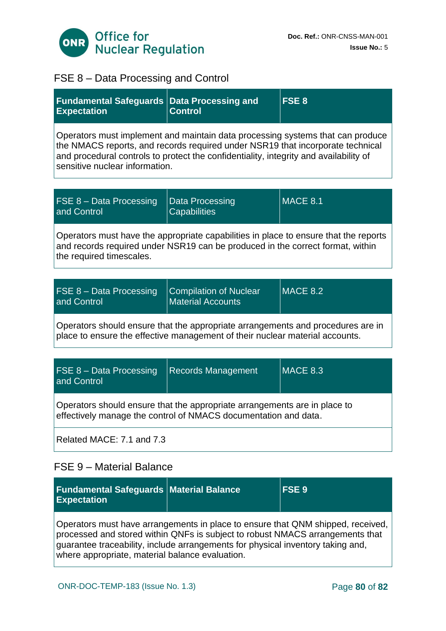

# FSE 8 – Data Processing and Control

| <b>Fundamental Safeguards</b><br><b>Expectation</b>                                                                                                                                                                                                                                         | <b>Data Processing and</b><br><b>Control</b>              | FSE <sub>8</sub> |
|---------------------------------------------------------------------------------------------------------------------------------------------------------------------------------------------------------------------------------------------------------------------------------------------|-----------------------------------------------------------|------------------|
| Operators must implement and maintain data processing systems that can produce<br>the NMACS reports, and records required under NSR19 that incorporate technical<br>and procedural controls to protect the confidentiality, integrity and availability of<br>sensitive nuclear information. |                                                           |                  |
| FSE 8 - Data Processing<br>and Control                                                                                                                                                                                                                                                      | <b>Data Processing</b><br><b>Capabilities</b>             | $MACE$ 8.1       |
| Operators must have the appropriate capabilities in place to ensure that the reports<br>and records required under NSR19 can be produced in the correct format, within<br>the required timescales.                                                                                          |                                                           |                  |
|                                                                                                                                                                                                                                                                                             |                                                           |                  |
| FSE 8 - Data Processing<br>and Control                                                                                                                                                                                                                                                      | <b>Compilation of Nuclear</b><br><b>Material Accounts</b> | <b>MACE 8.2</b>  |
| Operators should ensure that the appropriate arrangements and procedures are in<br>place to ensure the effective management of their nuclear material accounts.                                                                                                                             |                                                           |                  |
|                                                                                                                                                                                                                                                                                             |                                                           |                  |
| FSE 8 - Data Processing<br>and Control                                                                                                                                                                                                                                                      | <b>Records Management</b>                                 | <b>MACE 8.3</b>  |
| Operators should ensure that the appropriate arrangements are in place to<br>effectively manage the control of NMACS documentation and data.                                                                                                                                                |                                                           |                  |
| Related MACE: 7.1 and 7.3                                                                                                                                                                                                                                                                   |                                                           |                  |

### FSE 9 – Material Balance

| <b>Fundamental Safeguards Material Balance</b><br><b>Expectation</b>                                                                                                                                                                                                                                   | <b>FSE 9</b> |
|--------------------------------------------------------------------------------------------------------------------------------------------------------------------------------------------------------------------------------------------------------------------------------------------------------|--------------|
| Operators must have arrangements in place to ensure that QNM shipped, received,<br>processed and stored within QNFs is subject to robust NMACS arrangements that<br>guarantee traceability, include arrangements for physical inventory taking and,<br>where appropriate, material balance evaluation. |              |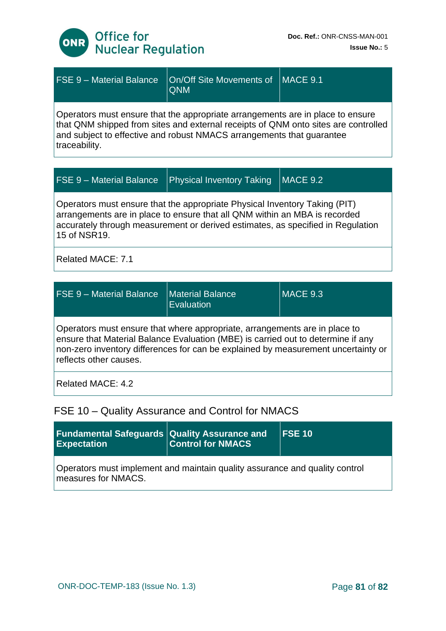

| <b>FSE 9 - Material Balance</b>                                                                                                                                                                                                                                | On/Off Site Movements of<br><b>QNM</b> | <b>MACE 9.1</b> |
|----------------------------------------------------------------------------------------------------------------------------------------------------------------------------------------------------------------------------------------------------------------|----------------------------------------|-----------------|
| Operators must ensure that the appropriate arrangements are in place to ensure<br>that QNM shipped from sites and external receipts of QNM onto sites are controlled<br>and subject to effective and robust NMACS arrangements that guarantee<br>traceability. |                                        |                 |
|                                                                                                                                                                                                                                                                |                                        |                 |
| <b>FSE 9 - Material Balance</b>                                                                                                                                                                                                                                | <b>Physical Inventory Taking</b>       | MACE 9.2        |
| Operators must ensure that the appropriate Physical Inventory Taking (PIT)<br>arrangements are in place to ensure that all QNM within an MBA is recorded                                                                                                       |                                        |                 |

arrangements are in place to ensure that all QNM within an MBA is recorded accurately through measurement or derived estimates, as specified in Regulation 15 of NSR19.

Related MACE: 7.1

| <b>FSE 9 - Material Balance</b>   Material Balance                         | Evaluation | $MACE$ 9.3 |  |  |
|----------------------------------------------------------------------------|------------|------------|--|--|
| Operators must ensure that where appropriate, arrangements are in place to |            |            |  |  |

ensure that Material Balance Evaluation (MBE) is carried out to determine if any non-zero inventory differences for can be explained by measurement uncertainty or reflects other causes.

Related MACE: 4.2

### FSE 10 – Quality Assurance and Control for NMACS

| <b>Fundamental Safeguards Quality Assurance and</b><br><b>Expectation</b>                          | <b>Control for NMACS</b> | $\overline{\text{FSE}}$ 10 |  |
|----------------------------------------------------------------------------------------------------|--------------------------|----------------------------|--|
| Operators must implement and maintain quality assurance and quality control<br>measures for NMACS. |                          |                            |  |